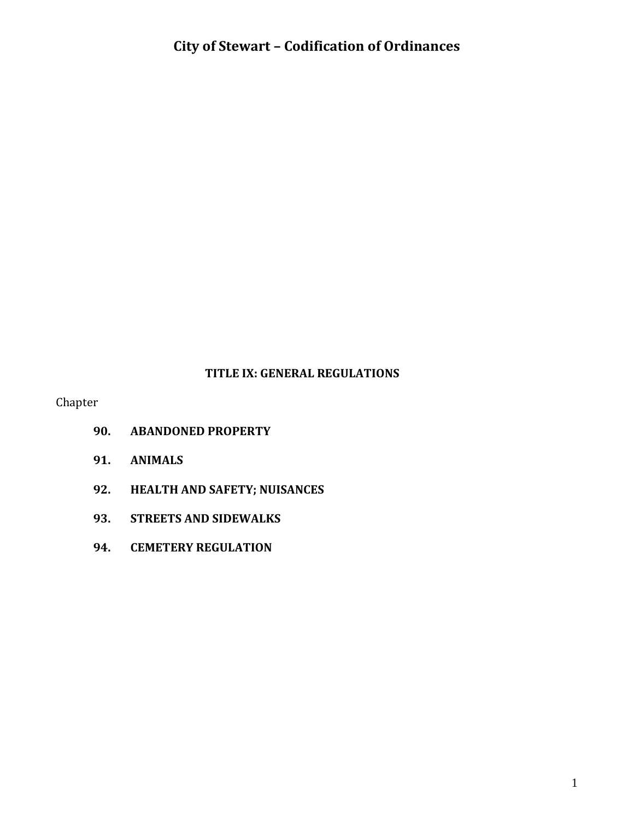#### **TITLE IX: GENERAL REGULATIONS**

Chapter

- **90. ABANDONED PROPERTY**
- **91. ANIMALS**
- **92. HEALTH AND SAFETY; NUISANCES**
- **93. STREETS AND SIDEWALKS**
- **94. CEMETERY REGULATION**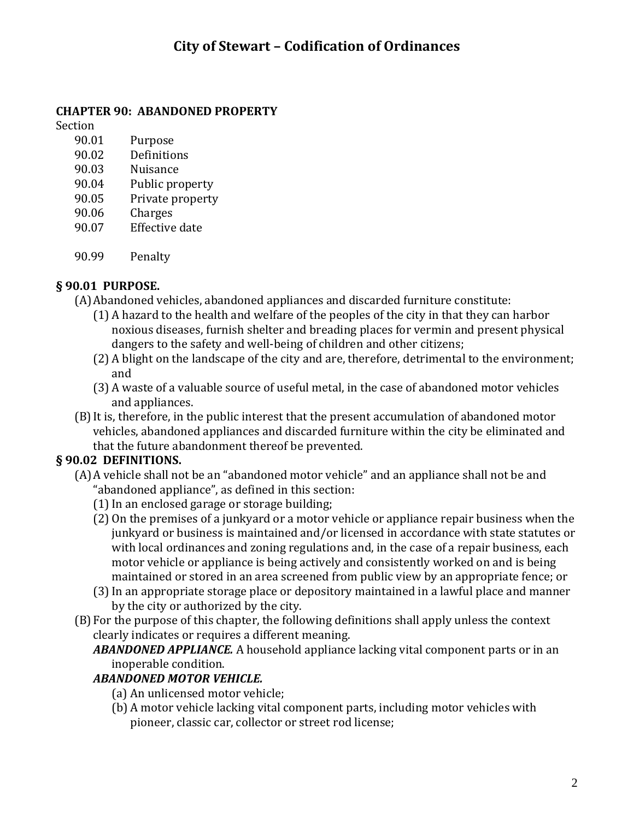### **CHAPTER 90: ABANDONED PROPERTY**

Section

- 90.01 Purpose
- 90.02 Definitions
- 90.03 Nuisance
- 90.04 Public property
- 90.05 Private property
- 90.06 Charges
- 90.07 Effective date
- 90.99 Penalty

#### **§ 90.01 PURPOSE.**

- (A)Abandoned vehicles, abandoned appliances and discarded furniture constitute:
	- (1) A hazard to the health and welfare of the peoples of the city in that they can harbor noxious diseases, furnish shelter and breading places for vermin and present physical dangers to the safety and well-being of children and other citizens;
	- (2) A blight on the landscape of the city and are, therefore, detrimental to the environment; and
	- (3) A waste of a valuable source of useful metal, in the case of abandoned motor vehicles and appliances.
- (B)It is, therefore, in the public interest that the present accumulation of abandoned motor vehicles, abandoned appliances and discarded furniture within the city be eliminated and that the future abandonment thereof be prevented.

## **§ 90.02 DEFINITIONS.**

- (A)A vehicle shall not be an "abandoned motor vehicle" and an appliance shall not be and "abandoned appliance", as defined in this section:
	- (1)In an enclosed garage or storage building;
	- (2) On the premises of a junkyard or a motor vehicle or appliance repair business when the junkyard or business is maintained and/or licensed in accordance with state statutes or with local ordinances and zoning regulations and, in the case of a repair business, each motor vehicle or appliance is being actively and consistently worked on and is being maintained or stored in an area screened from public view by an appropriate fence; or
	- (3)In an appropriate storage place or depository maintained in a lawful place and manner by the city or authorized by the city.
- (B)For the purpose of this chapter, the following definitions shall apply unless the context clearly indicates or requires a different meaning.
	- *ABANDONED APPLIANCE.* A household appliance lacking vital component parts or in an inoperable condition.

### *ABANDONED MOTOR VEHICLE.*

- (a) An unlicensed motor vehicle;
- (b) A motor vehicle lacking vital component parts, including motor vehicles with pioneer, classic car, collector or street rod license;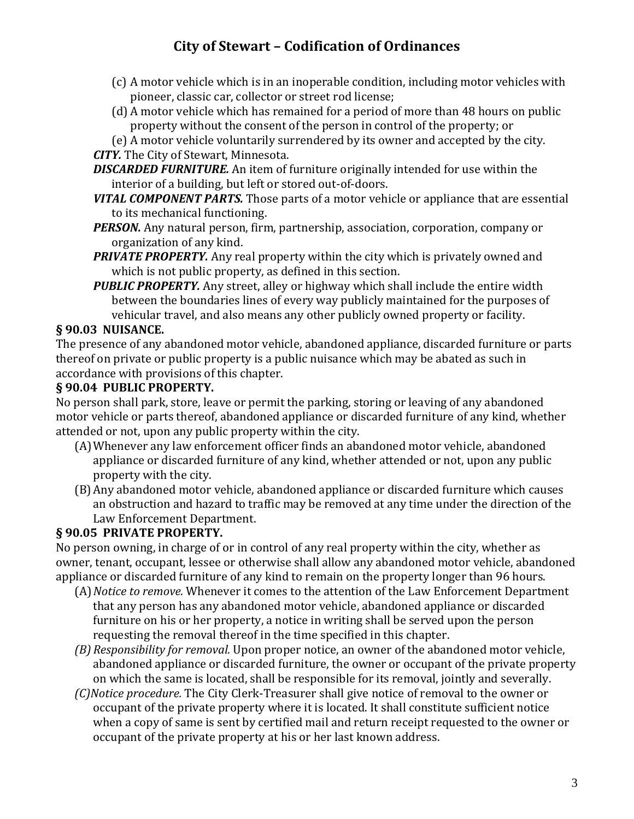- (c) A motor vehicle which is in an inoperable condition, including motor vehicles with pioneer, classic car, collector or street rod license;
- (d) A motor vehicle which has remained for a period of more than 48 hours on public property without the consent of the person in control of the property; or
- (e) A motor vehicle voluntarily surrendered by its owner and accepted by the city.

#### *CITY.* The City of Stewart, Minnesota.

- *DISCARDED FURNITURE.* An item of furniture originally intended for use within the interior of a building, but left or stored out-of-doors.
- *VITAL COMPONENT PARTS.* Those parts of a motor vehicle or appliance that are essential to its mechanical functioning.
- *PERSON.* Any natural person, firm, partnership, association, corporation, company or organization of any kind.
- *PRIVATE PROPERTY.* Any real property within the city which is privately owned and which is not public property, as defined in this section.
- *PUBLIC PROPERTY.* Any street, alley or highway which shall include the entire width between the boundaries lines of every way publicly maintained for the purposes of vehicular travel, and also means any other publicly owned property or facility.

### **§ 90.03 NUISANCE.**

The presence of any abandoned motor vehicle, abandoned appliance, discarded furniture or parts thereof on private or public property is a public nuisance which may be abated as such in accordance with provisions of this chapter.

### **§ 90.04 PUBLIC PROPERTY.**

No person shall park, store, leave or permit the parking, storing or leaving of any abandoned motor vehicle or parts thereof, abandoned appliance or discarded furniture of any kind, whether attended or not, upon any public property within the city.

- (A)Whenever any law enforcement officer finds an abandoned motor vehicle, abandoned appliance or discarded furniture of any kind, whether attended or not, upon any public property with the city.
- (B)Any abandoned motor vehicle, abandoned appliance or discarded furniture which causes an obstruction and hazard to traffic may be removed at any time under the direction of the Law Enforcement Department.

## **§ 90.05 PRIVATE PROPERTY.**

No person owning, in charge of or in control of any real property within the city, whether as owner, tenant, occupant, lessee or otherwise shall allow any abandoned motor vehicle, abandoned appliance or discarded furniture of any kind to remain on the property longer than 96 hours.

- (A)*Notice to remove.* Whenever it comes to the attention of the Law Enforcement Department that any person has any abandoned motor vehicle, abandoned appliance or discarded furniture on his or her property, a notice in writing shall be served upon the person requesting the removal thereof in the time specified in this chapter.
- *(B) Responsibility for removal.* Upon proper notice, an owner of the abandoned motor vehicle, abandoned appliance or discarded furniture, the owner or occupant of the private property on which the same is located, shall be responsible for its removal, jointly and severally.
- *(C)Notice procedure.* The City Clerk-Treasurer shall give notice of removal to the owner or occupant of the private property where it is located. It shall constitute sufficient notice when a copy of same is sent by certified mail and return receipt requested to the owner or occupant of the private property at his or her last known address.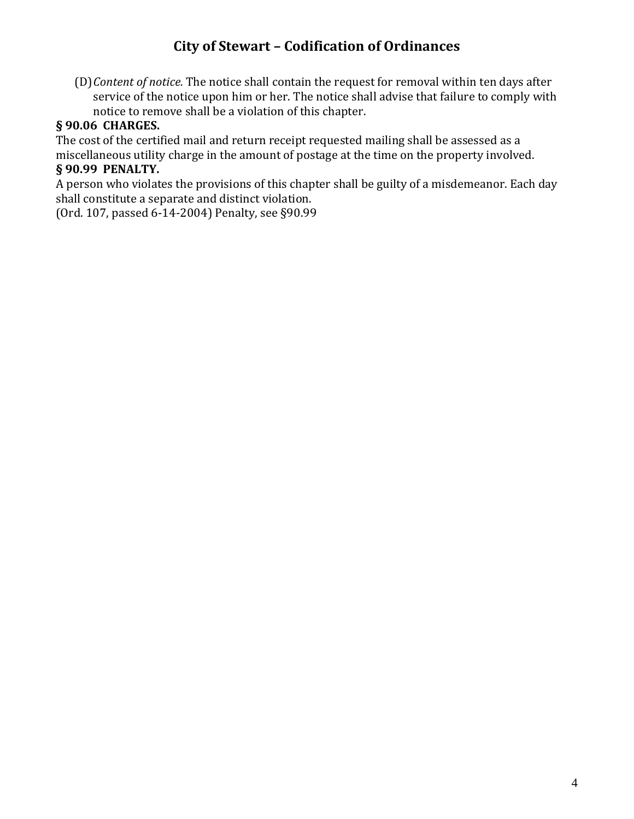(D)*Content of notice.* The notice shall contain the request for removal within ten days after service of the notice upon him or her. The notice shall advise that failure to comply with notice to remove shall be a violation of this chapter.

#### **§ 90.06 CHARGES.**

The cost of the certified mail and return receipt requested mailing shall be assessed as a miscellaneous utility charge in the amount of postage at the time on the property involved.

#### **§ 90.99 PENALTY.**

A person who violates the provisions of this chapter shall be guilty of a misdemeanor. Each day shall constitute a separate and distinct violation.

(Ord. 107, passed 6-14-2004) Penalty, see §90.99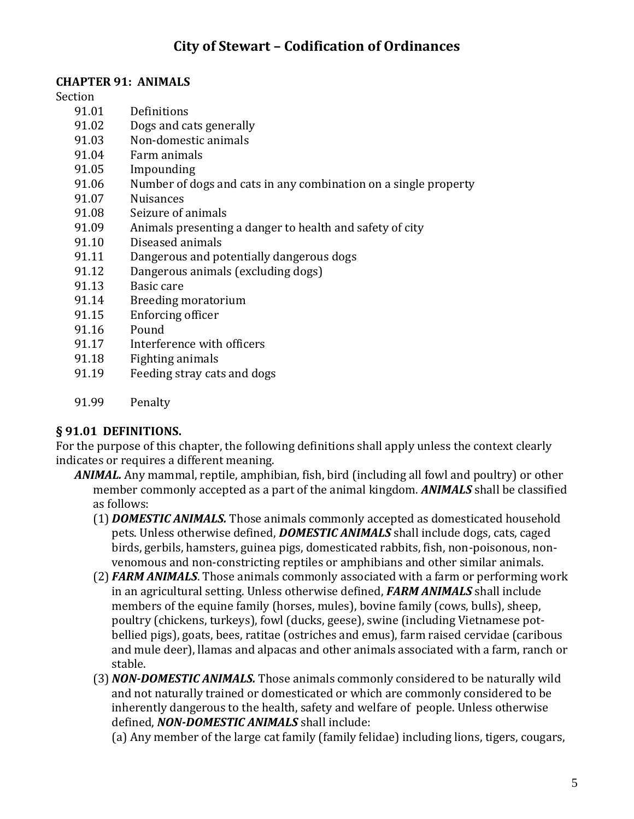#### **CHAPTER 91: ANIMALS**

Section

- 91.01 Definitions
- 91.02 Dogs and cats generally
- 91.03 Non-domestic animals
- 91.04 Farm animals
- 91.05 Impounding
- 91.06 Number of dogs and cats in any combination on a single property
- 91.07 Nuisances
- 91.08 Seizure of animals
- 91.09 Animals presenting a danger to health and safety of city
- 91.10 Diseased animals
- 91.11 Dangerous and potentially dangerous dogs
- 91.12 Dangerous animals (excluding dogs)
- 91.13 Basic care
- 91.14 Breeding moratorium
- 91.15 Enforcing officer
- 91.16 Pound
- 91.17 Interference with officers
- 91.18 Fighting animals
- 91.19 Feeding stray cats and dogs
- 91.99 Penalty

#### **§ 91.01 DEFINITIONS.**

For the purpose of this chapter, the following definitions shall apply unless the context clearly indicates or requires a different meaning.

- *ANIMAL.* Any mammal, reptile, amphibian, fish, bird (including all fowl and poultry) or other member commonly accepted as a part of the animal kingdom. *ANIMALS* shall be classified as follows:
	- (1) *DOMESTIC ANIMALS.* Those animals commonly accepted as domesticated household pets. Unless otherwise defined, *DOMESTIC ANIMALS* shall include dogs, cats, caged birds, gerbils, hamsters, guinea pigs, domesticated rabbits, fish, non-poisonous, nonvenomous and non-constricting reptiles or amphibians and other similar animals.
	- (2) *FARM ANIMALS*. Those animals commonly associated with a farm or performing work in an agricultural setting. Unless otherwise defined, *FARM ANIMALS* shall include members of the equine family (horses, mules), bovine family (cows, bulls), sheep, poultry (chickens, turkeys), fowl (ducks, geese), swine (including Vietnamese potbellied pigs), goats, bees, ratitae (ostriches and emus), farm raised cervidae (caribous and mule deer), llamas and alpacas and other animals associated with a farm, ranch or stable.
	- (3) *NON-DOMESTIC ANIMALS.* Those animals commonly considered to be naturally wild and not naturally trained or domesticated or which are commonly considered to be inherently dangerous to the health, safety and welfare of people. Unless otherwise defined, *NON-DOMESTIC ANIMALS* shall include:

(a) Any member of the large cat family (family felidae) including lions, tigers, cougars,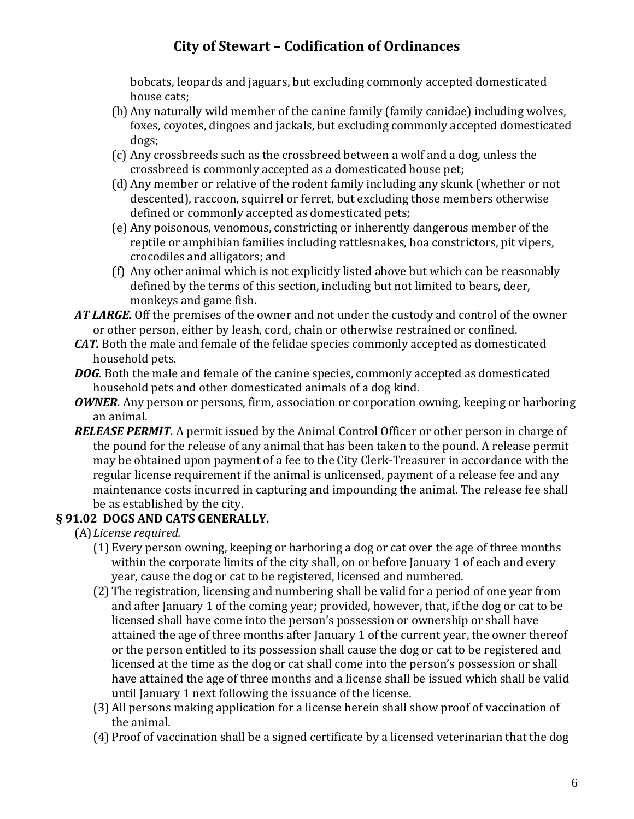bobcats, leopards and jaguars, but excluding commonly accepted domesticated house cats;

- (b) Any naturally wild member of the canine family (family canidae) including wolves, foxes, coyotes, dingoes and jackals, but excluding commonly accepted domesticated dogs;
- (c) Any crossbreeds such as the crossbreed between a wolf and a dog, unless the crossbreed is commonly accepted as a domesticated house pet;
- (d) Any member or relative of the rodent family including any skunk (whether or not descented), raccoon, squirrel or ferret, but excluding those members otherwise defined or commonly accepted as domesticated pets;
- (e) Any poisonous, venomous, constricting or inherently dangerous member of the reptile or amphibian families including rattlesnakes, boa constrictors, pit vipers, crocodiles and alligators; and
- (f) Any other animal which is not explicitly listed above but which can be reasonably defined by the terms of this section, including but not limited to bears, deer, monkeys and game fish.
- *AT LARGE.* Off the premises of the owner and not under the custody and control of the owner or other person, either by leash, cord, chain or otherwise restrained or confined.
- *CAT.* Both the male and female of the felidae species commonly accepted as domesticated household pets.
- *DOG*. Both the male and female of the canine species, commonly accepted as domesticated household pets and other domesticated animals of a dog kind.
- *OWNER.* Any person or persons, firm, association or corporation owning, keeping or harboring an animal.
- *RELEASE PERMIT.* A permit issued by the Animal Control Officer or other person in charge of the pound for the release of any animal that has been taken to the pound. A release permit may be obtained upon payment of a fee to the City Clerk-Treasurer in accordance with the regular license requirement if the animal is unlicensed, payment of a release fee and any maintenance costs incurred in capturing and impounding the animal. The release fee shall be as established by the city.

### **§ 91.02 DOGS AND CATS GENERALLY.**

- (A)*License required.*
	- (1) Every person owning, keeping or harboring a dog or cat over the age of three months within the corporate limits of the city shall, on or before January 1 of each and every year, cause the dog or cat to be registered, licensed and numbered.
	- (2) The registration, licensing and numbering shall be valid for a period of one year from and after January 1 of the coming year; provided, however, that, if the dog or cat to be licensed shall have come into the person's possession or ownership or shall have attained the age of three months after January 1 of the current year, the owner thereof or the person entitled to its possession shall cause the dog or cat to be registered and licensed at the time as the dog or cat shall come into the person's possession or shall have attained the age of three months and a license shall be issued which shall be valid until January 1 next following the issuance of the license.
	- (3) All persons making application for a license herein shall show proof of vaccination of the animal.
	- (4) Proof of vaccination shall be a signed certificate by a licensed veterinarian that the dog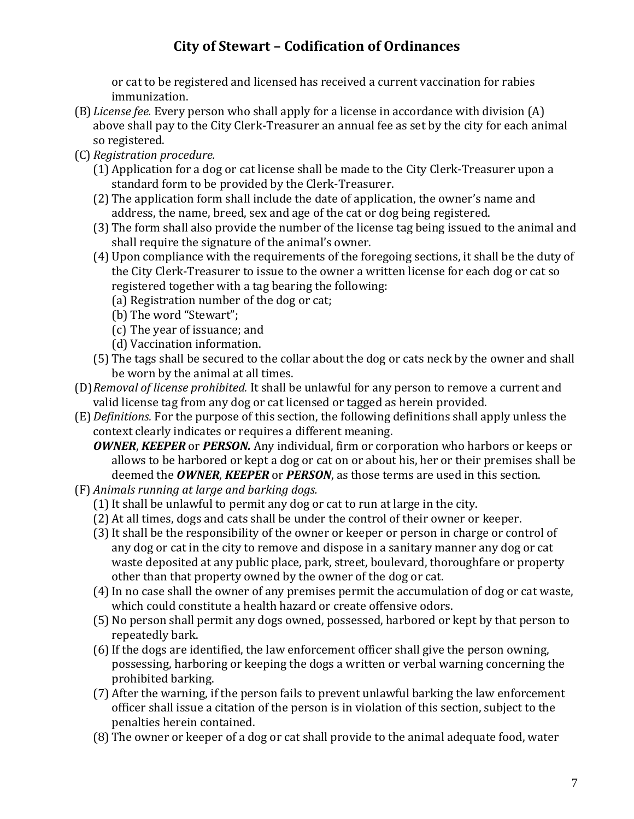or cat to be registered and licensed has received a current vaccination for rabies immunization.

- (B)*License fee.* Every person who shall apply for a license in accordance with division (A) above shall pay to the City Clerk-Treasurer an annual fee as set by the city for each animal so registered.
- (C) *Registration procedure.*
	- (1) Application for a dog or cat license shall be made to the City Clerk-Treasurer upon a standard form to be provided by the Clerk-Treasurer.
	- (2) The application form shall include the date of application, the owner's name and address, the name, breed, sex and age of the cat or dog being registered.
	- (3) The form shall also provide the number of the license tag being issued to the animal and shall require the signature of the animal's owner.
	- (4) Upon compliance with the requirements of the foregoing sections, it shall be the duty of the City Clerk-Treasurer to issue to the owner a written license for each dog or cat so registered together with a tag bearing the following:
		- (a) Registration number of the dog or cat;
		- (b) The word "Stewart";
		- (c) The year of issuance; and
		- (d) Vaccination information.
	- (5) The tags shall be secured to the collar about the dog or cats neck by the owner and shall be worn by the animal at all times.
- (D)*Removal of license prohibited.* It shall be unlawful for any person to remove a current and valid license tag from any dog or cat licensed or tagged as herein provided.
- (E)*Definitions.* For the purpose of this section, the following definitions shall apply unless the context clearly indicates or requires a different meaning.
	- *OWNER*, *KEEPER* or *PERSON.* Any individual, firm or corporation who harbors or keeps or allows to be harbored or kept a dog or cat on or about his, her or their premises shall be deemed the *OWNER*, *KEEPER* or *PERSON*, as those terms are used in this section.
- (F) *Animals running at large and barking dogs.*
	- $(1)$  It shall be unlawful to permit any dog or cat to run at large in the city.
	- (2) At all times, dogs and cats shall be under the control of their owner or keeper.
	- (3)It shall be the responsibility of the owner or keeper or person in charge or control of any dog or cat in the city to remove and dispose in a sanitary manner any dog or cat waste deposited at any public place, park, street, boulevard, thoroughfare or property other than that property owned by the owner of the dog or cat.
	- (4)In no case shall the owner of any premises permit the accumulation of dog or cat waste, which could constitute a health hazard or create offensive odors.
	- (5) No person shall permit any dogs owned, possessed, harbored or kept by that person to repeatedly bark.
	- (6)If the dogs are identified, the law enforcement officer shall give the person owning, possessing, harboring or keeping the dogs a written or verbal warning concerning the prohibited barking.
	- (7) After the warning, if the person fails to prevent unlawful barking the law enforcement officer shall issue a citation of the person is in violation of this section, subject to the penalties herein contained.
	- (8) The owner or keeper of a dog or cat shall provide to the animal adequate food, water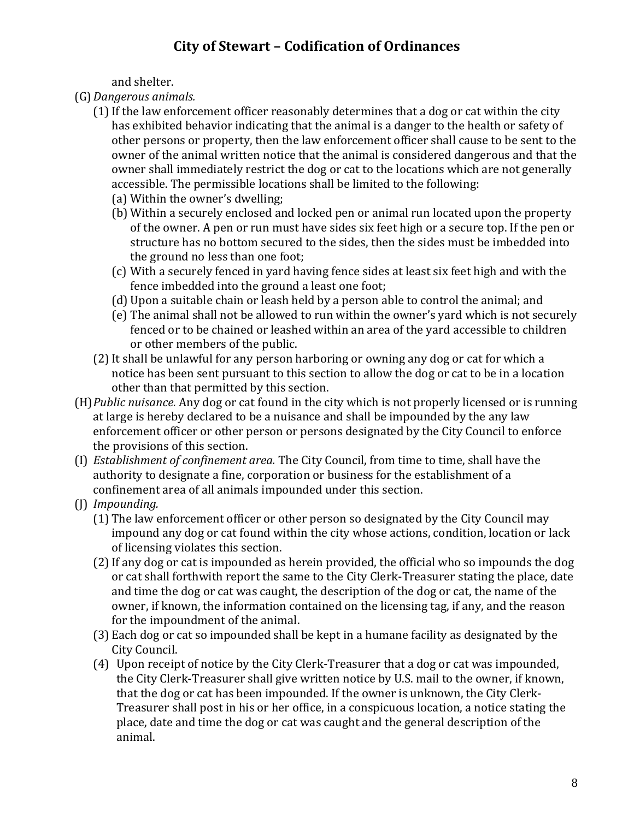and shelter.

- (G)*Dangerous animals.*
	- (1) If the law enforcement officer reasonably determines that a dog or cat within the city has exhibited behavior indicating that the animal is a danger to the health or safety of other persons or property, then the law enforcement officer shall cause to be sent to the owner of the animal written notice that the animal is considered dangerous and that the owner shall immediately restrict the dog or cat to the locations which are not generally accessible. The permissible locations shall be limited to the following:
		- (a) Within the owner's dwelling;
		- (b) Within a securely enclosed and locked pen or animal run located upon the property of the owner. A pen or run must have sides six feet high or a secure top. If the pen or structure has no bottom secured to the sides, then the sides must be imbedded into the ground no less than one foot;
		- (c) With a securely fenced in yard having fence sides at least six feet high and with the fence imbedded into the ground a least one foot;
		- (d) Upon a suitable chain or leash held by a person able to control the animal; and
		- (e) The animal shall not be allowed to run within the owner's yard which is not securely fenced or to be chained or leashed within an area of the yard accessible to children or other members of the public.
	- (2)It shall be unlawful for any person harboring or owning any dog or cat for which a notice has been sent pursuant to this section to allow the dog or cat to be in a location other than that permitted by this section.
- (H)*Public nuisance.* Any dog or cat found in the city which is not properly licensed or is running at large is hereby declared to be a nuisance and shall be impounded by the any law enforcement officer or other person or persons designated by the City Council to enforce the provisions of this section.
- (I) *Establishment of confinement area.* The City Council, from time to time, shall have the authority to designate a fine, corporation or business for the establishment of a confinement area of all animals impounded under this section.
- (J) *Impounding.*
	- (1) The law enforcement officer or other person so designated by the City Council may impound any dog or cat found within the city whose actions, condition, location or lack of licensing violates this section.
	- (2)If any dog or cat is impounded as herein provided, the official who so impounds the dog or cat shall forthwith report the same to the City Clerk-Treasurer stating the place, date and time the dog or cat was caught, the description of the dog or cat, the name of the owner, if known, the information contained on the licensing tag, if any, and the reason for the impoundment of the animal.
	- (3) Each dog or cat so impounded shall be kept in a humane facility as designated by the City Council.
	- (4) Upon receipt of notice by the City Clerk-Treasurer that a dog or cat was impounded, the City Clerk-Treasurer shall give written notice by U.S. mail to the owner, if known, that the dog or cat has been impounded. If the owner is unknown, the City Clerk-Treasurer shall post in his or her office, in a conspicuous location, a notice stating the place, date and time the dog or cat was caught and the general description of the animal.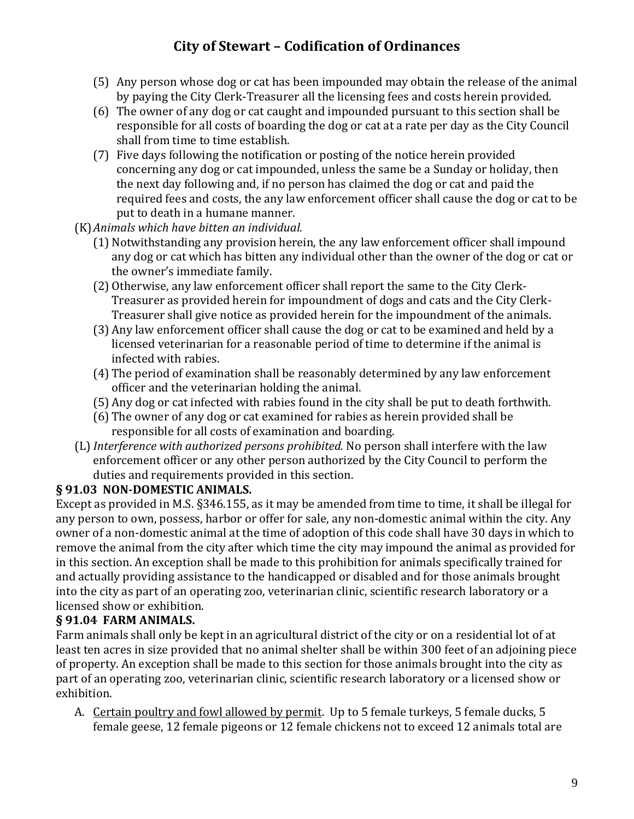- (5) Any person whose dog or cat has been impounded may obtain the release of the animal by paying the City Clerk-Treasurer all the licensing fees and costs herein provided.
- (6) The owner of any dog or cat caught and impounded pursuant to this section shall be responsible for all costs of boarding the dog or cat at a rate per day as the City Council shall from time to time establish.
- (7) Five days following the notification or posting of the notice herein provided concerning any dog or cat impounded, unless the same be a Sunday or holiday, then the next day following and, if no person has claimed the dog or cat and paid the required fees and costs, the any law enforcement officer shall cause the dog or cat to be put to death in a humane manner.
- (K)*Animals which have bitten an individual.*
	- (1) Notwithstanding any provision herein, the any law enforcement officer shall impound any dog or cat which has bitten any individual other than the owner of the dog or cat or the owner's immediate family.
	- (2) Otherwise, any law enforcement officer shall report the same to the City Clerk-Treasurer as provided herein for impoundment of dogs and cats and the City Clerk-Treasurer shall give notice as provided herein for the impoundment of the animals.
	- (3) Any law enforcement officer shall cause the dog or cat to be examined and held by a licensed veterinarian for a reasonable period of time to determine if the animal is infected with rabies.
	- (4) The period of examination shall be reasonably determined by any law enforcement officer and the veterinarian holding the animal.
	- (5) Any dog or cat infected with rabies found in the city shall be put to death forthwith.
	- (6) The owner of any dog or cat examined for rabies as herein provided shall be responsible for all costs of examination and boarding.
- (L) *Interference with authorized persons prohibited.* No person shall interfere with the law enforcement officer or any other person authorized by the City Council to perform the duties and requirements provided in this section.

### **§ 91.03 NON-DOMESTIC ANIMALS.**

Except as provided in M.S. §346.155, as it may be amended from time to time, it shall be illegal for any person to own, possess, harbor or offer for sale, any non-domestic animal within the city. Any owner of a non-domestic animal at the time of adoption of this code shall have 30 days in which to remove the animal from the city after which time the city may impound the animal as provided for in this section. An exception shall be made to this prohibition for animals specifically trained for and actually providing assistance to the handicapped or disabled and for those animals brought into the city as part of an operating zoo, veterinarian clinic, scientific research laboratory or a licensed show or exhibition.

### **§ 91.04 FARM ANIMALS.**

Farm animals shall only be kept in an agricultural district of the city or on a residential lot of at least ten acres in size provided that no animal shelter shall be within 300 feet of an adjoining piece of property. An exception shall be made to this section for those animals brought into the city as part of an operating zoo, veterinarian clinic, scientific research laboratory or a licensed show or exhibition.

A. Certain poultry and fowl allowed by permit. Up to 5 female turkeys, 5 female ducks, 5 female geese, 12 female pigeons or 12 female chickens not to exceed 12 animals total are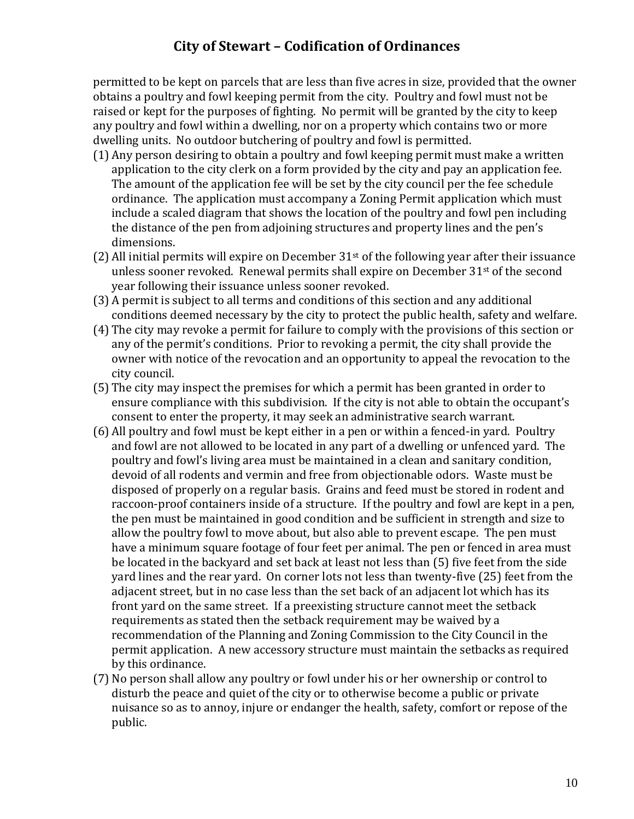permitted to be kept on parcels that are less than five acres in size, provided that the owner obtains a poultry and fowl keeping permit from the city. Poultry and fowl must not be raised or kept for the purposes of fighting. No permit will be granted by the city to keep any poultry and fowl within a dwelling, nor on a property which contains two or more dwelling units. No outdoor butchering of poultry and fowl is permitted.

- (1) Any person desiring to obtain a poultry and fowl keeping permit must make a written application to the city clerk on a form provided by the city and pay an application fee. The amount of the application fee will be set by the city council per the fee schedule ordinance. The application must accompany a Zoning Permit application which must include a scaled diagram that shows the location of the poultry and fowl pen including the distance of the pen from adjoining structures and property lines and the pen's dimensions.
- (2) All initial permits will expire on December  $31<sup>st</sup>$  of the following year after their issuance unless sooner revoked. Renewal permits shall expire on December  $31<sup>st</sup>$  of the second year following their issuance unless sooner revoked.
- (3) A permit is subject to all terms and conditions of this section and any additional conditions deemed necessary by the city to protect the public health, safety and welfare.
- (4) The city may revoke a permit for failure to comply with the provisions of this section or any of the permit's conditions. Prior to revoking a permit, the city shall provide the owner with notice of the revocation and an opportunity to appeal the revocation to the city council.
- (5) The city may inspect the premises for which a permit has been granted in order to ensure compliance with this subdivision. If the city is not able to obtain the occupant's consent to enter the property, it may seek an administrative search warrant.
- (6) All poultry and fowl must be kept either in a pen or within a fenced-in yard. Poultry and fowl are not allowed to be located in any part of a dwelling or unfenced yard. The poultry and fowl's living area must be maintained in a clean and sanitary condition, devoid of all rodents and vermin and free from objectionable odors. Waste must be disposed of properly on a regular basis. Grains and feed must be stored in rodent and raccoon-proof containers inside of a structure. If the poultry and fowl are kept in a pen, the pen must be maintained in good condition and be sufficient in strength and size to allow the poultry fowl to move about, but also able to prevent escape. The pen must have a minimum square footage of four feet per animal. The pen or fenced in area must be located in the backyard and set back at least not less than (5) five feet from the side yard lines and the rear yard. On corner lots not less than twenty-five (25) feet from the adjacent street, but in no case less than the set back of an adjacent lot which has its front yard on the same street. If a preexisting structure cannot meet the setback requirements as stated then the setback requirement may be waived by a recommendation of the Planning and Zoning Commission to the City Council in the permit application. A new accessory structure must maintain the setbacks as required by this ordinance.
- (7) No person shall allow any poultry or fowl under his or her ownership or control to disturb the peace and quiet of the city or to otherwise become a public or private nuisance so as to annoy, injure or endanger the health, safety, comfort or repose of the public.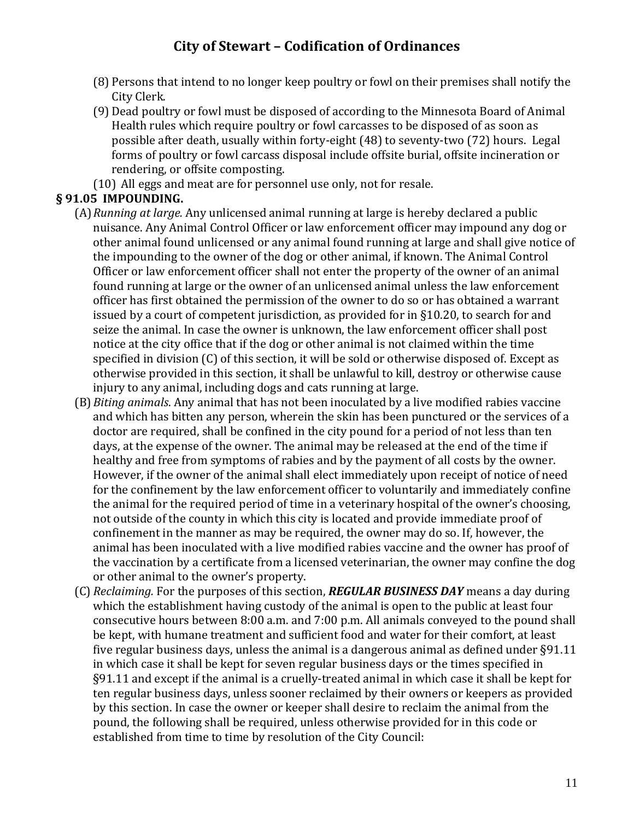- (8) Persons that intend to no longer keep poultry or fowl on their premises shall notify the City Clerk.
- (9) Dead poultry or fowl must be disposed of according to the Minnesota Board of Animal Health rules which require poultry or fowl carcasses to be disposed of as soon as possible after death, usually within forty-eight (48) to seventy-two (72) hours. Legal forms of poultry or fowl carcass disposal include offsite burial, offsite incineration or rendering, or offsite composting.
- (10) All eggs and meat are for personnel use only, not for resale.

#### **§ 91.05 IMPOUNDING.**

- (A)*Running at large.* Any unlicensed animal running at large is hereby declared a public nuisance. Any Animal Control Officer or law enforcement officer may impound any dog or other animal found unlicensed or any animal found running at large and shall give notice of the impounding to the owner of the dog or other animal, if known. The Animal Control Officer or law enforcement officer shall not enter the property of the owner of an animal found running at large or the owner of an unlicensed animal unless the law enforcement officer has first obtained the permission of the owner to do so or has obtained a warrant issued by a court of competent jurisdiction, as provided for in §10.20, to search for and seize the animal. In case the owner is unknown, the law enforcement officer shall post notice at the city office that if the dog or other animal is not claimed within the time specified in division (C) of this section, it will be sold or otherwise disposed of. Except as otherwise provided in this section, it shall be unlawful to kill, destroy or otherwise cause injury to any animal, including dogs and cats running at large.
- (B)*Biting animals*. Any animal that has not been inoculated by a live modified rabies vaccine and which has bitten any person, wherein the skin has been punctured or the services of a doctor are required, shall be confined in the city pound for a period of not less than ten days, at the expense of the owner. The animal may be released at the end of the time if healthy and free from symptoms of rabies and by the payment of all costs by the owner. However, if the owner of the animal shall elect immediately upon receipt of notice of need for the confinement by the law enforcement officer to voluntarily and immediately confine the animal for the required period of time in a veterinary hospital of the owner's choosing, not outside of the county in which this city is located and provide immediate proof of confinement in the manner as may be required, the owner may do so. If, however, the animal has been inoculated with a live modified rabies vaccine and the owner has proof of the vaccination by a certificate from a licensed veterinarian, the owner may confine the dog or other animal to the owner's property.
- (C) *Reclaiming.* For the purposes of this section, *REGULAR BUSINESS DAY* means a day during which the establishment having custody of the animal is open to the public at least four consecutive hours between 8:00 a.m. and 7:00 p.m. All animals conveyed to the pound shall be kept, with humane treatment and sufficient food and water for their comfort, at least five regular business days, unless the animal is a dangerous animal as defined under §91.11 in which case it shall be kept for seven regular business days or the times specified in §91.11 and except if the animal is a cruelly-treated animal in which case it shall be kept for ten regular business days, unless sooner reclaimed by their owners or keepers as provided by this section. In case the owner or keeper shall desire to reclaim the animal from the pound, the following shall be required, unless otherwise provided for in this code or established from time to time by resolution of the City Council: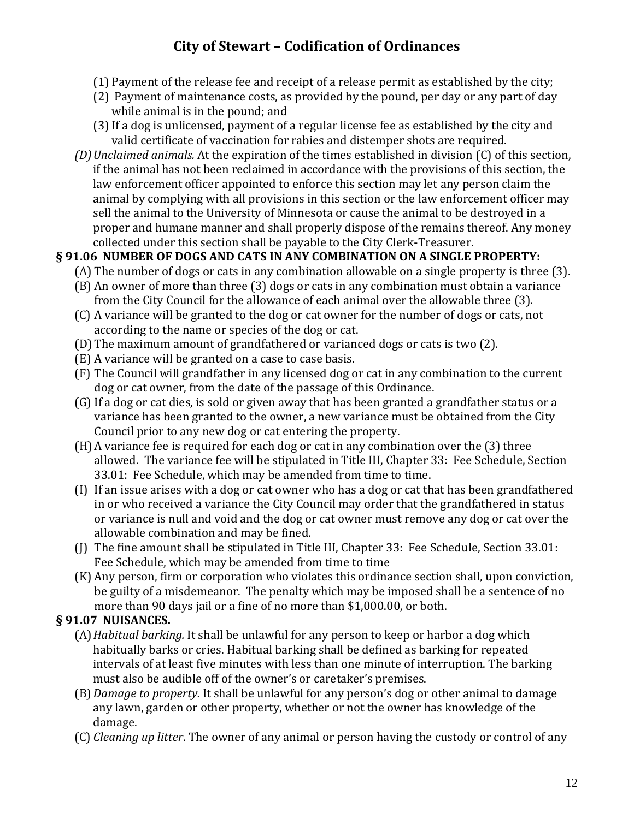- (1) Payment of the release fee and receipt of a release permit as established by the city;
- (2) Payment of maintenance costs, as provided by the pound, per day or any part of day while animal is in the pound; and
- (3)If a dog is unlicensed, payment of a regular license fee as established by the city and valid certificate of vaccination for rabies and distemper shots are required.
- *(D)Unclaimed animals.* At the expiration of the times established in division (C) of this section, if the animal has not been reclaimed in accordance with the provisions of this section, the law enforcement officer appointed to enforce this section may let any person claim the animal by complying with all provisions in this section or the law enforcement officer may sell the animal to the University of Minnesota or cause the animal to be destroyed in a proper and humane manner and shall properly dispose of the remains thereof. Any money collected under this section shall be payable to the City Clerk-Treasurer.

### **§ 91.06 NUMBER OF DOGS AND CATS IN ANY COMBINATION ON A SINGLE PROPERTY:**

- (A) The number of dogs or cats in any combination allowable on a single property is three (3).
- (B) An owner of more than three (3) dogs or cats in any combination must obtain a variance from the City Council for the allowance of each animal over the allowable three (3).
- (C) A variance will be granted to the dog or cat owner for the number of dogs or cats, not according to the name or species of the dog or cat.
- (D) The maximum amount of grandfathered or varianced dogs or cats is two (2).
- (E) A variance will be granted on a case to case basis.
- (F) The Council will grandfather in any licensed dog or cat in any combination to the current dog or cat owner, from the date of the passage of this Ordinance.
- (G) If a dog or cat dies, is sold or given away that has been granted a grandfather status or a variance has been granted to the owner, a new variance must be obtained from the City Council prior to any new dog or cat entering the property.
- (H)A variance fee is required for each dog or cat in any combination over the (3) three allowed. The variance fee will be stipulated in Title III, Chapter 33: Fee Schedule, Section 33.01: Fee Schedule, which may be amended from time to time.
- (I) If an issue arises with a dog or cat owner who has a dog or cat that has been grandfathered in or who received a variance the City Council may order that the grandfathered in status or variance is null and void and the dog or cat owner must remove any dog or cat over the allowable combination and may be fined.
- (J) The fine amount shall be stipulated in Title III, Chapter 33: Fee Schedule, Section 33.01: Fee Schedule, which may be amended from time to time
- (K) Any person, firm or corporation who violates this ordinance section shall, upon conviction, be guilty of a misdemeanor. The penalty which may be imposed shall be a sentence of no more than 90 days jail or a fine of no more than \$1,000.00, or both.

### **§ 91.07 NUISANCES.**

- (A)*Habitual barking.* It shall be unlawful for any person to keep or harbor a dog which habitually barks or cries. Habitual barking shall be defined as barking for repeated intervals of at least five minutes with less than one minute of interruption. The barking must also be audible off of the owner's or caretaker's premises.
- (B)*Damage to property.* It shall be unlawful for any person's dog or other animal to damage any lawn, garden or other property, whether or not the owner has knowledge of the damage.
- (C) *Cleaning up litter*. The owner of any animal or person having the custody or control of any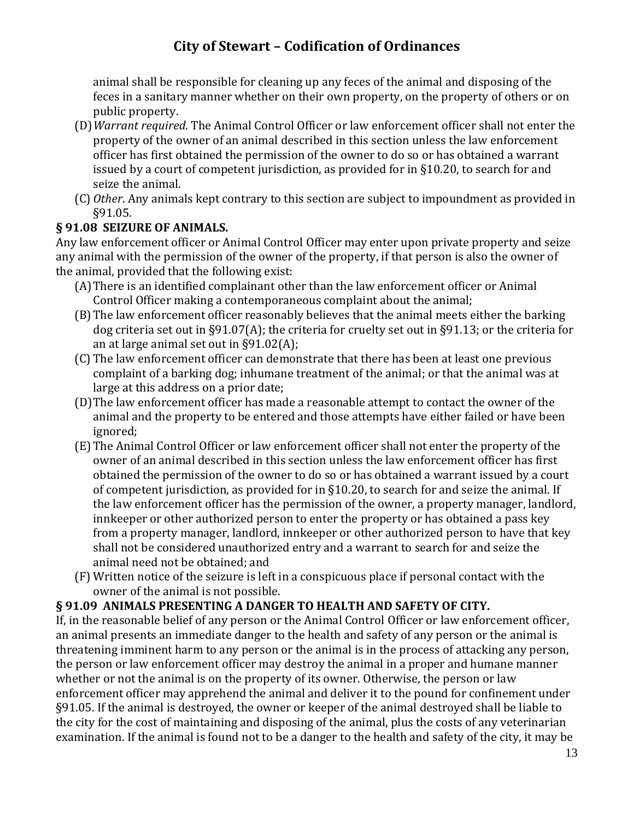animal shall be responsible for cleaning up any feces of the animal and disposing of the feces in a sanitary manner whether on their own property, on the property of others or on public property.

- (D)*Warrant required*. The Animal Control Officer or law enforcement officer shall not enter the property of the owner of an animal described in this section unless the law enforcement officer has first obtained the permission of the owner to do so or has obtained a warrant issued by a court of competent jurisdiction, as provided for in §10.20, to search for and seize the animal.
- (C) *Other*. Any animals kept contrary to this section are subject to impoundment as provided in §91.05.

### **§ 91.08 SEIZURE OF ANIMALS.**

Any law enforcement officer or Animal Control Officer may enter upon private property and seize any animal with the permission of the owner of the property, if that person is also the owner of the animal, provided that the following exist:

- (A)There is an identified complainant other than the law enforcement officer or Animal Control Officer making a contemporaneous complaint about the animal;
- (B)The law enforcement officer reasonably believes that the animal meets either the barking dog criteria set out in §91.07(A); the criteria for cruelty set out in §91.13; or the criteria for an at large animal set out in §91.02(A);
- (C) The law enforcement officer can demonstrate that there has been at least one previous complaint of a barking dog; inhumane treatment of the animal; or that the animal was at large at this address on a prior date;
- (D)The law enforcement officer has made a reasonable attempt to contact the owner of the animal and the property to be entered and those attempts have either failed or have been ignored;
- (E) The Animal Control Officer or law enforcement officer shall not enter the property of the owner of an animal described in this section unless the law enforcement officer has first obtained the permission of the owner to do so or has obtained a warrant issued by a court of competent jurisdiction, as provided for in §10.20, to search for and seize the animal. If the law enforcement officer has the permission of the owner, a property manager, landlord, innkeeper or other authorized person to enter the property or has obtained a pass key from a property manager, landlord, innkeeper or other authorized person to have that key shall not be considered unauthorized entry and a warrant to search for and seize the animal need not be obtained; and
- (F) Written notice of the seizure is left in a conspicuous place if personal contact with the owner of the animal is not possible.

### **§ 91.09 ANIMALS PRESENTING A DANGER TO HEALTH AND SAFETY OF CITY.**

If, in the reasonable belief of any person or the Animal Control Officer or law enforcement officer, an animal presents an immediate danger to the health and safety of any person or the animal is threatening imminent harm to any person or the animal is in the process of attacking any person, the person or law enforcement officer may destroy the animal in a proper and humane manner whether or not the animal is on the property of its owner. Otherwise, the person or law enforcement officer may apprehend the animal and deliver it to the pound for confinement under §91.05. If the animal is destroyed, the owner or keeper of the animal destroyed shall be liable to the city for the cost of maintaining and disposing of the animal, plus the costs of any veterinarian examination. If the animal is found not to be a danger to the health and safety of the city, it may be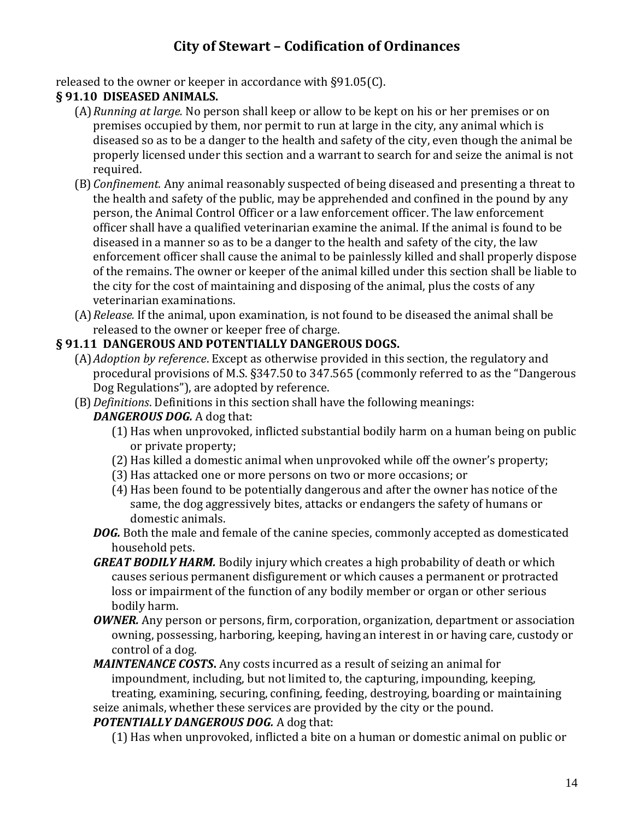released to the owner or keeper in accordance with §91.05(C).

### **§ 91.10 DISEASED ANIMALS.**

- (A)*Running at large.* No person shall keep or allow to be kept on his or her premises or on premises occupied by them, nor permit to run at large in the city, any animal which is diseased so as to be a danger to the health and safety of the city, even though the animal be properly licensed under this section and a warrant to search for and seize the animal is not required.
- (B)*Confinement.* Any animal reasonably suspected of being diseased and presenting a threat to the health and safety of the public, may be apprehended and confined in the pound by any person, the Animal Control Officer or a law enforcement officer. The law enforcement officer shall have a qualified veterinarian examine the animal. If the animal is found to be diseased in a manner so as to be a danger to the health and safety of the city, the law enforcement officer shall cause the animal to be painlessly killed and shall properly dispose of the remains. The owner or keeper of the animal killed under this section shall be liable to the city for the cost of maintaining and disposing of the animal, plus the costs of any veterinarian examinations.
- (A)*Release.* If the animal, upon examination, is not found to be diseased the animal shall be released to the owner or keeper free of charge.

### **§ 91.11 DANGEROUS AND POTENTIALLY DANGEROUS DOGS.**

- (A)*Adoption by reference*. Except as otherwise provided in this section, the regulatory and procedural provisions of M.S. §347.50 to 347.565 (commonly referred to as the "Dangerous Dog Regulations"), are adopted by reference.
- (B)*Definitions*. Definitions in this section shall have the following meanings:

#### *DANGEROUS DOG.* A dog that:

- (1) Has when unprovoked, inflicted substantial bodily harm on a human being on public or private property;
- (2) Has killed a domestic animal when unprovoked while off the owner's property;
- (3) Has attacked one or more persons on two or more occasions; or
- (4) Has been found to be potentially dangerous and after the owner has notice of the same, the dog aggressively bites, attacks or endangers the safety of humans or domestic animals.
- *DOG.* Both the male and female of the canine species, commonly accepted as domesticated household pets.
- *GREAT BODILY HARM.* Bodily injury which creates a high probability of death or which causes serious permanent disfigurement or which causes a permanent or protracted loss or impairment of the function of any bodily member or organ or other serious bodily harm.
- *OWNER.* Any person or persons, firm, corporation, organization, department or association owning, possessing, harboring, keeping, having an interest in or having care, custody or control of a dog.

*MAINTENANCE COSTS***.** Any costs incurred as a result of seizing an animal for impoundment, including, but not limited to, the capturing, impounding, keeping, treating, examining, securing, confining, feeding, destroying, boarding or maintaining

seize animals, whether these services are provided by the city or the pound.

#### *POTENTIALLY DANGEROUS DOG.* A dog that:

(1) Has when unprovoked, inflicted a bite on a human or domestic animal on public or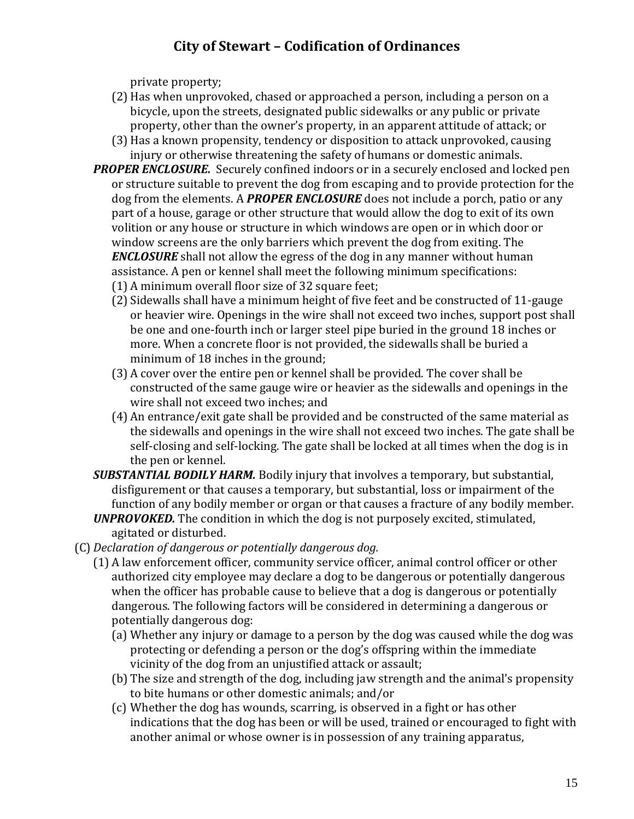private property;

- (2) Has when unprovoked, chased or approached a person, including a person on a bicycle, upon the streets, designated public sidewalks or any public or private property, other than the owner's property, in an apparent attitude of attack; or
- (3) Has a known propensity, tendency or disposition to attack unprovoked, causing injury or otherwise threatening the safety of humans or domestic animals.
- *PROPER ENCLOSURE.* Securely confined indoors or in a securely enclosed and locked pen or structure suitable to prevent the dog from escaping and to provide protection for the dog from the elements. A *PROPER ENCLOSURE* does not include a porch, patio or any part of a house, garage or other structure that would allow the dog to exit of its own volition or any house or structure in which windows are open or in which door or window screens are the only barriers which prevent the dog from exiting. The *ENCLOSURE* shall not allow the egress of the dog in any manner without human assistance. A pen or kennel shall meet the following minimum specifications:
	- (1) A minimum overall floor size of 32 square feet:
	- (2) Sidewalls shall have a minimum height of five feet and be constructed of 11-gauge or heavier wire. Openings in the wire shall not exceed two inches, support post shall be one and one-fourth inch or larger steel pipe buried in the ground 18 inches or more. When a concrete floor is not provided, the sidewalls shall be buried a minimum of 18 inches in the ground;
	- (3) A cover over the entire pen or kennel shall be provided. The cover shall be constructed of the same gauge wire or heavier as the sidewalls and openings in the wire shall not exceed two inches; and
	- (4) An entrance/exit gate shall be provided and be constructed of the same material as the sidewalls and openings in the wire shall not exceed two inches. The gate shall be self-closing and self-locking. The gate shall be locked at all times when the dog is in the pen or kennel.
- *SUBSTANTIAL BODILY HARM.* Bodily injury that involves a temporary, but substantial, disfigurement or that causes a temporary, but substantial, loss or impairment of the function of any bodily member or organ or that causes a fracture of any bodily member.
- *UNPROVOKED.* The condition in which the dog is not purposely excited, stimulated, agitated or disturbed.
- (C) *Declaration of dangerous or potentially dangerous dog.*
	- (1) A law enforcement officer, community service officer, animal control officer or other authorized city employee may declare a dog to be dangerous or potentially dangerous when the officer has probable cause to believe that a dog is dangerous or potentially dangerous. The following factors will be considered in determining a dangerous or potentially dangerous dog:
		- (a) Whether any injury or damage to a person by the dog was caused while the dog was protecting or defending a person or the dog's offspring within the immediate vicinity of the dog from an unjustified attack or assault;
		- (b) The size and strength of the dog, including jaw strength and the animal's propensity to bite humans or other domestic animals; and/or
		- (c) Whether the dog has wounds, scarring, is observed in a fight or has other indications that the dog has been or will be used, trained or encouraged to fight with another animal or whose owner is in possession of any training apparatus,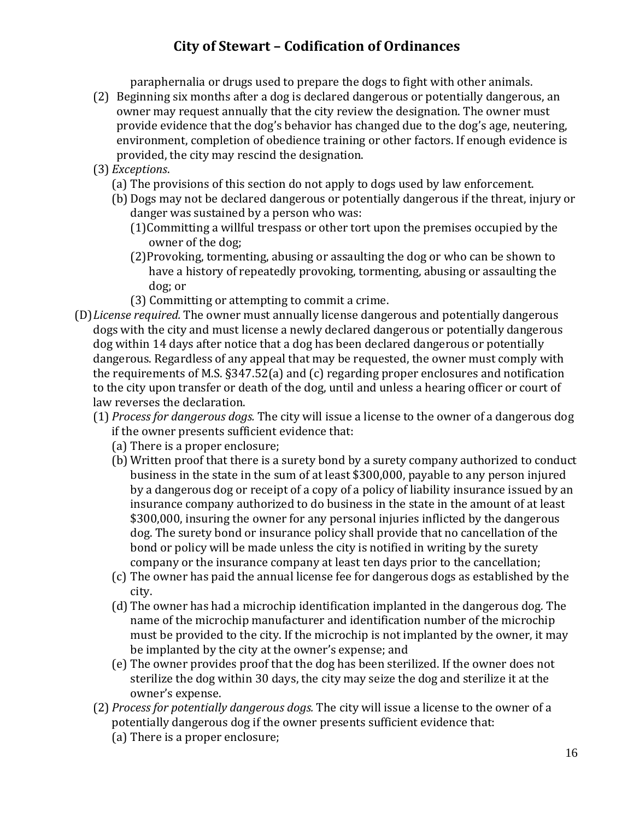paraphernalia or drugs used to prepare the dogs to fight with other animals.

- (2) Beginning six months after a dog is declared dangerous or potentially dangerous, an owner may request annually that the city review the designation. The owner must provide evidence that the dog's behavior has changed due to the dog's age, neutering, environment, completion of obedience training or other factors. If enough evidence is provided, the city may rescind the designation.
- (3) *Exceptions*.
	- (a) The provisions of this section do not apply to dogs used by law enforcement.
	- (b) Dogs may not be declared dangerous or potentially dangerous if the threat, injury or danger was sustained by a person who was:
		- (1)Committing a willful trespass or other tort upon the premises occupied by the owner of the dog;
		- (2)Provoking, tormenting, abusing or assaulting the dog or who can be shown to have a history of repeatedly provoking, tormenting, abusing or assaulting the dog; or
		- (3) Committing or attempting to commit a crime.
- (D)*License required.* The owner must annually license dangerous and potentially dangerous dogs with the city and must license a newly declared dangerous or potentially dangerous dog within 14 days after notice that a dog has been declared dangerous or potentially dangerous. Regardless of any appeal that may be requested, the owner must comply with the requirements of M.S. §347.52(a) and (c) regarding proper enclosures and notification to the city upon transfer or death of the dog, until and unless a hearing officer or court of law reverses the declaration.
	- (1) *Process for dangerous dogs.* The city will issue a license to the owner of a dangerous dog if the owner presents sufficient evidence that:
		- (a) There is a proper enclosure;
		- (b) Written proof that there is a surety bond by a surety company authorized to conduct business in the state in the sum of at least \$300,000, payable to any person injured by a dangerous dog or receipt of a copy of a policy of liability insurance issued by an insurance company authorized to do business in the state in the amount of at least \$300,000, insuring the owner for any personal injuries inflicted by the dangerous dog. The surety bond or insurance policy shall provide that no cancellation of the bond or policy will be made unless the city is notified in writing by the surety company or the insurance company at least ten days prior to the cancellation;
		- (c) The owner has paid the annual license fee for dangerous dogs as established by the city.
		- (d) The owner has had a microchip identification implanted in the dangerous dog. The name of the microchip manufacturer and identification number of the microchip must be provided to the city. If the microchip is not implanted by the owner, it may be implanted by the city at the owner's expense; and
		- (e) The owner provides proof that the dog has been sterilized. If the owner does not sterilize the dog within 30 days, the city may seize the dog and sterilize it at the owner's expense.
	- (2) *Process for potentially dangerous dogs.* The city will issue a license to the owner of a potentially dangerous dog if the owner presents sufficient evidence that:
		- (a) There is a proper enclosure;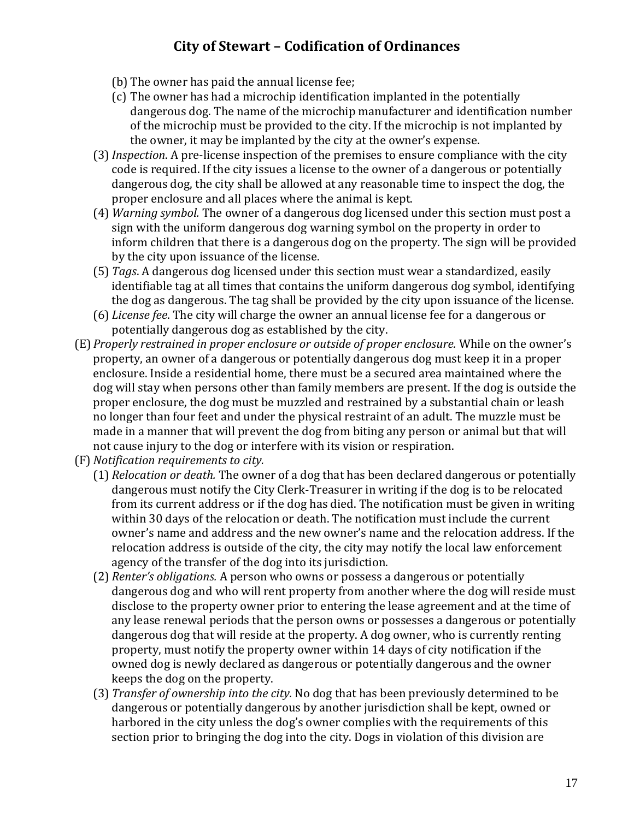- (b) The owner has paid the annual license fee;
- (c) The owner has had a microchip identification implanted in the potentially dangerous dog. The name of the microchip manufacturer and identification number of the microchip must be provided to the city. If the microchip is not implanted by the owner, it may be implanted by the city at the owner's expense.
- (3)*Inspection*. A pre-license inspection of the premises to ensure compliance with the city code is required. If the city issues a license to the owner of a dangerous or potentially dangerous dog, the city shall be allowed at any reasonable time to inspect the dog, the proper enclosure and all places where the animal is kept.
- (4) *Warning symbol.* The owner of a dangerous dog licensed under this section must post a sign with the uniform dangerous dog warning symbol on the property in order to inform children that there is a dangerous dog on the property. The sign will be provided by the city upon issuance of the license.
- (5) *Tags*. A dangerous dog licensed under this section must wear a standardized, easily identifiable tag at all times that contains the uniform dangerous dog symbol, identifying the dog as dangerous. The tag shall be provided by the city upon issuance of the license.
- (6) *License fee*. The city will charge the owner an annual license fee for a dangerous or potentially dangerous dog as established by the city.
- (E) *Properly restrained in proper enclosure or outside of proper enclosure.* While on the owner's property, an owner of a dangerous or potentially dangerous dog must keep it in a proper enclosure. Inside a residential home, there must be a secured area maintained where the dog will stay when persons other than family members are present. If the dog is outside the proper enclosure, the dog must be muzzled and restrained by a substantial chain or leash no longer than four feet and under the physical restraint of an adult. The muzzle must be made in a manner that will prevent the dog from biting any person or animal but that will not cause injury to the dog or interfere with its vision or respiration.
- (F) *Notification requirements to city.*
	- (1) *Relocation or death.* The owner of a dog that has been declared dangerous or potentially dangerous must notify the City Clerk-Treasurer in writing if the dog is to be relocated from its current address or if the dog has died. The notification must be given in writing within 30 days of the relocation or death. The notification must include the current owner's name and address and the new owner's name and the relocation address. If the relocation address is outside of the city, the city may notify the local law enforcement agency of the transfer of the dog into its jurisdiction.
	- (2) *Renter's obligations.* A person who owns or possess a dangerous or potentially dangerous dog and who will rent property from another where the dog will reside must disclose to the property owner prior to entering the lease agreement and at the time of any lease renewal periods that the person owns or possesses a dangerous or potentially dangerous dog that will reside at the property. A dog owner, who is currently renting property, must notify the property owner within 14 days of city notification if the owned dog is newly declared as dangerous or potentially dangerous and the owner keeps the dog on the property.
	- (3) *Transfer of ownership into the city.* No dog that has been previously determined to be dangerous or potentially dangerous by another jurisdiction shall be kept, owned or harbored in the city unless the dog's owner complies with the requirements of this section prior to bringing the dog into the city. Dogs in violation of this division are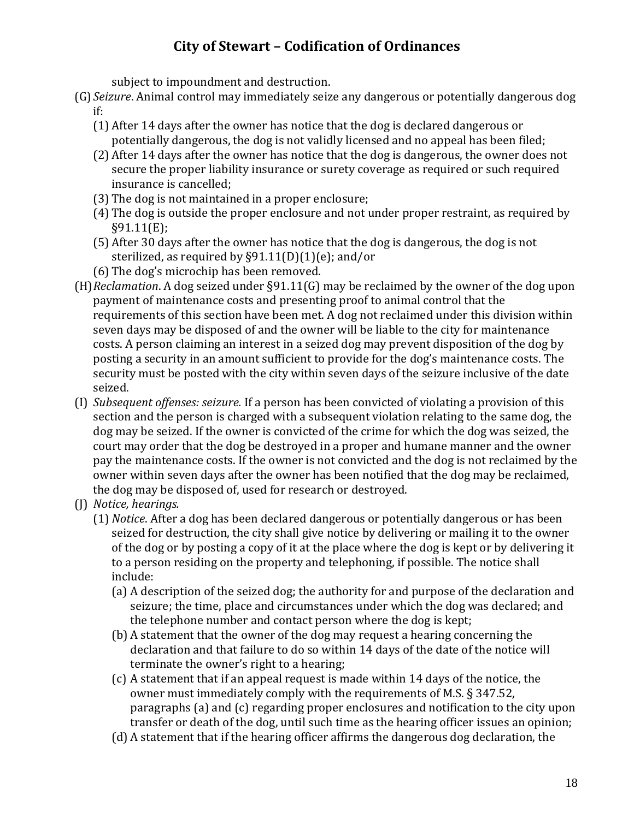subject to impoundment and destruction.

- (G) *Seizure*. Animal control may immediately seize any dangerous or potentially dangerous dog if:
	- (1) After 14 days after the owner has notice that the dog is declared dangerous or potentially dangerous, the dog is not validly licensed and no appeal has been filed;
	- (2) After 14 days after the owner has notice that the dog is dangerous, the owner does not secure the proper liability insurance or surety coverage as required or such required insurance is cancelled;
	- (3) The dog is not maintained in a proper enclosure;
	- (4) The dog is outside the proper enclosure and not under proper restraint, as required by §91.11(E);
	- (5) After 30 days after the owner has notice that the dog is dangerous, the dog is not sterilized, as required by §91.11(D)(1)(e); and/or
	- (6) The dog's microchip has been removed.
- (H)*Reclamation*. A dog seized under §91.11(G) may be reclaimed by the owner of the dog upon payment of maintenance costs and presenting proof to animal control that the requirements of this section have been met. A dog not reclaimed under this division within seven days may be disposed of and the owner will be liable to the city for maintenance costs. A person claiming an interest in a seized dog may prevent disposition of the dog by posting a security in an amount sufficient to provide for the dog's maintenance costs. The security must be posted with the city within seven days of the seizure inclusive of the date seized.
- (I) *Subsequent offenses: seizure.* If a person has been convicted of violating a provision of this section and the person is charged with a subsequent violation relating to the same dog, the dog may be seized. If the owner is convicted of the crime for which the dog was seized, the court may order that the dog be destroyed in a proper and humane manner and the owner pay the maintenance costs. If the owner is not convicted and the dog is not reclaimed by the owner within seven days after the owner has been notified that the dog may be reclaimed, the dog may be disposed of, used for research or destroyed.
- (J) *Notice, hearings.*
	- (1) *Notice*. After a dog has been declared dangerous or potentially dangerous or has been seized for destruction, the city shall give notice by delivering or mailing it to the owner of the dog or by posting a copy of it at the place where the dog is kept or by delivering it to a person residing on the property and telephoning, if possible. The notice shall include:
		- (a) A description of the seized dog; the authority for and purpose of the declaration and seizure; the time, place and circumstances under which the dog was declared; and the telephone number and contact person where the dog is kept;
		- (b) A statement that the owner of the dog may request a hearing concerning the declaration and that failure to do so within 14 days of the date of the notice will terminate the owner's right to a hearing;
		- (c) A statement that if an appeal request is made within 14 days of the notice, the owner must immediately comply with the requirements of M.S. § 347.52, paragraphs (a) and (c) regarding proper enclosures and notification to the city upon transfer or death of the dog, until such time as the hearing officer issues an opinion;
		- (d) A statement that if the hearing officer affirms the dangerous dog declaration, the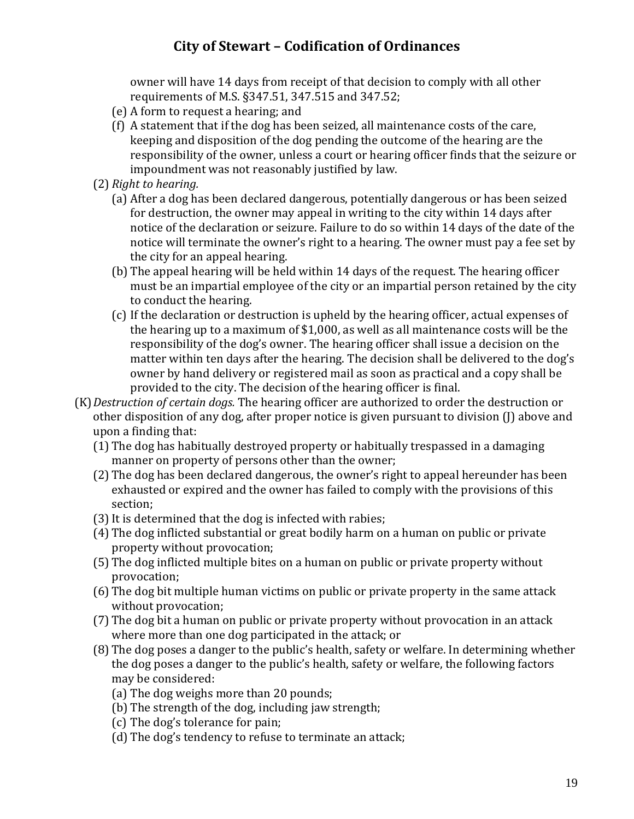owner will have 14 days from receipt of that decision to comply with all other requirements of M.S. §347.51, 347.515 and 347.52;

- (e) A form to request a hearing; and
- (f) A statement that if the dog has been seized, all maintenance costs of the care, keeping and disposition of the dog pending the outcome of the hearing are the responsibility of the owner, unless a court or hearing officer finds that the seizure or impoundment was not reasonably justified by law.
- (2) *Right to hearing.*
	- (a) After a dog has been declared dangerous, potentially dangerous or has been seized for destruction, the owner may appeal in writing to the city within 14 days after notice of the declaration or seizure. Failure to do so within 14 days of the date of the notice will terminate the owner's right to a hearing. The owner must pay a fee set by the city for an appeal hearing.
	- (b) The appeal hearing will be held within 14 days of the request. The hearing officer must be an impartial employee of the city or an impartial person retained by the city to conduct the hearing.
	- (c) If the declaration or destruction is upheld by the hearing officer, actual expenses of the hearing up to a maximum of \$1,000, as well as all maintenance costs will be the responsibility of the dog's owner. The hearing officer shall issue a decision on the matter within ten days after the hearing. The decision shall be delivered to the dog's owner by hand delivery or registered mail as soon as practical and a copy shall be provided to the city. The decision of the hearing officer is final.
- (K)*Destruction of certain dogs.* The hearing officer are authorized to order the destruction or other disposition of any dog, after proper notice is given pursuant to division (J) above and upon a finding that:
	- (1) The dog has habitually destroyed property or habitually trespassed in a damaging manner on property of persons other than the owner;
	- (2) The dog has been declared dangerous, the owner's right to appeal hereunder has been exhausted or expired and the owner has failed to comply with the provisions of this section;
	- (3)It is determined that the dog is infected with rabies;
	- (4) The dog inflicted substantial or great bodily harm on a human on public or private property without provocation;
	- (5) The dog inflicted multiple bites on a human on public or private property without provocation;
	- (6) The dog bit multiple human victims on public or private property in the same attack without provocation;
	- (7) The dog bit a human on public or private property without provocation in an attack where more than one dog participated in the attack; or
	- (8) The dog poses a danger to the public's health, safety or welfare. In determining whether the dog poses a danger to the public's health, safety or welfare, the following factors may be considered:
		- (a) The dog weighs more than 20 pounds;
		- (b) The strength of the dog, including jaw strength;
		- (c) The dog's tolerance for pain;
		- (d) The dog's tendency to refuse to terminate an attack;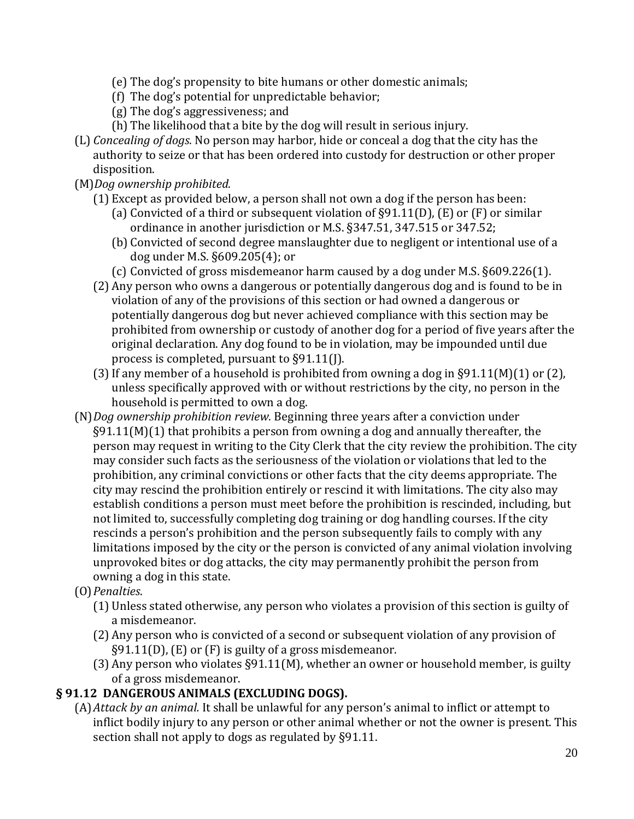- (e) The dog's propensity to bite humans or other domestic animals;
- (f) The dog's potential for unpredictable behavior;
- (g) The dog's aggressiveness; and
- (h) The likelihood that a bite by the dog will result in serious injury.
- (L) *Concealing of dogs.* No person may harbor, hide or conceal a dog that the city has the authority to seize or that has been ordered into custody for destruction or other proper disposition.

### (M)*Dog ownership prohibited.*

- (1) Except as provided below, a person shall not own a dog if the person has been:
	- (a) Convicted of a third or subsequent violation of §91.11(D), (E) or (F) or similar ordinance in another jurisdiction or M.S. §347.51, 347.515 or 347.52;
	- (b) Convicted of second degree manslaughter due to negligent or intentional use of a dog under M.S. §609.205(4); or
	- (c) Convicted of gross misdemeanor harm caused by a dog under M.S. §609.226(1).
- (2) Any person who owns a dangerous or potentially dangerous dog and is found to be in violation of any of the provisions of this section or had owned a dangerous or potentially dangerous dog but never achieved compliance with this section may be prohibited from ownership or custody of another dog for a period of five years after the original declaration. Any dog found to be in violation, may be impounded until due process is completed, pursuant to §91.11(J).
- (3) If any member of a household is prohibited from owning a dog in  $\S91.11(M)(1)$  or (2), unless specifically approved with or without restrictions by the city, no person in the household is permitted to own a dog.
- (N)*Dog ownership prohibition review.* Beginning three years after a conviction under  $\S91.11(M)(1)$  that prohibits a person from owning a dog and annually thereafter, the person may request in writing to the City Clerk that the city review the prohibition. The city may consider such facts as the seriousness of the violation or violations that led to the prohibition, any criminal convictions or other facts that the city deems appropriate. The city may rescind the prohibition entirely or rescind it with limitations. The city also may establish conditions a person must meet before the prohibition is rescinded, including, but not limited to, successfully completing dog training or dog handling courses. If the city rescinds a person's prohibition and the person subsequently fails to comply with any limitations imposed by the city or the person is convicted of any animal violation involving unprovoked bites or dog attacks, the city may permanently prohibit the person from owning a dog in this state.
- (O)*Penalties*.
	- (1) Unless stated otherwise, any person who violates a provision of this section is guilty of a misdemeanor.
	- (2) Any person who is convicted of a second or subsequent violation of any provision of §91.11(D), (E) or (F) is guilty of a gross misdemeanor.
	- (3) Any person who violates §91.11(M), whether an owner or household member, is guilty of a gross misdemeanor.

### **§ 91.12 DANGEROUS ANIMALS (EXCLUDING DOGS).**

(A)*Attack by an animal.* It shall be unlawful for any person's animal to inflict or attempt to inflict bodily injury to any person or other animal whether or not the owner is present. This section shall not apply to dogs as regulated by §91.11.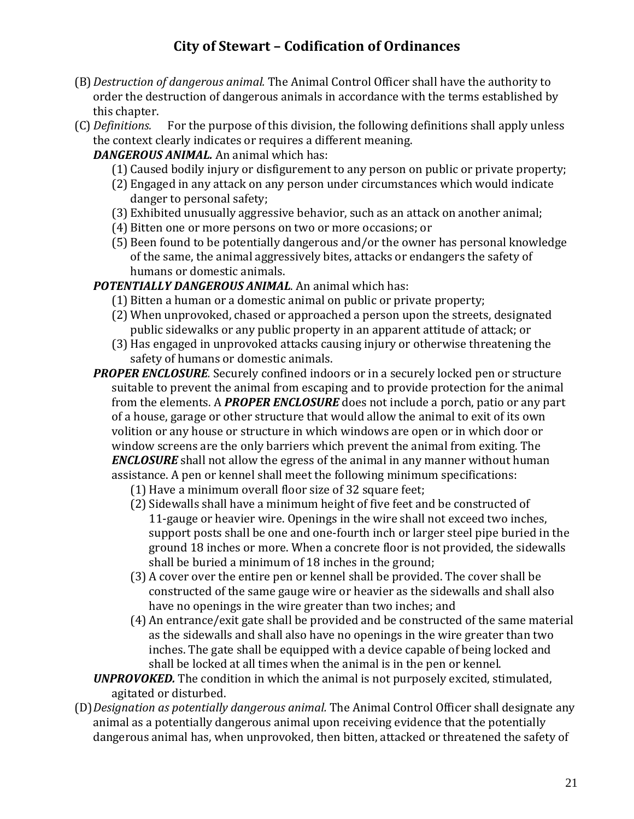- (B)*Destruction of dangerous animal.* The Animal Control Officer shall have the authority to order the destruction of dangerous animals in accordance with the terms established by this chapter.
- (C) *Definitions.* For the purpose of this division, the following definitions shall apply unless the context clearly indicates or requires a different meaning.

*DANGEROUS ANIMAL.* An animal which has:

- (1) Caused bodily injury or disfigurement to any person on public or private property;
- (2) Engaged in any attack on any person under circumstances which would indicate danger to personal safety;
- (3) Exhibited unusually aggressive behavior, such as an attack on another animal;
- (4) Bitten one or more persons on two or more occasions; or
- (5) Been found to be potentially dangerous and/or the owner has personal knowledge of the same, the animal aggressively bites, attacks or endangers the safety of humans or domestic animals.

### *POTENTIALLY DANGEROUS ANIMAL*. An animal which has:

- (1) Bitten a human or a domestic animal on public or private property;
- (2) When unprovoked, chased or approached a person upon the streets, designated public sidewalks or any public property in an apparent attitude of attack; or
- (3) Has engaged in unprovoked attacks causing injury or otherwise threatening the safety of humans or domestic animals.
- **PROPER ENCLOSURE**. Securely confined indoors or in a securely locked pen or structure suitable to prevent the animal from escaping and to provide protection for the animal from the elements. A *PROPER ENCLOSURE* does not include a porch, patio or any part of a house, garage or other structure that would allow the animal to exit of its own volition or any house or structure in which windows are open or in which door or window screens are the only barriers which prevent the animal from exiting. The *ENCLOSURE* shall not allow the egress of the animal in any manner without human assistance. A pen or kennel shall meet the following minimum specifications: (1) Have a minimum overall floor size of 32 square feet;
	- (2) Sidewalls shall have a minimum height of five feet and be constructed of
		- 11-gauge or heavier wire. Openings in the wire shall not exceed two inches, support posts shall be one and one-fourth inch or larger steel pipe buried in the ground 18 inches or more. When a concrete floor is not provided, the sidewalls shall be buried a minimum of 18 inches in the ground;
	- (3) A cover over the entire pen or kennel shall be provided. The cover shall be constructed of the same gauge wire or heavier as the sidewalls and shall also have no openings in the wire greater than two inches; and
	- (4) An entrance/exit gate shall be provided and be constructed of the same material as the sidewalls and shall also have no openings in the wire greater than two inches. The gate shall be equipped with a device capable of being locked and shall be locked at all times when the animal is in the pen or kennel.
- *UNPROVOKED.* The condition in which the animal is not purposely excited, stimulated, agitated or disturbed.
- (D)*Designation as potentially dangerous animal.* The Animal Control Officer shall designate any animal as a potentially dangerous animal upon receiving evidence that the potentially dangerous animal has, when unprovoked, then bitten, attacked or threatened the safety of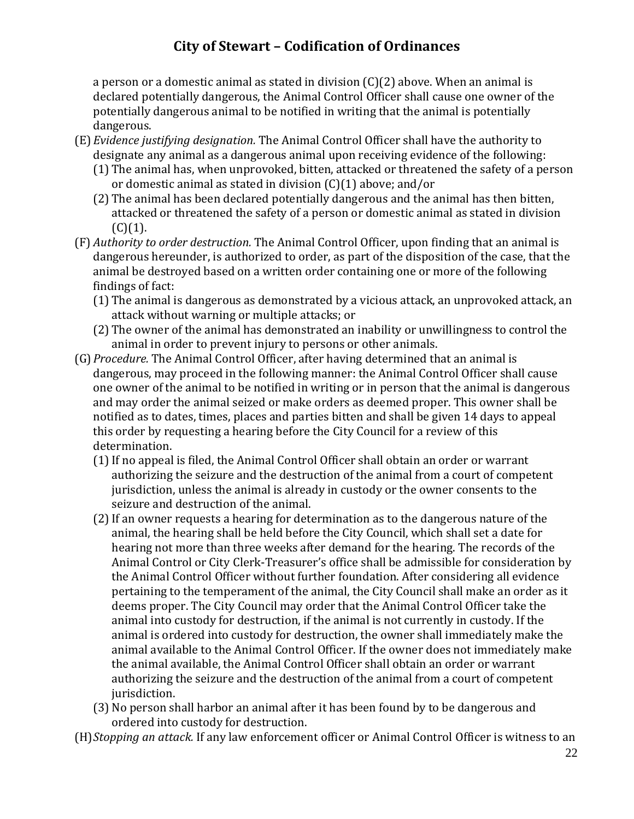a person or a domestic animal as stated in division (C)(2) above. When an animal is declared potentially dangerous, the Animal Control Officer shall cause one owner of the potentially dangerous animal to be notified in writing that the animal is potentially dangerous.

- (E) *Evidence justifying designation.* The Animal Control Officer shall have the authority to designate any animal as a dangerous animal upon receiving evidence of the following:
	- (1) The animal has, when unprovoked, bitten, attacked or threatened the safety of a person or domestic animal as stated in division (C)(1) above; and/or
	- (2) The animal has been declared potentially dangerous and the animal has then bitten, attacked or threatened the safety of a person or domestic animal as stated in division  $(C)(1)$ .
- (F) *Authority to order destruction.* The Animal Control Officer, upon finding that an animal is dangerous hereunder, is authorized to order, as part of the disposition of the case, that the animal be destroyed based on a written order containing one or more of the following findings of fact:
	- (1) The animal is dangerous as demonstrated by a vicious attack, an unprovoked attack, an attack without warning or multiple attacks; or
	- (2) The owner of the animal has demonstrated an inability or unwillingness to control the animal in order to prevent injury to persons or other animals.
- (G)*Procedure.* The Animal Control Officer, after having determined that an animal is dangerous, may proceed in the following manner: the Animal Control Officer shall cause one owner of the animal to be notified in writing or in person that the animal is dangerous and may order the animal seized or make orders as deemed proper. This owner shall be notified as to dates, times, places and parties bitten and shall be given 14 days to appeal this order by requesting a hearing before the City Council for a review of this determination.
	- (1)If no appeal is filed, the Animal Control Officer shall obtain an order or warrant authorizing the seizure and the destruction of the animal from a court of competent jurisdiction, unless the animal is already in custody or the owner consents to the seizure and destruction of the animal.
	- (2)If an owner requests a hearing for determination as to the dangerous nature of the animal, the hearing shall be held before the City Council, which shall set a date for hearing not more than three weeks after demand for the hearing. The records of the Animal Control or City Clerk-Treasurer's office shall be admissible for consideration by the Animal Control Officer without further foundation. After considering all evidence pertaining to the temperament of the animal, the City Council shall make an order as it deems proper. The City Council may order that the Animal Control Officer take the animal into custody for destruction, if the animal is not currently in custody. If the animal is ordered into custody for destruction, the owner shall immediately make the animal available to the Animal Control Officer. If the owner does not immediately make the animal available, the Animal Control Officer shall obtain an order or warrant authorizing the seizure and the destruction of the animal from a court of competent jurisdiction.
	- (3) No person shall harbor an animal after it has been found by to be dangerous and ordered into custody for destruction.
- (H)*Stopping an attack.* If any law enforcement officer or Animal Control Officer is witness to an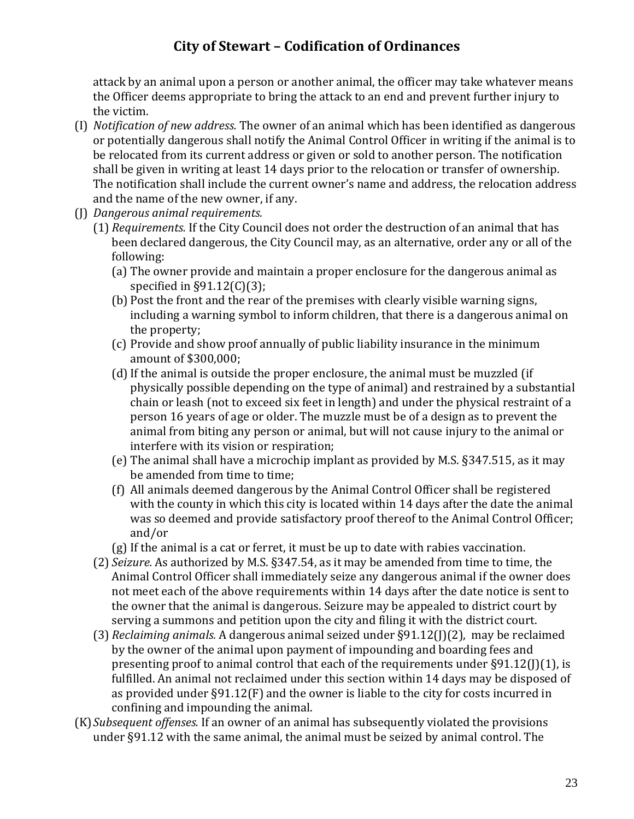attack by an animal upon a person or another animal, the officer may take whatever means the Officer deems appropriate to bring the attack to an end and prevent further injury to the victim.

- (I) *Notification of new address.* The owner of an animal which has been identified as dangerous or potentially dangerous shall notify the Animal Control Officer in writing if the animal is to be relocated from its current address or given or sold to another person. The notification shall be given in writing at least 14 days prior to the relocation or transfer of ownership. The notification shall include the current owner's name and address, the relocation address and the name of the new owner, if any.
- (J) *Dangerous animal requirements.*
	- (1) *Requirements.* If the City Council does not order the destruction of an animal that has been declared dangerous, the City Council may, as an alternative, order any or all of the following:
		- (a) The owner provide and maintain a proper enclosure for the dangerous animal as specified in §91.12(C)(3);
		- (b) Post the front and the rear of the premises with clearly visible warning signs, including a warning symbol to inform children, that there is a dangerous animal on the property;
		- (c) Provide and show proof annually of public liability insurance in the minimum amount of \$300,000;
		- (d)If the animal is outside the proper enclosure, the animal must be muzzled (if physically possible depending on the type of animal) and restrained by a substantial chain or leash (not to exceed six feet in length) and under the physical restraint of a person 16 years of age or older. The muzzle must be of a design as to prevent the animal from biting any person or animal, but will not cause injury to the animal or interfere with its vision or respiration;
		- (e) The animal shall have a microchip implant as provided by M.S. §347.515, as it may be amended from time to time;
		- (f) All animals deemed dangerous by the Animal Control Officer shall be registered with the county in which this city is located within 14 days after the date the animal was so deemed and provide satisfactory proof thereof to the Animal Control Officer; and/or
		- (g) If the animal is a cat or ferret, it must be up to date with rabies vaccination.
	- (2) *Seizure.* As authorized by M.S. §347.54, as it may be amended from time to time, the Animal Control Officer shall immediately seize any dangerous animal if the owner does not meet each of the above requirements within 14 days after the date notice is sent to the owner that the animal is dangerous. Seizure may be appealed to district court by serving a summons and petition upon the city and filing it with the district court.
	- (3) *Reclaiming animals.* A dangerous animal seized under §91.12(J)(2), may be reclaimed by the owner of the animal upon payment of impounding and boarding fees and presenting proof to animal control that each of the requirements under §91.12(J)(1), is fulfilled. An animal not reclaimed under this section within 14 days may be disposed of as provided under §91.12(F) and the owner is liable to the city for costs incurred in confining and impounding the animal.
- (K)*Subsequent offenses.* If an owner of an animal has subsequently violated the provisions under §91.12 with the same animal, the animal must be seized by animal control. The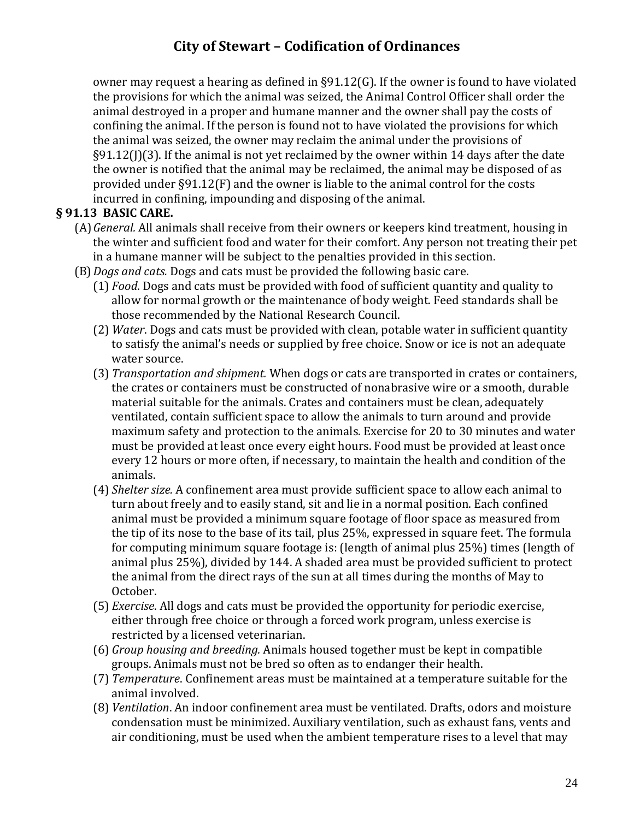owner may request a hearing as defined in §91.12(G). If the owner is found to have violated the provisions for which the animal was seized, the Animal Control Officer shall order the animal destroyed in a proper and humane manner and the owner shall pay the costs of confining the animal. If the person is found not to have violated the provisions for which the animal was seized, the owner may reclaim the animal under the provisions of §91.12(J)(3). If the animal is not yet reclaimed by the owner within 14 days after the date the owner is notified that the animal may be reclaimed, the animal may be disposed of as provided under §91.12(F) and the owner is liable to the animal control for the costs incurred in confining, impounding and disposing of the animal.

#### **§ 91.13 BASIC CARE.**

- (A)*General.* All animals shall receive from their owners or keepers kind treatment, housing in the winter and sufficient food and water for their comfort. Any person not treating their pet in a humane manner will be subject to the penalties provided in this section.
- (B)*Dogs and cats.* Dogs and cats must be provided the following basic care.
	- (1) *Food*. Dogs and cats must be provided with food of sufficient quantity and quality to allow for normal growth or the maintenance of body weight. Feed standards shall be those recommended by the National Research Council.
	- (2) *Water*. Dogs and cats must be provided with clean, potable water in sufficient quantity to satisfy the animal's needs or supplied by free choice. Snow or ice is not an adequate water source.
	- (3) *Transportation and shipment.* When dogs or cats are transported in crates or containers, the crates or containers must be constructed of nonabrasive wire or a smooth, durable material suitable for the animals. Crates and containers must be clean, adequately ventilated, contain sufficient space to allow the animals to turn around and provide maximum safety and protection to the animals. Exercise for 20 to 30 minutes and water must be provided at least once every eight hours. Food must be provided at least once every 12 hours or more often, if necessary, to maintain the health and condition of the animals.
	- (4) *Shelter size.* A confinement area must provide sufficient space to allow each animal to turn about freely and to easily stand, sit and lie in a normal position. Each confined animal must be provided a minimum square footage of floor space as measured from the tip of its nose to the base of its tail, plus 25%, expressed in square feet. The formula for computing minimum square footage is: (length of animal plus 25%) times (length of animal plus 25%), divided by 144. A shaded area must be provided sufficient to protect the animal from the direct rays of the sun at all times during the months of May to October.
	- (5) *Exercise*. All dogs and cats must be provided the opportunity for periodic exercise, either through free choice or through a forced work program, unless exercise is restricted by a licensed veterinarian.
	- (6) *Group housing and breeding.* Animals housed together must be kept in compatible groups. Animals must not be bred so often as to endanger their health.
	- (7) *Temperature*. Confinement areas must be maintained at a temperature suitable for the animal involved.
	- (8) *Ventilation*. An indoor confinement area must be ventilated. Drafts, odors and moisture condensation must be minimized. Auxiliary ventilation, such as exhaust fans, vents and air conditioning, must be used when the ambient temperature rises to a level that may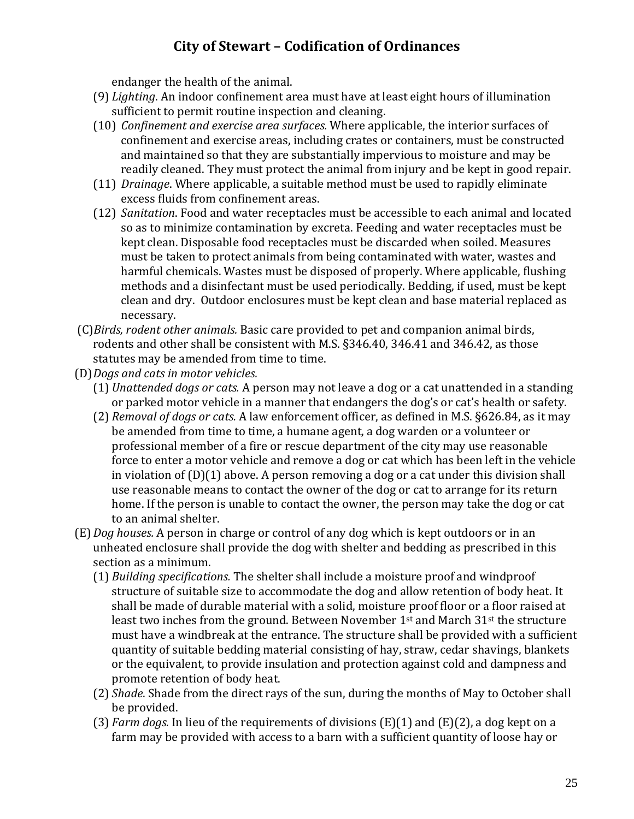endanger the health of the animal.

- (9) *Lighting*. An indoor confinement area must have at least eight hours of illumination sufficient to permit routine inspection and cleaning.
- (10) *Confinement and exercise area surfaces.* Where applicable, the interior surfaces of confinement and exercise areas, including crates or containers, must be constructed and maintained so that they are substantially impervious to moisture and may be readily cleaned. They must protect the animal from injury and be kept in good repair.
- (11) *Drainage*. Where applicable, a suitable method must be used to rapidly eliminate excess fluids from confinement areas.
- (12) *Sanitation*. Food and water receptacles must be accessible to each animal and located so as to minimize contamination by excreta. Feeding and water receptacles must be kept clean. Disposable food receptacles must be discarded when soiled. Measures must be taken to protect animals from being contaminated with water, wastes and harmful chemicals. Wastes must be disposed of properly. Where applicable, flushing methods and a disinfectant must be used periodically. Bedding, if used, must be kept clean and dry. Outdoor enclosures must be kept clean and base material replaced as necessary.
- (C)*Birds, rodent other animals.* Basic care provided to pet and companion animal birds, rodents and other shall be consistent with M.S. §346.40, 346.41 and 346.42, as those statutes may be amended from time to time.
- (D)*Dogs and cats in motor vehicles.*
	- (1) *Unattended dogs or cats.* A person may not leave a dog or a cat unattended in a standing or parked motor vehicle in a manner that endangers the dog's or cat's health or safety.
	- (2) *Removal of dogs or cats.* A law enforcement officer, as defined in M.S. §626.84, as it may be amended from time to time, a humane agent, a dog warden or a volunteer or professional member of a fire or rescue department of the city may use reasonable force to enter a motor vehicle and remove a dog or cat which has been left in the vehicle in violation of (D)(1) above. A person removing a dog or a cat under this division shall use reasonable means to contact the owner of the dog or cat to arrange for its return home. If the person is unable to contact the owner, the person may take the dog or cat to an animal shelter.
- (E)*Dog houses.* A person in charge or control of any dog which is kept outdoors or in an unheated enclosure shall provide the dog with shelter and bedding as prescribed in this section as a minimum.
	- (1) *Building specifications.* The shelter shall include a moisture proof and windproof structure of suitable size to accommodate the dog and allow retention of body heat. It shall be made of durable material with a solid, moisture proof floor or a floor raised at least two inches from the ground. Between November  $1<sup>st</sup>$  and March  $31<sup>st</sup>$  the structure must have a windbreak at the entrance. The structure shall be provided with a sufficient quantity of suitable bedding material consisting of hay, straw, cedar shavings, blankets or the equivalent, to provide insulation and protection against cold and dampness and promote retention of body heat.
	- (2) *Shade*. Shade from the direct rays of the sun, during the months of May to October shall be provided.
	- (3) *Farm dogs.* In lieu of the requirements of divisions (E)(1) and (E)(2), a dog kept on a farm may be provided with access to a barn with a sufficient quantity of loose hay or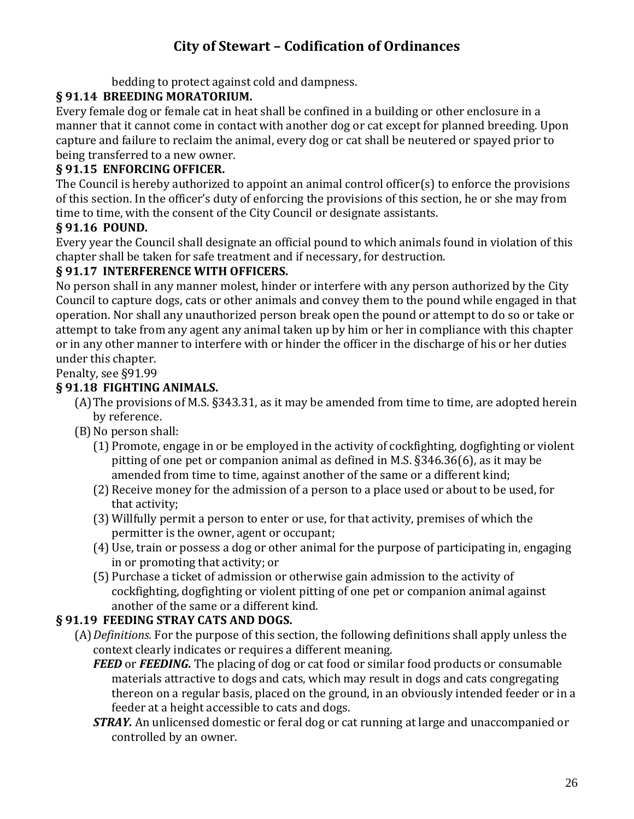bedding to protect against cold and dampness.

### **§ 91.14 BREEDING MORATORIUM.**

Every female dog or female cat in heat shall be confined in a building or other enclosure in a manner that it cannot come in contact with another dog or cat except for planned breeding. Upon capture and failure to reclaim the animal, every dog or cat shall be neutered or spayed prior to being transferred to a new owner.

### **§ 91.15 ENFORCING OFFICER.**

The Council is hereby authorized to appoint an animal control officer(s) to enforce the provisions of this section. In the officer's duty of enforcing the provisions of this section, he or she may from time to time, with the consent of the City Council or designate assistants.

### **§ 91.16 POUND.**

Every year the Council shall designate an official pound to which animals found in violation of this chapter shall be taken for safe treatment and if necessary, for destruction.

### **§ 91.17 INTERFERENCE WITH OFFICERS.**

No person shall in any manner molest, hinder or interfere with any person authorized by the City Council to capture dogs, cats or other animals and convey them to the pound while engaged in that operation. Nor shall any unauthorized person break open the pound or attempt to do so or take or attempt to take from any agent any animal taken up by him or her in compliance with this chapter or in any other manner to interfere with or hinder the officer in the discharge of his or her duties under this chapter.

#### Penalty, see §91.99

#### **§ 91.18 FIGHTING ANIMALS.**

- (A)The provisions of M.S. §343.31, as it may be amended from time to time, are adopted herein by reference.
- (B)No person shall:
	- (1) Promote, engage in or be employed in the activity of cockfighting, dogfighting or violent pitting of one pet or companion animal as defined in M.S. §346.36(6), as it may be amended from time to time, against another of the same or a different kind;
	- (2) Receive money for the admission of a person to a place used or about to be used, for that activity;
	- (3) Willfully permit a person to enter or use, for that activity, premises of which the permitter is the owner, agent or occupant;
	- (4) Use, train or possess a dog or other animal for the purpose of participating in, engaging in or promoting that activity; or
	- (5) Purchase a ticket of admission or otherwise gain admission to the activity of cockfighting, dogfighting or violent pitting of one pet or companion animal against another of the same or a different kind.

### **§ 91.19 FEEDING STRAY CATS AND DOGS.**

- (A)*Definitions.* For the purpose of this section, the following definitions shall apply unless the context clearly indicates or requires a different meaning.
	- *FEED* or **FEEDING**. The placing of dog or cat food or similar food products or consumable materials attractive to dogs and cats, which may result in dogs and cats congregating thereon on a regular basis, placed on the ground, in an obviously intended feeder or in a feeder at a height accessible to cats and dogs.
	- *STRAY.* An unlicensed domestic or feral dog or cat running at large and unaccompanied or controlled by an owner.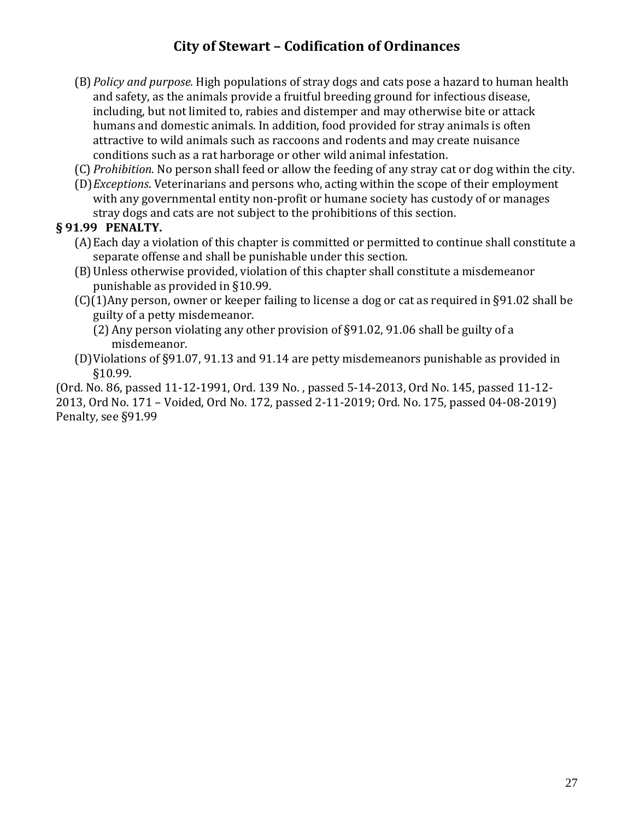- (B)*Policy and purpose.* High populations of stray dogs and cats pose a hazard to human health and safety, as the animals provide a fruitful breeding ground for infectious disease, including, but not limited to, rabies and distemper and may otherwise bite or attack humans and domestic animals. In addition, food provided for stray animals is often attractive to wild animals such as raccoons and rodents and may create nuisance conditions such as a rat harborage or other wild animal infestation.
- (C) *Prohibition.* No person shall feed or allow the feeding of any stray cat or dog within the city.
- (D)*Exceptions*. Veterinarians and persons who, acting within the scope of their employment with any governmental entity non-profit or humane society has custody of or manages stray dogs and cats are not subject to the prohibitions of this section.

#### **§ 91.99 PENALTY.**

- (A)Each day a violation of this chapter is committed or permitted to continue shall constitute a separate offense and shall be punishable under this section.
- (B)Unless otherwise provided, violation of this chapter shall constitute a misdemeanor punishable as provided in §10.99.
- (C)(1)Any person, owner or keeper failing to license a dog or cat as required in §91.02 shall be guilty of a petty misdemeanor.
	- (2) Any person violating any other provision of §91.02, 91.06 shall be guilty of a misdemeanor.
- (D)Violations of §91.07, 91.13 and 91.14 are petty misdemeanors punishable as provided in §10.99.

(Ord. No. 86, passed 11-12-1991, Ord. 139 No. , passed 5-14-2013, Ord No. 145, passed 11-12- 2013, Ord No. 171 – Voided, Ord No. 172, passed 2-11-2019; Ord. No. 175, passed 04-08-2019) Penalty, see §91.99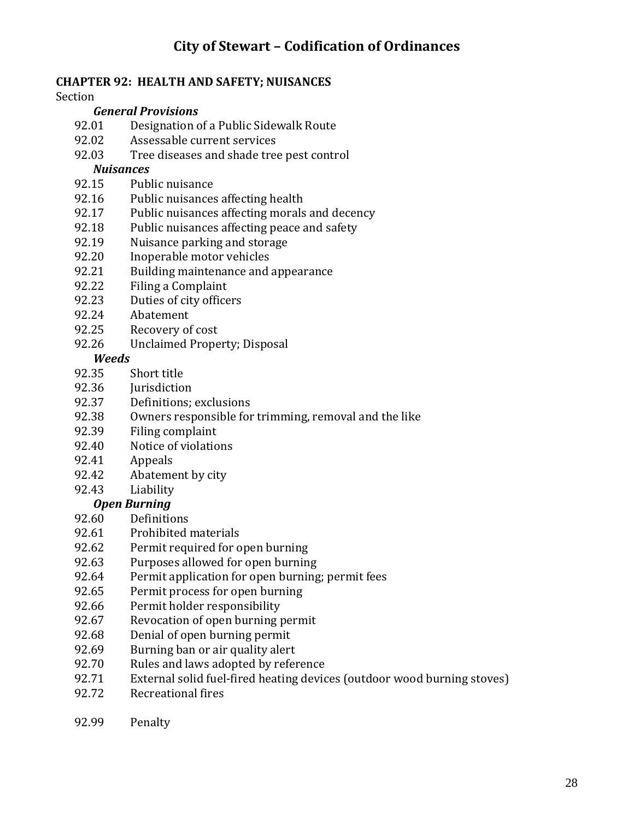#### **CHAPTER 92: HEALTH AND SAFETY; NUISANCES**

Section

#### *General Provisions*

- 92.01 Designation of a Public Sidewalk Route
- 92.02 Assessable current services
- 92.03 Tree diseases and shade tree pest control

#### *Nuisances*

- 92.15 Public nuisance
- 92.16 Public nuisances affecting health
- 92.17 Public nuisances affecting morals and decency
- 92.18 Public nuisances affecting peace and safety
- 92.19 Nuisance parking and storage
- 92.20 Inoperable motor vehicles
- 92.21 Building maintenance and appearance
- 92.22 Filing a Complaint
- 92.23 Duties of city officers
- 92.24 Abatement
- 92.25 Recovery of cost
- 92.26 Unclaimed Property; Disposal

#### *Weeds*

- 92.35 Short title
- 92.36 Iurisdiction
- 92.37 Definitions; exclusions
- 92.38 Owners responsible for trimming, removal and the like
- 92.39 Filing complaint
- 92.40 Notice of violations
- 92.41 Appeals
- 92.42 Abatement by city
- 92.43 Liability

#### *Open Burning*

- 92.60 Definitions
- 92.61 Prohibited materials
- 92.62 Permit required for open burning
- 92.63 Purposes allowed for open burning
- 92.64 Permit application for open burning; permit fees
- 92.65 Permit process for open burning
- 92.66 Permit holder responsibility
- 92.67 Revocation of open burning permit
- 92.68 Denial of open burning permit
- 92.69 Burning ban or air quality alert
- 92.70 Rules and laws adopted by reference
- 92.71 External solid fuel-fired heating devices (outdoor wood burning stoves)
- 92.72 Recreational fires
- 92.99 Penalty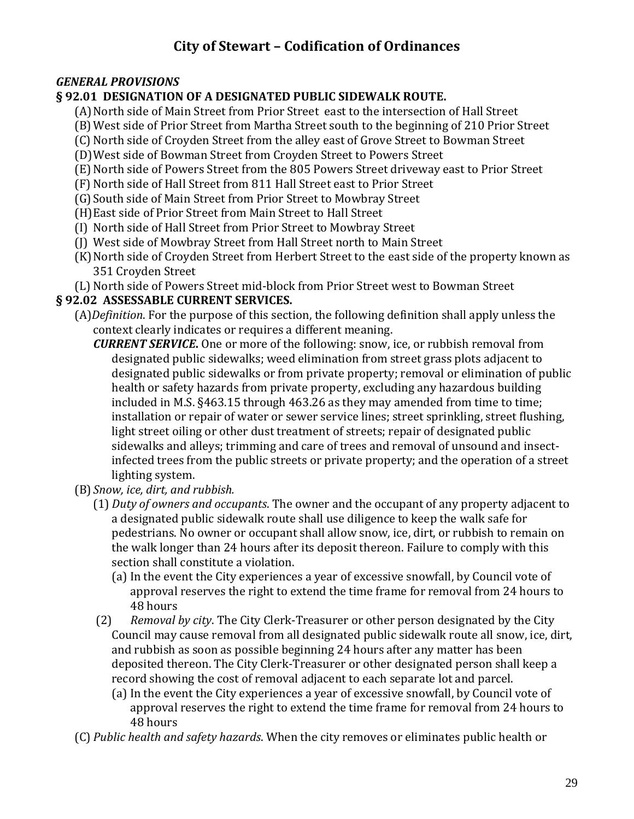#### *GENERAL PROVISIONS*

#### **§ 92.01 DESIGNATION OF A DESIGNATED PUBLIC SIDEWALK ROUTE.**

- (A)North side of Main Street from Prior Street east to the intersection of Hall Street
- (B)West side of Prior Street from Martha Street south to the beginning of 210 Prior Street
- (C) North side of Croyden Street from the alley east of Grove Street to Bowman Street
- (D)West side of Bowman Street from Croyden Street to Powers Street
- (E)North side of Powers Street from the 805 Powers Street driveway east to Prior Street
- (F) North side of Hall Street from 811 Hall Street east to Prior Street
- (G)South side of Main Street from Prior Street to Mowbray Street
- (H)East side of Prior Street from Main Street to Hall Street
- (I) North side of Hall Street from Prior Street to Mowbray Street
- (J) West side of Mowbray Street from Hall Street north to Main Street
- (K) North side of Croyden Street from Herbert Street to the east side of the property known as 351 Croyden Street
- (L) North side of Powers Street mid-block from Prior Street west to Bowman Street

#### **§ 92.02 ASSESSABLE CURRENT SERVICES.**

- (A)*Definition*. For the purpose of this section, the following definition shall apply unless the context clearly indicates or requires a different meaning.
	- *CURRENT SERVICE***.** One or more of the following: snow, ice, or rubbish removal from designated public sidewalks; weed elimination from street grass plots adjacent to designated public sidewalks or from private property; removal or elimination of public health or safety hazards from private property, excluding any hazardous building included in M.S. §463.15 through 463.26 as they may amended from time to time; installation or repair of water or sewer service lines; street sprinkling, street flushing, light street oiling or other dust treatment of streets; repair of designated public sidewalks and alleys; trimming and care of trees and removal of unsound and insectinfected trees from the public streets or private property; and the operation of a street lighting system.
- (B) *Snow, ice, dirt, and rubbish.*
	- (1) *Duty of owners and occupants*. The owner and the occupant of any property adjacent to a designated public sidewalk route shall use diligence to keep the walk safe for pedestrians. No owner or occupant shall allow snow, ice, dirt, or rubbish to remain on the walk longer than 24 hours after its deposit thereon. Failure to comply with this section shall constitute a violation.
		- (a) In the event the City experiences a year of excessive snowfall, by Council vote of approval reserves the right to extend the time frame for removal from 24 hours to 48 hours
	- (2) *Removal by city*. The City Clerk-Treasurer or other person designated by the City Council may cause removal from all designated public sidewalk route all snow, ice, dirt, and rubbish as soon as possible beginning 24 hours after any matter has been deposited thereon. The City Clerk-Treasurer or other designated person shall keep a record showing the cost of removal adjacent to each separate lot and parcel.
		- (a) In the event the City experiences a year of excessive snowfall, by Council vote of approval reserves the right to extend the time frame for removal from 24 hours to 48 hours
- (C) *Public health and safety hazards*. When the city removes or eliminates public health or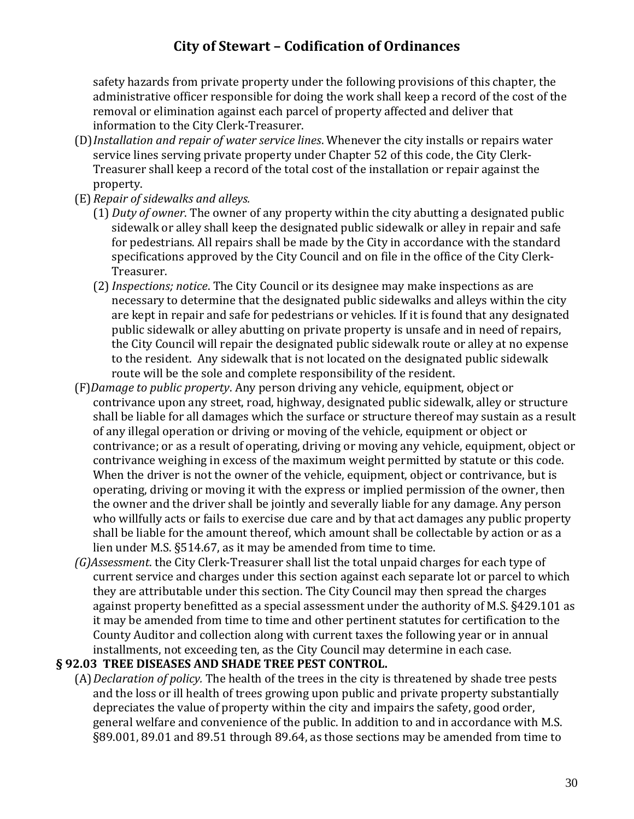safety hazards from private property under the following provisions of this chapter, the administrative officer responsible for doing the work shall keep a record of the cost of the removal or elimination against each parcel of property affected and deliver that information to the City Clerk-Treasurer.

- (D)*Installation and repair of water service lines*. Whenever the city installs or repairs water service lines serving private property under Chapter 52 of this code, the City Clerk-Treasurer shall keep a record of the total cost of the installation or repair against the property.
- (E) *Repair of sidewalks and alleys.*
	- (1) *Duty of owner*. The owner of any property within the city abutting a designated public sidewalk or alley shall keep the designated public sidewalk or alley in repair and safe for pedestrians. All repairs shall be made by the City in accordance with the standard specifications approved by the City Council and on file in the office of the City Clerk-Treasurer.
	- (2)*Inspections; notice*. The City Council or its designee may make inspections as are necessary to determine that the designated public sidewalks and alleys within the city are kept in repair and safe for pedestrians or vehicles. If it is found that any designated public sidewalk or alley abutting on private property is unsafe and in need of repairs, the City Council will repair the designated public sidewalk route or alley at no expense to the resident. Any sidewalk that is not located on the designated public sidewalk route will be the sole and complete responsibility of the resident.
- (F)*Damage to public property*. Any person driving any vehicle, equipment, object or contrivance upon any street, road, highway, designated public sidewalk, alley or structure shall be liable for all damages which the surface or structure thereof may sustain as a result of any illegal operation or driving or moving of the vehicle, equipment or object or contrivance; or as a result of operating, driving or moving any vehicle, equipment, object or contrivance weighing in excess of the maximum weight permitted by statute or this code. When the driver is not the owner of the vehicle, equipment, object or contrivance, but is operating, driving or moving it with the express or implied permission of the owner, then the owner and the driver shall be jointly and severally liable for any damage. Any person who willfully acts or fails to exercise due care and by that act damages any public property shall be liable for the amount thereof, which amount shall be collectable by action or as a lien under M.S. §514.67, as it may be amended from time to time.
- *(G)Assessment*. the City Clerk-Treasurer shall list the total unpaid charges for each type of current service and charges under this section against each separate lot or parcel to which they are attributable under this section. The City Council may then spread the charges against property benefitted as a special assessment under the authority of M.S. §429.101 as it may be amended from time to time and other pertinent statutes for certification to the County Auditor and collection along with current taxes the following year or in annual installments, not exceeding ten, as the City Council may determine in each case.

#### **§ 92.03 TREE DISEASES AND SHADE TREE PEST CONTROL.**

(A)*Declaration of policy.* The health of the trees in the city is threatened by shade tree pests and the loss or ill health of trees growing upon public and private property substantially depreciates the value of property within the city and impairs the safety, good order, general welfare and convenience of the public. In addition to and in accordance with M.S. §89.001, 89.01 and 89.51 through 89.64, as those sections may be amended from time to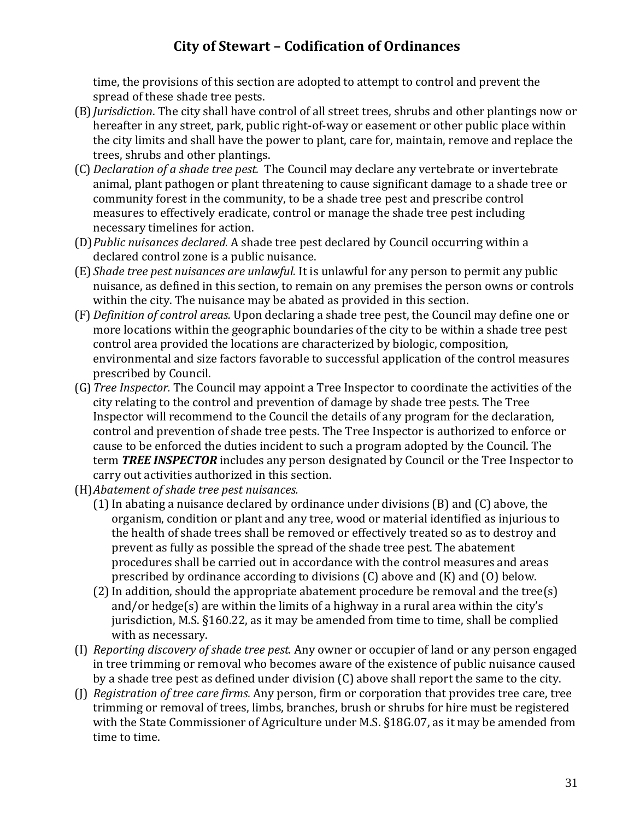time, the provisions of this section are adopted to attempt to control and prevent the spread of these shade tree pests.

- (B)*Jurisdiction*. The city shall have control of all street trees, shrubs and other plantings now or hereafter in any street, park, public right-of-way or easement or other public place within the city limits and shall have the power to plant, care for, maintain, remove and replace the trees, shrubs and other plantings.
- (C) *Declaration of a shade tree pest.* The Council may declare any vertebrate or invertebrate animal, plant pathogen or plant threatening to cause significant damage to a shade tree or community forest in the community, to be a shade tree pest and prescribe control measures to effectively eradicate, control or manage the shade tree pest including necessary timelines for action.
- (D)*Public nuisances declared.* A shade tree pest declared by Council occurring within a declared control zone is a public nuisance.
- (E) *Shade tree pest nuisances are unlawful.* It is unlawful for any person to permit any public nuisance, as defined in this section, to remain on any premises the person owns or controls within the city. The nuisance may be abated as provided in this section.
- (F) *Definition of control areas.* Upon declaring a shade tree pest, the Council may define one or more locations within the geographic boundaries of the city to be within a shade tree pest control area provided the locations are characterized by biologic, composition, environmental and size factors favorable to successful application of the control measures prescribed by Council.
- (G)*Tree Inspector.* The Council may appoint a Tree Inspector to coordinate the activities of the city relating to the control and prevention of damage by shade tree pests. The Tree Inspector will recommend to the Council the details of any program for the declaration, control and prevention of shade tree pests. The Tree Inspector is authorized to enforce or cause to be enforced the duties incident to such a program adopted by the Council. The term *TREE INSPECTOR* includes any person designated by Council or the Tree Inspector to carry out activities authorized in this section.
- (H)*Abatement of shade tree pest nuisances.*
	- $(1)$  In abating a nuisance declared by ordinance under divisions  $(B)$  and  $(C)$  above, the organism, condition or plant and any tree, wood or material identified as injurious to the health of shade trees shall be removed or effectively treated so as to destroy and prevent as fully as possible the spread of the shade tree pest. The abatement procedures shall be carried out in accordance with the control measures and areas prescribed by ordinance according to divisions  $(C)$  above and  $(K)$  and  $(0)$  below.
	- $(2)$  In addition, should the appropriate abatement procedure be removal and the tree $(s)$ and/or hedge(s) are within the limits of a highway in a rural area within the city's jurisdiction, M.S. §160.22, as it may be amended from time to time, shall be complied with as necessary.
- (I) *Reporting discovery of shade tree pest.* Any owner or occupier of land or any person engaged in tree trimming or removal who becomes aware of the existence of public nuisance caused by a shade tree pest as defined under division (C) above shall report the same to the city.
- (J) *Registration of tree care firms.* Any person, firm or corporation that provides tree care, tree trimming or removal of trees, limbs, branches, brush or shrubs for hire must be registered with the State Commissioner of Agriculture under M.S. §18G.07, as it may be amended from time to time.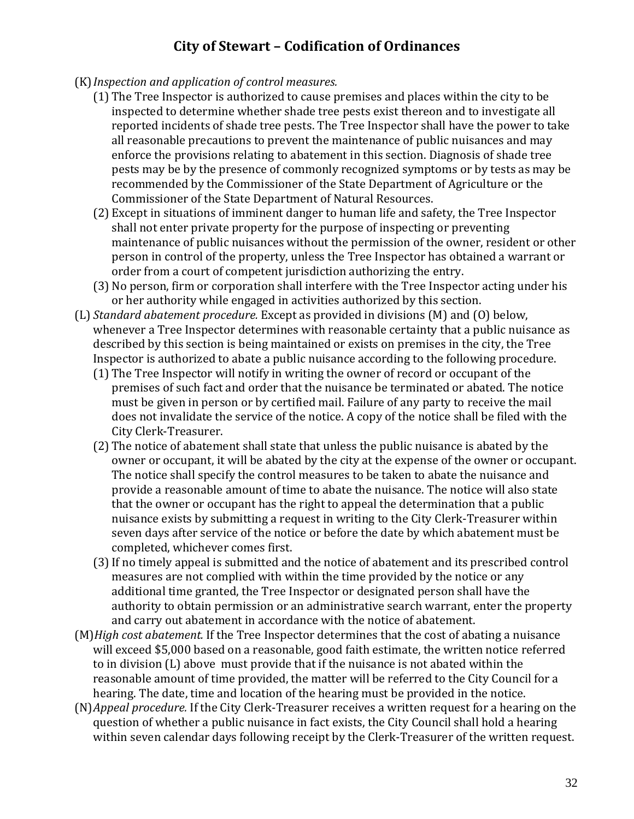- (K)*Inspection and application of control measures.*
	- (1) The Tree Inspector is authorized to cause premises and places within the city to be inspected to determine whether shade tree pests exist thereon and to investigate all reported incidents of shade tree pests. The Tree Inspector shall have the power to take all reasonable precautions to prevent the maintenance of public nuisances and may enforce the provisions relating to abatement in this section. Diagnosis of shade tree pests may be by the presence of commonly recognized symptoms or by tests as may be recommended by the Commissioner of the State Department of Agriculture or the Commissioner of the State Department of Natural Resources.
	- (2) Except in situations of imminent danger to human life and safety, the Tree Inspector shall not enter private property for the purpose of inspecting or preventing maintenance of public nuisances without the permission of the owner, resident or other person in control of the property, unless the Tree Inspector has obtained a warrant or order from a court of competent jurisdiction authorizing the entry.
	- (3) No person, firm or corporation shall interfere with the Tree Inspector acting under his or her authority while engaged in activities authorized by this section.
- (L) *Standard abatement procedure.* Except as provided in divisions (M) and (O) below, whenever a Tree Inspector determines with reasonable certainty that a public nuisance as described by this section is being maintained or exists on premises in the city, the Tree Inspector is authorized to abate a public nuisance according to the following procedure.
	- (1) The Tree Inspector will notify in writing the owner of record or occupant of the premises of such fact and order that the nuisance be terminated or abated. The notice must be given in person or by certified mail. Failure of any party to receive the mail does not invalidate the service of the notice. A copy of the notice shall be filed with the City Clerk-Treasurer.
	- (2) The notice of abatement shall state that unless the public nuisance is abated by the owner or occupant, it will be abated by the city at the expense of the owner or occupant. The notice shall specify the control measures to be taken to abate the nuisance and provide a reasonable amount of time to abate the nuisance. The notice will also state that the owner or occupant has the right to appeal the determination that a public nuisance exists by submitting a request in writing to the City Clerk-Treasurer within seven days after service of the notice or before the date by which abatement must be completed, whichever comes first.
	- (3)If no timely appeal is submitted and the notice of abatement and its prescribed control measures are not complied with within the time provided by the notice or any additional time granted, the Tree Inspector or designated person shall have the authority to obtain permission or an administrative search warrant, enter the property and carry out abatement in accordance with the notice of abatement.
- (M)*High cost abatement.* If the Tree Inspector determines that the cost of abating a nuisance will exceed \$5,000 based on a reasonable, good faith estimate, the written notice referred to in division (L) above must provide that if the nuisance is not abated within the reasonable amount of time provided, the matter will be referred to the City Council for a hearing. The date, time and location of the hearing must be provided in the notice.
- (N)*Appeal procedure.* If the City Clerk-Treasurer receives a written request for a hearing on the question of whether a public nuisance in fact exists, the City Council shall hold a hearing within seven calendar days following receipt by the Clerk-Treasurer of the written request.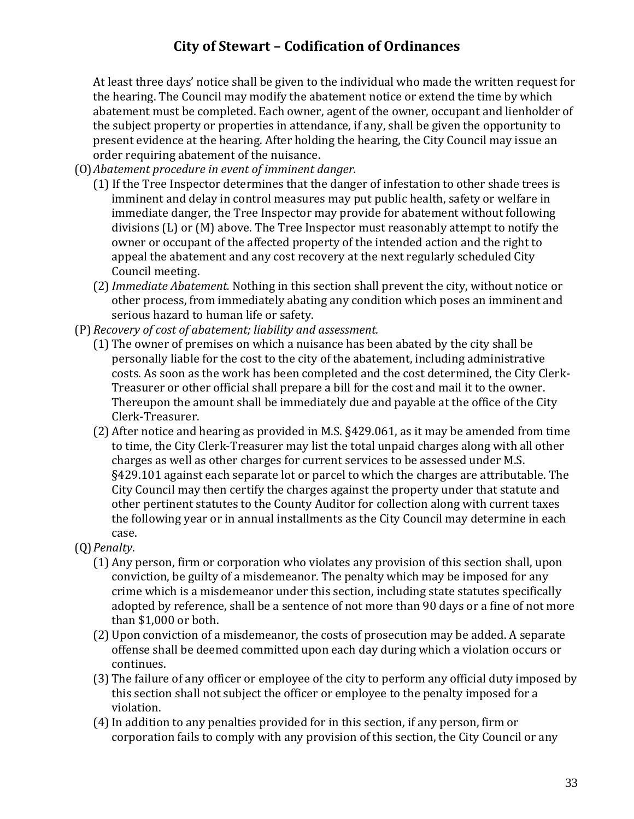At least three days' notice shall be given to the individual who made the written request for the hearing. The Council may modify the abatement notice or extend the time by which abatement must be completed. Each owner, agent of the owner, occupant and lienholder of the subject property or properties in attendance, if any, shall be given the opportunity to present evidence at the hearing. After holding the hearing, the City Council may issue an order requiring abatement of the nuisance.

- (O)*Abatement procedure in event of imminent danger.*
	- (1) If the Tree Inspector determines that the danger of infestation to other shade trees is imminent and delay in control measures may put public health, safety or welfare in immediate danger, the Tree Inspector may provide for abatement without following divisions (L) or (M) above. The Tree Inspector must reasonably attempt to notify the owner or occupant of the affected property of the intended action and the right to appeal the abatement and any cost recovery at the next regularly scheduled City Council meeting.
	- (2)*Immediate Abatement.* Nothing in this section shall prevent the city, without notice or other process, from immediately abating any condition which poses an imminent and serious hazard to human life or safety.
- (P) *Recovery of cost of abatement; liability and assessment.*
	- (1) The owner of premises on which a nuisance has been abated by the city shall be personally liable for the cost to the city of the abatement, including administrative costs. As soon as the work has been completed and the cost determined, the City Clerk-Treasurer or other official shall prepare a bill for the cost and mail it to the owner. Thereupon the amount shall be immediately due and payable at the office of the City Clerk-Treasurer.
	- (2) After notice and hearing as provided in M.S. §429.061, as it may be amended from time to time, the City Clerk-Treasurer may list the total unpaid charges along with all other charges as well as other charges for current services to be assessed under M.S. §429.101 against each separate lot or parcel to which the charges are attributable. The City Council may then certify the charges against the property under that statute and other pertinent statutes to the County Auditor for collection along with current taxes the following year or in annual installments as the City Council may determine in each case.
- (Q)*Penalty*.
	- (1) Any person, firm or corporation who violates any provision of this section shall, upon conviction, be guilty of a misdemeanor. The penalty which may be imposed for any crime which is a misdemeanor under this section, including state statutes specifically adopted by reference, shall be a sentence of not more than 90 days or a fine of not more than \$1,000 or both.
	- (2) Upon conviction of a misdemeanor, the costs of prosecution may be added. A separate offense shall be deemed committed upon each day during which a violation occurs or continues.
	- (3) The failure of any officer or employee of the city to perform any official duty imposed by this section shall not subject the officer or employee to the penalty imposed for a violation.
	- (4)In addition to any penalties provided for in this section, if any person, firm or corporation fails to comply with any provision of this section, the City Council or any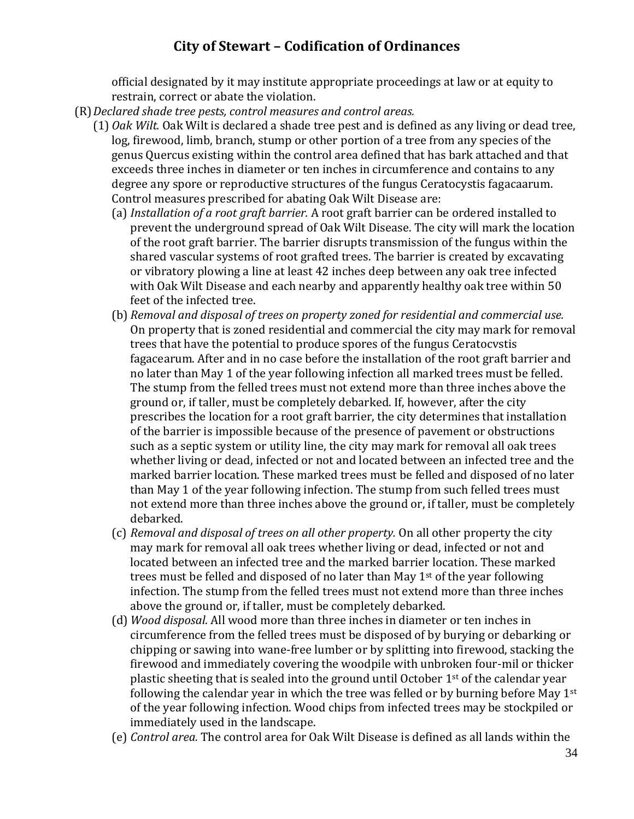official designated by it may institute appropriate proceedings at law or at equity to restrain, correct or abate the violation.

- (R)*Declared shade tree pests, control measures and control areas.*
	- (1) *Oak Wilt.* Oak Wilt is declared a shade tree pest and is defined as any living or dead tree, log, firewood, limb, branch, stump or other portion of a tree from any species of the genus Quercus existing within the control area defined that has bark attached and that exceeds three inches in diameter or ten inches in circumference and contains to any degree any spore or reproductive structures of the fungus Ceratocystis fagacaarum. Control measures prescribed for abating Oak Wilt Disease are:
		- (a) *Installation of a root graft barrier.* A root graft barrier can be ordered installed to prevent the underground spread of Oak Wilt Disease. The city will mark the location of the root graft barrier. The barrier disrupts transmission of the fungus within the shared vascular systems of root grafted trees. The barrier is created by excavating or vibratory plowing a line at least 42 inches deep between any oak tree infected with Oak Wilt Disease and each nearby and apparently healthy oak tree within 50 feet of the infected tree.
		- (b) *Removal and disposal of trees on property zoned for residential and commercial use.* On property that is zoned residential and commercial the city may mark for removal trees that have the potential to produce spores of the fungus Ceratocvstis fagacearum. After and in no case before the installation of the root graft barrier and no later than May 1 of the year following infection all marked trees must be felled. The stump from the felled trees must not extend more than three inches above the ground or, if taller, must be completely debarked. If, however, after the city prescribes the location for a root graft barrier, the city determines that installation of the barrier is impossible because of the presence of pavement or obstructions such as a septic system or utility line, the city may mark for removal all oak trees whether living or dead, infected or not and located between an infected tree and the marked barrier location. These marked trees must be felled and disposed of no later than May 1 of the year following infection. The stump from such felled trees must not extend more than three inches above the ground or, if taller, must be completely debarked.
		- (c) *Removal and disposal of trees on all other property.* On all other property the city may mark for removal all oak trees whether living or dead, infected or not and located between an infected tree and the marked barrier location. These marked trees must be felled and disposed of no later than May  $1<sup>st</sup>$  of the year following infection. The stump from the felled trees must not extend more than three inches above the ground or, if taller, must be completely debarked.
		- (d) *Wood disposal.* All wood more than three inches in diameter or ten inches in circumference from the felled trees must be disposed of by burying or debarking or chipping or sawing into wane-free lumber or by splitting into firewood, stacking the firewood and immediately covering the woodpile with unbroken four-mil or thicker plastic sheeting that is sealed into the ground until October 1st of the calendar year following the calendar year in which the tree was felled or by burning before May  $1^{st}$ of the year following infection. Wood chips from infected trees may be stockpiled or immediately used in the landscape.
		- (e) *Control area.* The control area for Oak Wilt Disease is defined as all lands within the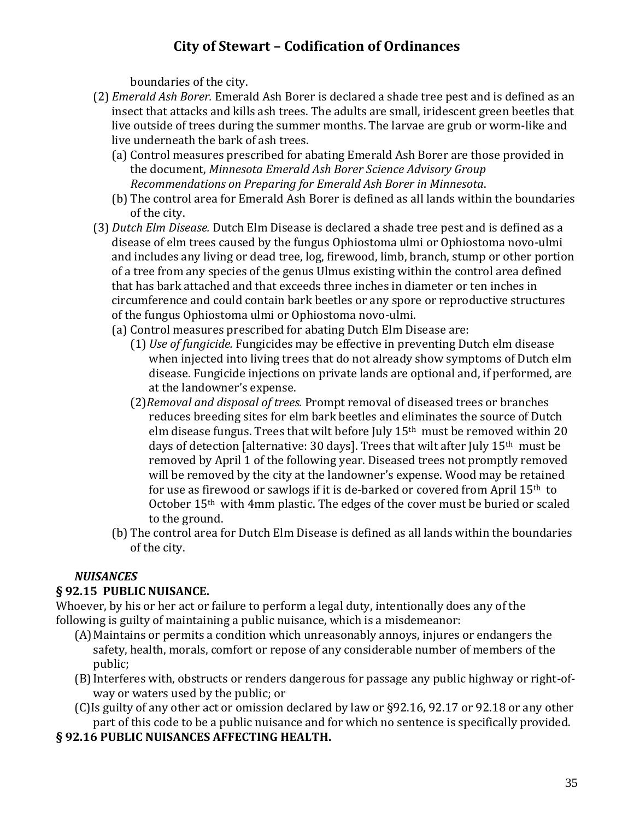boundaries of the city.

- (2) *Emerald Ash Borer.* Emerald Ash Borer is declared a shade tree pest and is defined as an insect that attacks and kills ash trees. The adults are small, iridescent green beetles that live outside of trees during the summer months. The larvae are grub or worm-like and live underneath the bark of ash trees.
	- (a) Control measures prescribed for abating Emerald Ash Borer are those provided in the document, *Minnesota Emerald Ash Borer Science Advisory Group Recommendations on Preparing for Emerald Ash Borer in Minnesota*.
	- (b) The control area for Emerald Ash Borer is defined as all lands within the boundaries of the city.
- (3) *Dutch Elm Disease.* Dutch Elm Disease is declared a shade tree pest and is defined as a disease of elm trees caused by the fungus Ophiostoma ulmi or Ophiostoma novo-ulmi and includes any living or dead tree, log, firewood, limb, branch, stump or other portion of a tree from any species of the genus Ulmus existing within the control area defined that has bark attached and that exceeds three inches in diameter or ten inches in circumference and could contain bark beetles or any spore or reproductive structures of the fungus Ophiostoma ulmi or Ophiostoma novo-ulmi.
	- (a) Control measures prescribed for abating Dutch Elm Disease are:
		- (1) *Use of fungicide.* Fungicides may be effective in preventing Dutch elm disease when injected into living trees that do not already show symptoms of Dutch elm disease. Fungicide injections on private lands are optional and, if performed, are at the landowner's expense.
		- (2)*Removal and disposal of trees.* Prompt removal of diseased trees or branches reduces breeding sites for elm bark beetles and eliminates the source of Dutch elm disease fungus. Trees that wilt before July 15th must be removed within 20 days of detection [alternative: 30 days]. Trees that wilt after July 15th must be removed by April 1 of the following year. Diseased trees not promptly removed will be removed by the city at the landowner's expense. Wood may be retained for use as firewood or sawlogs if it is de-barked or covered from April 15th to October 15th with 4mm plastic. The edges of the cover must be buried or scaled to the ground.
	- (b) The control area for Dutch Elm Disease is defined as all lands within the boundaries of the city.

### *NUISANCES*

#### **§ 92.15 PUBLIC NUISANCE.**

Whoever, by his or her act or failure to perform a legal duty, intentionally does any of the following is guilty of maintaining a public nuisance, which is a misdemeanor:

- (A)Maintains or permits a condition which unreasonably annoys, injures or endangers the safety, health, morals, comfort or repose of any considerable number of members of the public;
- (B)Interferes with, obstructs or renders dangerous for passage any public highway or right-ofway or waters used by the public; or
- (C)Is guilty of any other act or omission declared by law or §92.16, 92.17 or 92.18 or any other part of this code to be a public nuisance and for which no sentence is specifically provided.

#### **§ 92.16 PUBLIC NUISANCES AFFECTING HEALTH.**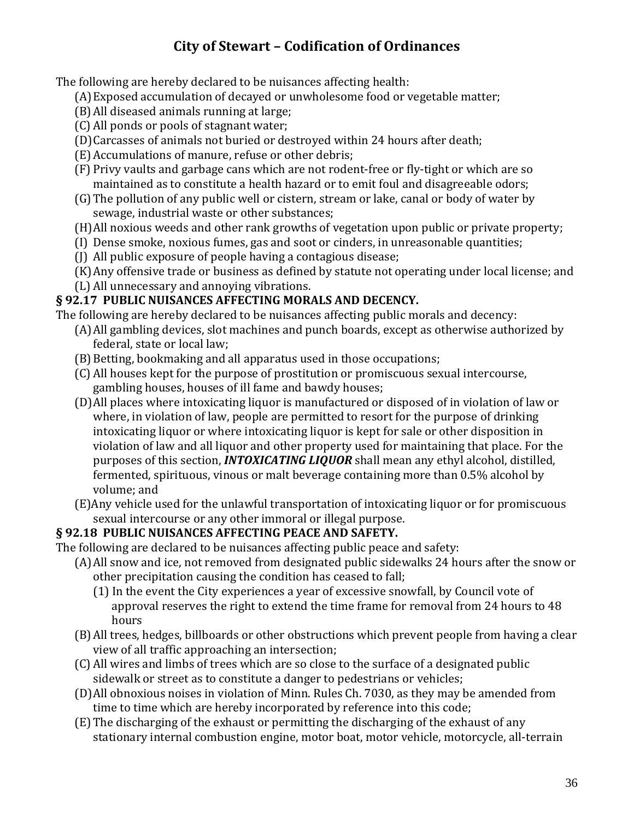The following are hereby declared to be nuisances affecting health:

- (A)Exposed accumulation of decayed or unwholesome food or vegetable matter;
- (B)All diseased animals running at large;
- (C) All ponds or pools of stagnant water;
- (D)Carcasses of animals not buried or destroyed within 24 hours after death;
- (E) Accumulations of manure, refuse or other debris;
- (F) Privy vaults and garbage cans which are not rodent-free or fly-tight or which are so maintained as to constitute a health hazard or to emit foul and disagreeable odors;
- (G)The pollution of any public well or cistern, stream or lake, canal or body of water by sewage, industrial waste or other substances;
- (H)All noxious weeds and other rank growths of vegetation upon public or private property;
- (I) Dense smoke, noxious fumes, gas and soot or cinders, in unreasonable quantities;
- (J) All public exposure of people having a contagious disease;
- (K)Any offensive trade or business as defined by statute not operating under local license; and
- (L) All unnecessary and annoying vibrations.

#### **§ 92.17 PUBLIC NUISANCES AFFECTING MORALS AND DECENCY.**

The following are hereby declared to be nuisances affecting public morals and decency:

- (A)All gambling devices, slot machines and punch boards, except as otherwise authorized by federal, state or local law;
- (B) Betting, bookmaking and all apparatus used in those occupations;
- (C) All houses kept for the purpose of prostitution or promiscuous sexual intercourse, gambling houses, houses of ill fame and bawdy houses;
- (D)All places where intoxicating liquor is manufactured or disposed of in violation of law or where, in violation of law, people are permitted to resort for the purpose of drinking intoxicating liquor or where intoxicating liquor is kept for sale or other disposition in violation of law and all liquor and other property used for maintaining that place. For the purposes of this section, *INTOXICATING LIQUOR* shall mean any ethyl alcohol, distilled, fermented, spirituous, vinous or malt beverage containing more than 0.5% alcohol by volume; and
- (E)Any vehicle used for the unlawful transportation of intoxicating liquor or for promiscuous sexual intercourse or any other immoral or illegal purpose.

#### **§ 92.18 PUBLIC NUISANCES AFFECTING PEACE AND SAFETY.**

The following are declared to be nuisances affecting public peace and safety:

- (A)All snow and ice, not removed from designated public sidewalks 24 hours after the snow or other precipitation causing the condition has ceased to fall;
	- (1) In the event the City experiences a year of excessive snowfall, by Council vote of approval reserves the right to extend the time frame for removal from 24 hours to 48 hours
- (B)All trees, hedges, billboards or other obstructions which prevent people from having a clear view of all traffic approaching an intersection;
- (C) All wires and limbs of trees which are so close to the surface of a designated public sidewalk or street as to constitute a danger to pedestrians or vehicles;
- (D)All obnoxious noises in violation of Minn. Rules Ch. 7030, as they may be amended from time to time which are hereby incorporated by reference into this code;
- (E) The discharging of the exhaust or permitting the discharging of the exhaust of any stationary internal combustion engine, motor boat, motor vehicle, motorcycle, all-terrain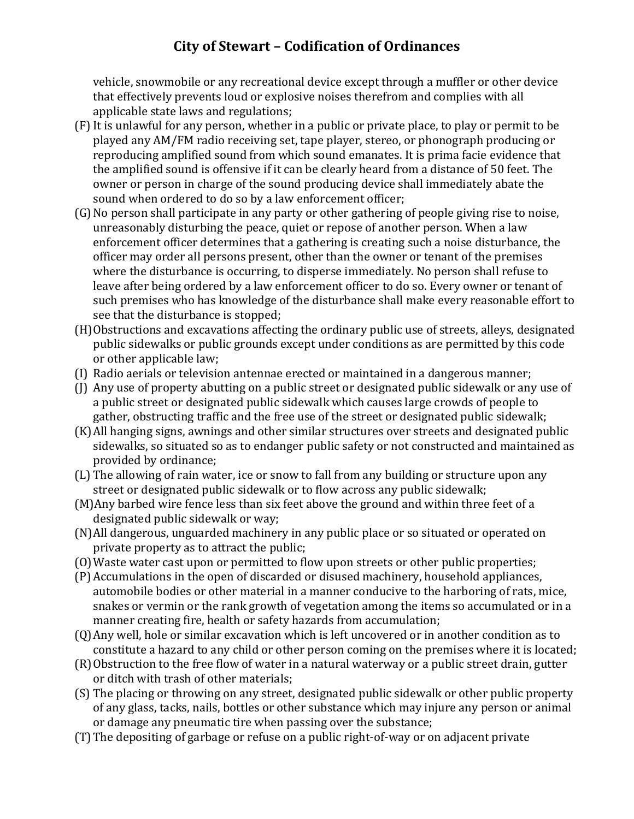vehicle, snowmobile or any recreational device except through a muffler or other device that effectively prevents loud or explosive noises therefrom and complies with all applicable state laws and regulations;

- (F) It is unlawful for any person, whether in a public or private place, to play or permit to be played any AM/FM radio receiving set, tape player, stereo, or phonograph producing or reproducing amplified sound from which sound emanates. It is prima facie evidence that the amplified sound is offensive if it can be clearly heard from a distance of 50 feet. The owner or person in charge of the sound producing device shall immediately abate the sound when ordered to do so by a law enforcement officer;
- (G)No person shall participate in any party or other gathering of people giving rise to noise, unreasonably disturbing the peace, quiet or repose of another person. When a law enforcement officer determines that a gathering is creating such a noise disturbance, the officer may order all persons present, other than the owner or tenant of the premises where the disturbance is occurring, to disperse immediately. No person shall refuse to leave after being ordered by a law enforcement officer to do so. Every owner or tenant of such premises who has knowledge of the disturbance shall make every reasonable effort to see that the disturbance is stopped;
- (H)Obstructions and excavations affecting the ordinary public use of streets, alleys, designated public sidewalks or public grounds except under conditions as are permitted by this code or other applicable law;
- (I) Radio aerials or television antennae erected or maintained in a dangerous manner;
- (J) Any use of property abutting on a public street or designated public sidewalk or any use of a public street or designated public sidewalk which causes large crowds of people to gather, obstructing traffic and the free use of the street or designated public sidewalk;
- (K)All hanging signs, awnings and other similar structures over streets and designated public sidewalks, so situated so as to endanger public safety or not constructed and maintained as provided by ordinance;
- (L) The allowing of rain water, ice or snow to fall from any building or structure upon any street or designated public sidewalk or to flow across any public sidewalk;
- (M)Any barbed wire fence less than six feet above the ground and within three feet of a designated public sidewalk or way;
- (N)All dangerous, unguarded machinery in any public place or so situated or operated on private property as to attract the public;
- (O)Waste water cast upon or permitted to flow upon streets or other public properties;
- (P) Accumulations in the open of discarded or disused machinery, household appliances, automobile bodies or other material in a manner conducive to the harboring of rats, mice, snakes or vermin or the rank growth of vegetation among the items so accumulated or in a manner creating fire, health or safety hazards from accumulation;
- (Q)Any well, hole or similar excavation which is left uncovered or in another condition as to constitute a hazard to any child or other person coming on the premises where it is located;
- (R)Obstruction to the free flow of water in a natural waterway or a public street drain, gutter or ditch with trash of other materials;
- (S) The placing or throwing on any street, designated public sidewalk or other public property of any glass, tacks, nails, bottles or other substance which may injure any person or animal or damage any pneumatic tire when passing over the substance;
- (T)The depositing of garbage or refuse on a public right-of-way or on adjacent private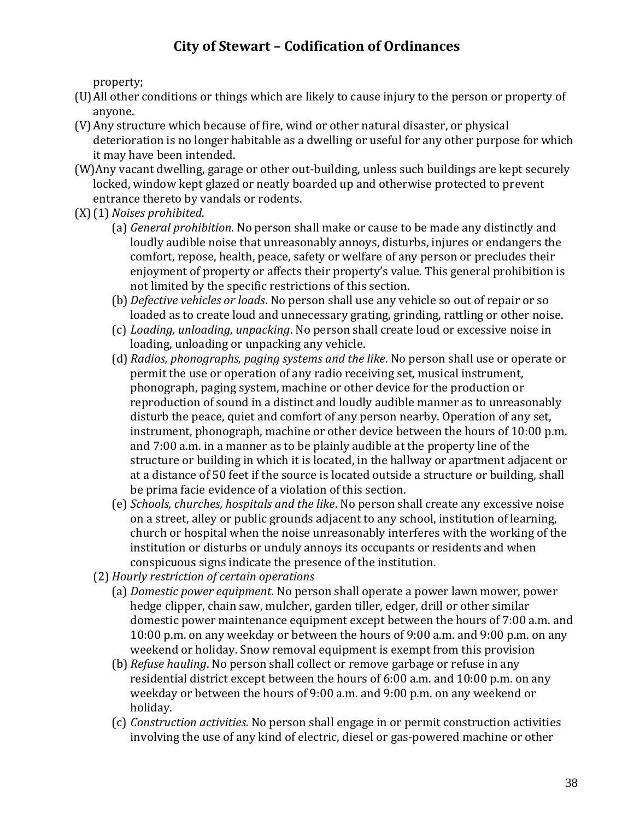property;

- (U)All other conditions or things which are likely to cause injury to the person or property of anyone.
- (V)Any structure which because of fire, wind or other natural disaster, or physical deterioration is no longer habitable as a dwelling or useful for any other purpose for which it may have been intended.
- (W)Any vacant dwelling, garage or other out-building, unless such buildings are kept securely locked, window kept glazed or neatly boarded up and otherwise protected to prevent entrance thereto by vandals or rodents.
- (X)(1) *Noises prohibited*.
	- (a) *General prohibition*. No person shall make or cause to be made any distinctly and loudly audible noise that unreasonably annoys, disturbs, injures or endangers the comfort, repose, health, peace, safety or welfare of any person or precludes their enjoyment of property or affects their property's value. This general prohibition is not limited by the specific restrictions of this section.
	- (b) *Defective vehicles or loads*. No person shall use any vehicle so out of repair or so loaded as to create loud and unnecessary grating, grinding, rattling or other noise.
	- (c) *Loading, unloading, unpacking*. No person shall create loud or excessive noise in loading, unloading or unpacking any vehicle.
	- (d) *Radios, phonographs, paging systems and the like*. No person shall use or operate or permit the use or operation of any radio receiving set, musical instrument, phonograph, paging system, machine or other device for the production or reproduction of sound in a distinct and loudly audible manner as to unreasonably disturb the peace, quiet and comfort of any person nearby. Operation of any set, instrument, phonograph, machine or other device between the hours of 10:00 p.m. and 7:00 a.m. in a manner as to be plainly audible at the property line of the structure or building in which it is located, in the hallway or apartment adjacent or at a distance of 50 feet if the source is located outside a structure or building, shall be prima facie evidence of a violation of this section.
	- (e) *Schools, churches, hospitals and the like*. No person shall create any excessive noise on a street, alley or public grounds adjacent to any school, institution of learning, church or hospital when the noise unreasonably interferes with the working of the institution or disturbs or unduly annoys its occupants or residents and when conspicuous signs indicate the presence of the institution.
	- (2) *Hourly restriction of certain operations*
		- (a) *Domestic power equipment*. No person shall operate a power lawn mower, power hedge clipper, chain saw, mulcher, garden tiller, edger, drill or other similar domestic power maintenance equipment except between the hours of 7:00 a.m. and 10:00 p.m. on any weekday or between the hours of 9:00 a.m. and 9:00 p.m. on any weekend or holiday. Snow removal equipment is exempt from this provision
		- (b) *Refuse hauling*. No person shall collect or remove garbage or refuse in any residential district except between the hours of 6:00 a.m. and 10:00 p.m. on any weekday or between the hours of 9:00 a.m. and 9:00 p.m. on any weekend or holiday.
		- (c) *Construction activities*. No person shall engage in or permit construction activities involving the use of any kind of electric, diesel or gas-powered machine or other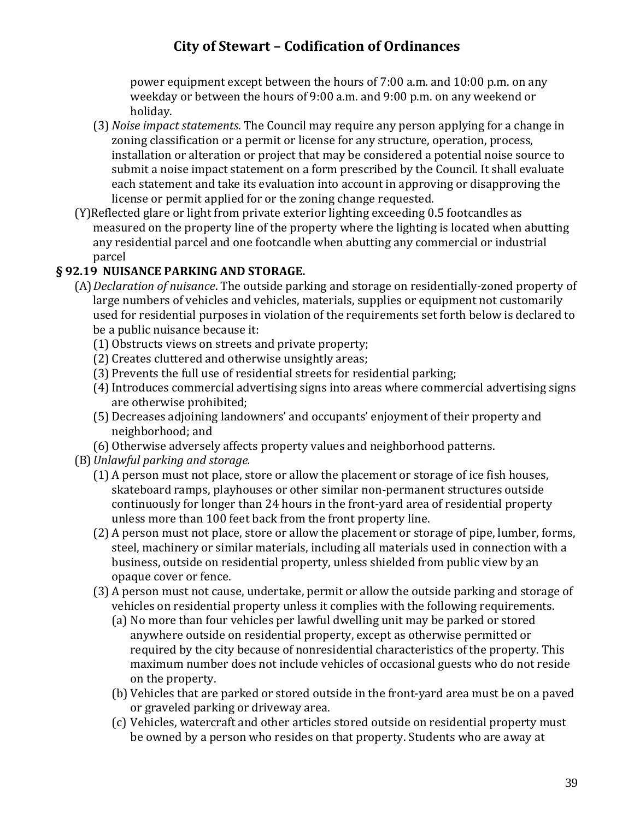power equipment except between the hours of 7:00 a.m. and 10:00 p.m. on any weekday or between the hours of 9:00 a.m. and 9:00 p.m. on any weekend or holiday.

- (3) *Noise impact statements*. The Council may require any person applying for a change in zoning classification or a permit or license for any structure, operation, process, installation or alteration or project that may be considered a potential noise source to submit a noise impact statement on a form prescribed by the Council. It shall evaluate each statement and take its evaluation into account in approving or disapproving the license or permit applied for or the zoning change requested.
- (Y)Reflected glare or light from private exterior lighting exceeding 0.5 footcandles as measured on the property line of the property where the lighting is located when abutting any residential parcel and one footcandle when abutting any commercial or industrial parcel

### **§ 92.19 NUISANCE PARKING AND STORAGE.**

- (A)*Declaration of nuisance*. The outside parking and storage on residentially-zoned property of large numbers of vehicles and vehicles, materials, supplies or equipment not customarily used for residential purposes in violation of the requirements set forth below is declared to be a public nuisance because it:
	- (1) Obstructs views on streets and private property;
	- (2) Creates cluttered and otherwise unsightly areas;
	- (3) Prevents the full use of residential streets for residential parking;
	- (4)Introduces commercial advertising signs into areas where commercial advertising signs are otherwise prohibited;
	- (5) Decreases adjoining landowners' and occupants' enjoyment of their property and neighborhood; and
	- (6) Otherwise adversely affects property values and neighborhood patterns.
- (B)*Unlawful parking and storage.*
	- (1) A person must not place, store or allow the placement or storage of ice fish houses, skateboard ramps, playhouses or other similar non-permanent structures outside continuously for longer than 24 hours in the front-yard area of residential property unless more than 100 feet back from the front property line.
	- (2) A person must not place, store or allow the placement or storage of pipe, lumber, forms, steel, machinery or similar materials, including all materials used in connection with a business, outside on residential property, unless shielded from public view by an opaque cover or fence.
	- (3) A person must not cause, undertake, permit or allow the outside parking and storage of vehicles on residential property unless it complies with the following requirements.
		- (a) No more than four vehicles per lawful dwelling unit may be parked or stored anywhere outside on residential property, except as otherwise permitted or required by the city because of nonresidential characteristics of the property. This maximum number does not include vehicles of occasional guests who do not reside on the property.
		- (b) Vehicles that are parked or stored outside in the front-yard area must be on a paved or graveled parking or driveway area.
		- (c) Vehicles, watercraft and other articles stored outside on residential property must be owned by a person who resides on that property. Students who are away at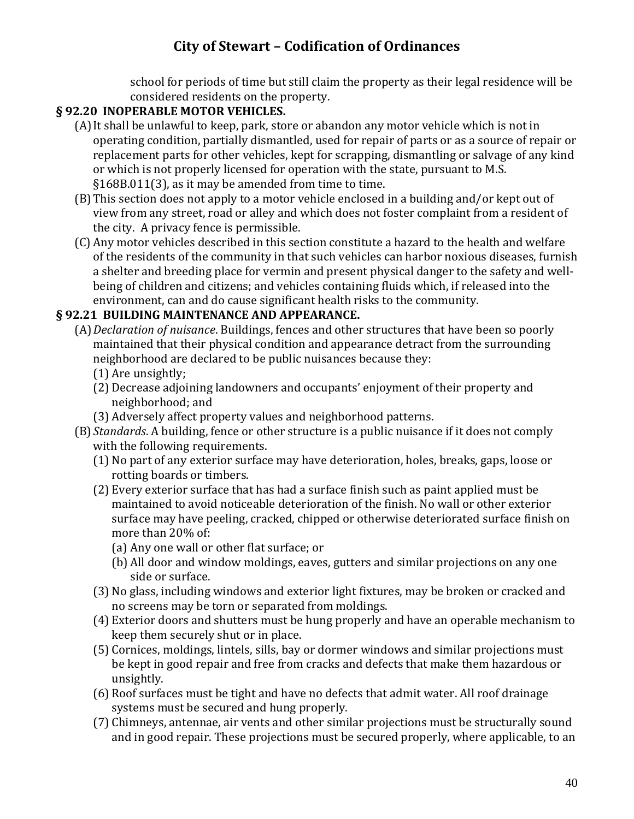school for periods of time but still claim the property as their legal residence will be considered residents on the property.

#### **§ 92.20 INOPERABLE MOTOR VEHICLES.**

- (A)It shall be unlawful to keep, park, store or abandon any motor vehicle which is not in operating condition, partially dismantled, used for repair of parts or as a source of repair or replacement parts for other vehicles, kept for scrapping, dismantling or salvage of any kind or which is not properly licensed for operation with the state, pursuant to M.S. §168B.011(3), as it may be amended from time to time.
- (B)This section does not apply to a motor vehicle enclosed in a building and/or kept out of view from any street, road or alley and which does not foster complaint from a resident of the city. A privacy fence is permissible.
- (C) Any motor vehicles described in this section constitute a hazard to the health and welfare of the residents of the community in that such vehicles can harbor noxious diseases, furnish a shelter and breeding place for vermin and present physical danger to the safety and wellbeing of children and citizens; and vehicles containing fluids which, if released into the environment, can and do cause significant health risks to the community.

### **§ 92.21 BUILDING MAINTENANCE AND APPEARANCE.**

- (A)*Declaration of nuisance*. Buildings, fences and other structures that have been so poorly maintained that their physical condition and appearance detract from the surrounding neighborhood are declared to be public nuisances because they:
	- (1) Are unsightly;
	- (2) Decrease adjoining landowners and occupants' enjoyment of their property and neighborhood; and
	- (3) Adversely affect property values and neighborhood patterns.
- (B) *Standards*. A building, fence or other structure is a public nuisance if it does not comply with the following requirements.
	- (1) No part of any exterior surface may have deterioration, holes, breaks, gaps, loose or rotting boards or timbers.
	- (2) Every exterior surface that has had a surface finish such as paint applied must be maintained to avoid noticeable deterioration of the finish. No wall or other exterior surface may have peeling, cracked, chipped or otherwise deteriorated surface finish on more than 20% of:
		- (a) Any one wall or other flat surface; or
		- (b) All door and window moldings, eaves, gutters and similar projections on any one side or surface.
	- (3) No glass, including windows and exterior light fixtures, may be broken or cracked and no screens may be torn or separated from moldings.
	- (4) Exterior doors and shutters must be hung properly and have an operable mechanism to keep them securely shut or in place.
	- (5) Cornices, moldings, lintels, sills, bay or dormer windows and similar projections must be kept in good repair and free from cracks and defects that make them hazardous or unsightly.
	- (6) Roof surfaces must be tight and have no defects that admit water. All roof drainage systems must be secured and hung properly.
	- (7) Chimneys, antennae, air vents and other similar projections must be structurally sound and in good repair. These projections must be secured properly, where applicable, to an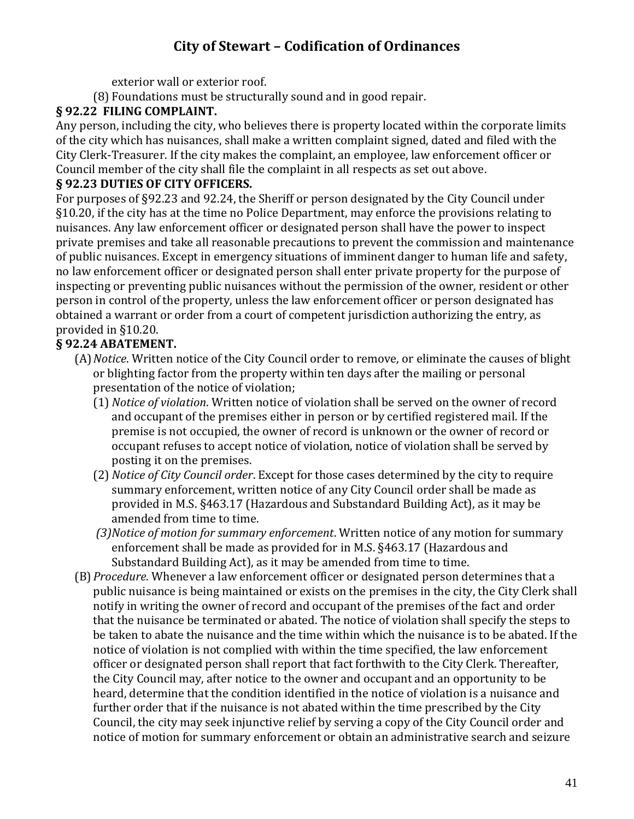exterior wall or exterior roof.

(8) Foundations must be structurally sound and in good repair.

### **§ 92.22 FILING COMPLAINT.**

Any person, including the city, who believes there is property located within the corporate limits of the city which has nuisances, shall make a written complaint signed, dated and filed with the City Clerk-Treasurer. If the city makes the complaint, an employee, law enforcement officer or Council member of the city shall file the complaint in all respects as set out above.

### **§ 92.23 DUTIES OF CITY OFFICERS.**

For purposes of §92.23 and 92.24, the Sheriff or person designated by the City Council under §10.20, if the city has at the time no Police Department, may enforce the provisions relating to nuisances. Any law enforcement officer or designated person shall have the power to inspect private premises and take all reasonable precautions to prevent the commission and maintenance of public nuisances. Except in emergency situations of imminent danger to human life and safety, no law enforcement officer or designated person shall enter private property for the purpose of inspecting or preventing public nuisances without the permission of the owner, resident or other person in control of the property, unless the law enforcement officer or person designated has obtained a warrant or order from a court of competent jurisdiction authorizing the entry, as provided in §10.20.

## **§ 92.24 ABATEMENT.**

- (A)*Notice*. Written notice of the City Council order to remove, or eliminate the causes of blight or blighting factor from the property within ten days after the mailing or personal presentation of the notice of violation;
	- (1) *Notice of violation*. Written notice of violation shall be served on the owner of record and occupant of the premises either in person or by certified registered mail. If the premise is not occupied, the owner of record is unknown or the owner of record or occupant refuses to accept notice of violation, notice of violation shall be served by posting it on the premises.
	- (2) *Notice of City Council order*. Except for those cases determined by the city to require summary enforcement, written notice of any City Council order shall be made as provided in M.S. §463.17 (Hazardous and Substandard Building Act), as it may be amended from time to time.
	- *(3)Notice of motion for summary enforcement*. Written notice of any motion for summary enforcement shall be made as provided for in M.S. §463.17 (Hazardous and Substandard Building Act), as it may be amended from time to time.
- (B)*Procedure*. Whenever a law enforcement officer or designated person determines that a public nuisance is being maintained or exists on the premises in the city, the City Clerk shall notify in writing the owner of record and occupant of the premises of the fact and order that the nuisance be terminated or abated. The notice of violation shall specify the steps to be taken to abate the nuisance and the time within which the nuisance is to be abated. If the notice of violation is not complied with within the time specified, the law enforcement officer or designated person shall report that fact forthwith to the City Clerk. Thereafter, the City Council may, after notice to the owner and occupant and an opportunity to be heard, determine that the condition identified in the notice of violation is a nuisance and further order that if the nuisance is not abated within the time prescribed by the City Council, the city may seek injunctive relief by serving a copy of the City Council order and notice of motion for summary enforcement or obtain an administrative search and seizure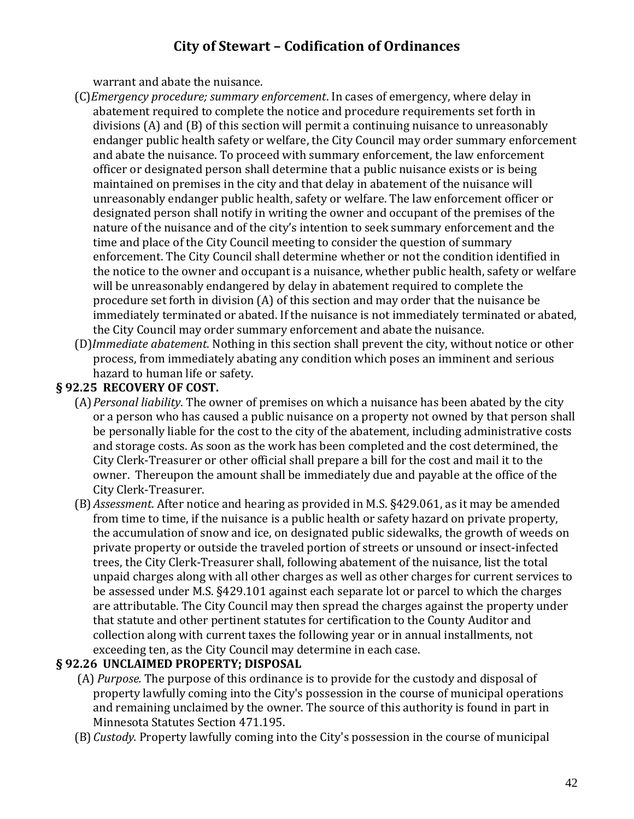warrant and abate the nuisance.

- (C)*Emergency procedure; summary enforcement*. In cases of emergency, where delay in abatement required to complete the notice and procedure requirements set forth in divisions (A) and (B) of this section will permit a continuing nuisance to unreasonably endanger public health safety or welfare, the City Council may order summary enforcement and abate the nuisance. To proceed with summary enforcement, the law enforcement officer or designated person shall determine that a public nuisance exists or is being maintained on premises in the city and that delay in abatement of the nuisance will unreasonably endanger public health, safety or welfare. The law enforcement officer or designated person shall notify in writing the owner and occupant of the premises of the nature of the nuisance and of the city's intention to seek summary enforcement and the time and place of the City Council meeting to consider the question of summary enforcement. The City Council shall determine whether or not the condition identified in the notice to the owner and occupant is a nuisance, whether public health, safety or welfare will be unreasonably endangered by delay in abatement required to complete the procedure set forth in division (A) of this section and may order that the nuisance be immediately terminated or abated. If the nuisance is not immediately terminated or abated, the City Council may order summary enforcement and abate the nuisance.
- (D)*Immediate abatement*. Nothing in this section shall prevent the city, without notice or other process, from immediately abating any condition which poses an imminent and serious hazard to human life or safety.

#### **§ 92.25 RECOVERY OF COST.**

- (A)*Personal liability*. The owner of premises on which a nuisance has been abated by the city or a person who has caused a public nuisance on a property not owned by that person shall be personally liable for the cost to the city of the abatement, including administrative costs and storage costs. As soon as the work has been completed and the cost determined, the City Clerk-Treasurer or other official shall prepare a bill for the cost and mail it to the owner. Thereupon the amount shall be immediately due and payable at the office of the City Clerk-Treasurer.
- (B)*Assessment*. After notice and hearing as provided in M.S. §429.061, as it may be amended from time to time, if the nuisance is a public health or safety hazard on private property, the accumulation of snow and ice, on designated public sidewalks, the growth of weeds on private property or outside the traveled portion of streets or unsound or insect-infected trees, the City Clerk-Treasurer shall, following abatement of the nuisance, list the total unpaid charges along with all other charges as well as other charges for current services to be assessed under M.S. §429.101 against each separate lot or parcel to which the charges are attributable. The City Council may then spread the charges against the property under that statute and other pertinent statutes for certification to the County Auditor and collection along with current taxes the following year or in annual installments, not exceeding ten, as the City Council may determine in each case.

#### **§ 92.26 UNCLAIMED PROPERTY; DISPOSAL**

- (A) *Purpose.* The purpose of this ordinance is to provide for the custody and disposal of property lawfully coming into the City's possession in the course of municipal operations and remaining unclaimed by the owner. The source of this authority is found in part in Minnesota Statutes Section 471.195.
- (B)*Custody.* Property lawfully coming into the City's possession in the course of municipal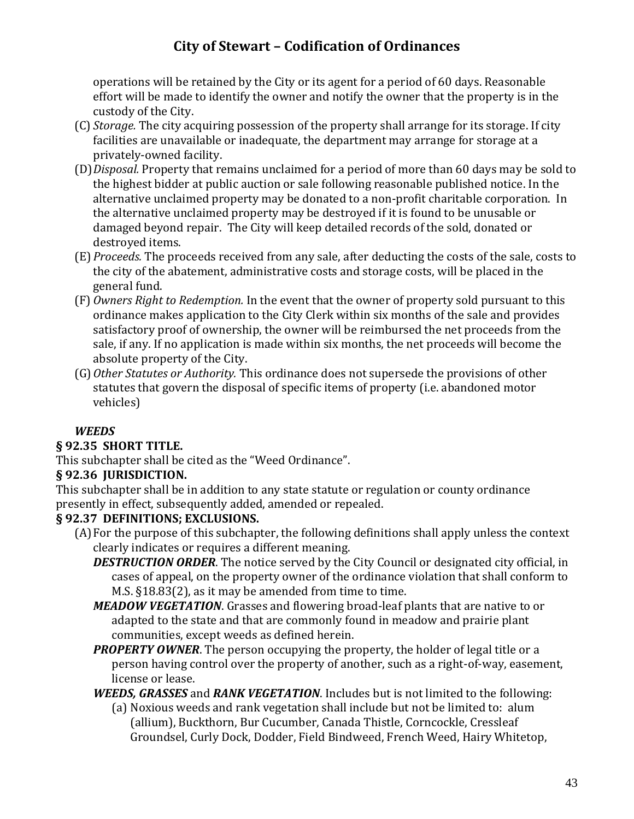operations will be retained by the City or its agent for a period of 60 days. Reasonable effort will be made to identify the owner and notify the owner that the property is in the custody of the City.

- (C) *Storage.* The city acquiring possession of the property shall arrange for its storage. If city facilities are unavailable or inadequate, the department may arrange for storage at a privately-owned facility.
- (D)*Disposal.* Property that remains unclaimed for a period of more than 60 days may be sold to the highest bidder at public auction or sale following reasonable published notice. In the alternative unclaimed property may be donated to a non-profit charitable corporation. In the alternative unclaimed property may be destroyed if it is found to be unusable or damaged beyond repair. The City will keep detailed records of the sold, donated or destroyed items.
- (E) *Proceeds.* The proceeds received from any sale, after deducting the costs of the sale, costs to the city of the abatement, administrative costs and storage costs, will be placed in the general fund.
- (F) *Owners Right to Redemption.* In the event that the owner of property sold pursuant to this ordinance makes application to the City Clerk within six months of the sale and provides satisfactory proof of ownership, the owner will be reimbursed the net proceeds from the sale, if any. If no application is made within six months, the net proceeds will become the absolute property of the City.
- (G)*Other Statutes or Authority.* This ordinance does not supersede the provisions of other statutes that govern the disposal of specific items of property (i.e. abandoned motor vehicles)

#### *WEEDS*

### **§ 92.35 SHORT TITLE.**

This subchapter shall be cited as the "Weed Ordinance".

### **§ 92.36 JURISDICTION.**

This subchapter shall be in addition to any state statute or regulation or county ordinance presently in effect, subsequently added, amended or repealed.

### **§ 92.37 DEFINITIONS; EXCLUSIONS.**

- (A)For the purpose of this subchapter, the following definitions shall apply unless the context clearly indicates or requires a different meaning.
	- *DESTRUCTION ORDER*. The notice served by the City Council or designated city official, in cases of appeal, on the property owner of the ordinance violation that shall conform to M.S. §18.83(2), as it may be amended from time to time.
	- *MEADOW VEGETATION*. Grasses and flowering broad-leaf plants that are native to or adapted to the state and that are commonly found in meadow and prairie plant communities, except weeds as defined herein.
	- **PROPERTY OWNER**. The person occupying the property, the holder of legal title or a person having control over the property of another, such as a right-of-way, easement, license or lease.

*WEEDS, GRASSES* and *RANK VEGETATION*. Includes but is not limited to the following:

(a) Noxious weeds and rank vegetation shall include but not be limited to: alum (allium), Buckthorn, Bur Cucumber, Canada Thistle, Corncockle, Cressleaf Groundsel, Curly Dock, Dodder, Field Bindweed, French Weed, Hairy Whitetop,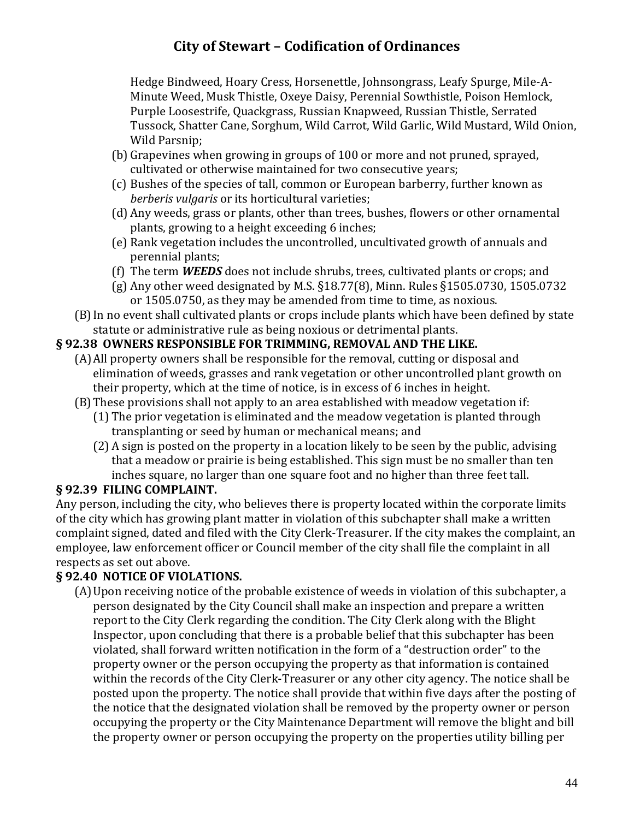Hedge Bindweed, Hoary Cress, Horsenettle, Johnsongrass, Leafy Spurge, Mile-A-Minute Weed, Musk Thistle, Oxeye Daisy, Perennial Sowthistle, Poison Hemlock, Purple Loosestrife, Quackgrass, Russian Knapweed, Russian Thistle, Serrated Tussock, Shatter Cane, Sorghum, Wild Carrot, Wild Garlic, Wild Mustard, Wild Onion, Wild Parsnip;

- (b) Grapevines when growing in groups of 100 or more and not pruned, sprayed, cultivated or otherwise maintained for two consecutive years;
- (c) Bushes of the species of tall, common or European barberry, further known as *berberis vulgaris* or its horticultural varieties;
- (d) Any weeds, grass or plants, other than trees, bushes, flowers or other ornamental plants, growing to a height exceeding 6 inches;
- (e) Rank vegetation includes the uncontrolled, uncultivated growth of annuals and perennial plants;
- (f) The term *WEEDS* does not include shrubs, trees, cultivated plants or crops; and
- (g) Any other weed designated by M.S. §18.77(8), Minn. Rules §1505.0730, 1505.0732 or 1505.0750, as they may be amended from time to time, as noxious.
- (B)In no event shall cultivated plants or crops include plants which have been defined by state statute or administrative rule as being noxious or detrimental plants.

### **§ 92.38 OWNERS RESPONSIBLE FOR TRIMMING, REMOVAL AND THE LIKE.**

- (A)All property owners shall be responsible for the removal, cutting or disposal and elimination of weeds, grasses and rank vegetation or other uncontrolled plant growth on their property, which at the time of notice, is in excess of 6 inches in height.
- (B)These provisions shall not apply to an area established with meadow vegetation if:
	- (1) The prior vegetation is eliminated and the meadow vegetation is planted through transplanting or seed by human or mechanical means; and
	- (2) A sign is posted on the property in a location likely to be seen by the public, advising that a meadow or prairie is being established. This sign must be no smaller than ten inches square, no larger than one square foot and no higher than three feet tall.

### **§ 92.39 FILING COMPLAINT.**

Any person, including the city, who believes there is property located within the corporate limits of the city which has growing plant matter in violation of this subchapter shall make a written complaint signed, dated and filed with the City Clerk-Treasurer. If the city makes the complaint, an employee, law enforcement officer or Council member of the city shall file the complaint in all respects as set out above.

### **§ 92.40 NOTICE OF VIOLATIONS.**

(A)Upon receiving notice of the probable existence of weeds in violation of this subchapter, a person designated by the City Council shall make an inspection and prepare a written report to the City Clerk regarding the condition. The City Clerk along with the Blight Inspector, upon concluding that there is a probable belief that this subchapter has been violated, shall forward written notification in the form of a "destruction order" to the property owner or the person occupying the property as that information is contained within the records of the City Clerk-Treasurer or any other city agency. The notice shall be posted upon the property. The notice shall provide that within five days after the posting of the notice that the designated violation shall be removed by the property owner or person occupying the property or the City Maintenance Department will remove the blight and bill the property owner or person occupying the property on the properties utility billing per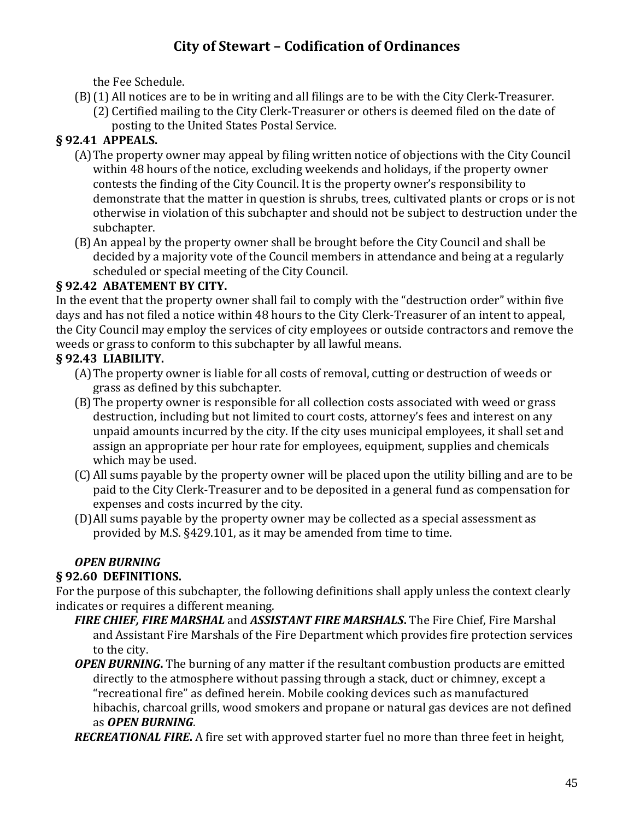the Fee Schedule.

- (B)(1) All notices are to be in writing and all filings are to be with the City Clerk-Treasurer.
	- (2) Certified mailing to the City Clerk-Treasurer or others is deemed filed on the date of posting to the United States Postal Service.

# **§ 92.41 APPEALS.**

- (A)The property owner may appeal by filing written notice of objections with the City Council within 48 hours of the notice, excluding weekends and holidays, if the property owner contests the finding of the City Council. It is the property owner's responsibility to demonstrate that the matter in question is shrubs, trees, cultivated plants or crops or is not otherwise in violation of this subchapter and should not be subject to destruction under the subchapter.
- (B)An appeal by the property owner shall be brought before the City Council and shall be decided by a majority vote of the Council members in attendance and being at a regularly scheduled or special meeting of the City Council.

## **§ 92.42 ABATEMENT BY CITY.**

In the event that the property owner shall fail to comply with the "destruction order" within five days and has not filed a notice within 48 hours to the City Clerk-Treasurer of an intent to appeal, the City Council may employ the services of city employees or outside contractors and remove the weeds or grass to conform to this subchapter by all lawful means.

## **§ 92.43 LIABILITY.**

- (A)The property owner is liable for all costs of removal, cutting or destruction of weeds or grass as defined by this subchapter.
- (B)The property owner is responsible for all collection costs associated with weed or grass destruction, including but not limited to court costs, attorney's fees and interest on any unpaid amounts incurred by the city. If the city uses municipal employees, it shall set and assign an appropriate per hour rate for employees, equipment, supplies and chemicals which may be used.
- (C) All sums payable by the property owner will be placed upon the utility billing and are to be paid to the City Clerk-Treasurer and to be deposited in a general fund as compensation for expenses and costs incurred by the city.
- (D)All sums payable by the property owner may be collected as a special assessment as provided by M.S. §429.101, as it may be amended from time to time.

## *OPEN BURNING*

## **§ 92.60 DEFINITIONS.**

For the purpose of this subchapter, the following definitions shall apply unless the context clearly indicates or requires a different meaning.

- *FIRE CHIEF, FIRE MARSHAL* and *ASSISTANT FIRE MARSHALS***.** The Fire Chief, Fire Marshal and Assistant Fire Marshals of the Fire Department which provides fire protection services to the city.
- *OPEN BURNING*. The burning of any matter if the resultant combustion products are emitted directly to the atmosphere without passing through a stack, duct or chimney, except a "recreational fire" as defined herein. Mobile cooking devices such as manufactured hibachis, charcoal grills, wood smokers and propane or natural gas devices are not defined as *OPEN BURNING*.

*RECREATIONAL FIRE***.** A fire set with approved starter fuel no more than three feet in height,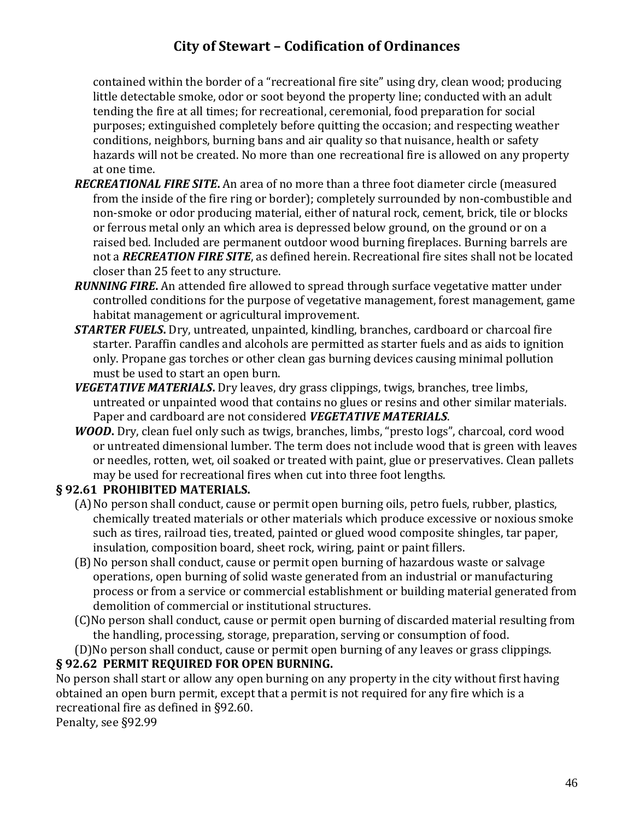contained within the border of a "recreational fire site" using dry, clean wood; producing little detectable smoke, odor or soot beyond the property line; conducted with an adult tending the fire at all times; for recreational, ceremonial, food preparation for social purposes; extinguished completely before quitting the occasion; and respecting weather conditions, neighbors, burning bans and air quality so that nuisance, health or safety hazards will not be created. No more than one recreational fire is allowed on any property at one time.

- *RECREATIONAL FIRE SITE***.** An area of no more than a three foot diameter circle (measured from the inside of the fire ring or border); completely surrounded by non-combustible and non-smoke or odor producing material, either of natural rock, cement, brick, tile or blocks or ferrous metal only an which area is depressed below ground, on the ground or on a raised bed. Included are permanent outdoor wood burning fireplaces. Burning barrels are not a *RECREATION FIRE SITE*, as defined herein. Recreational fire sites shall not be located closer than 25 feet to any structure.
- *RUNNING FIRE***.** An attended fire allowed to spread through surface vegetative matter under controlled conditions for the purpose of vegetative management, forest management, game habitat management or agricultural improvement.
- *STARTER FUELS***.** Dry, untreated, unpainted, kindling, branches, cardboard or charcoal fire starter. Paraffin candles and alcohols are permitted as starter fuels and as aids to ignition only. Propane gas torches or other clean gas burning devices causing minimal pollution must be used to start an open burn.
- *VEGETATIVE MATERIALS***.** Dry leaves, dry grass clippings, twigs, branches, tree limbs, untreated or unpainted wood that contains no glues or resins and other similar materials. Paper and cardboard are not considered *VEGETATIVE MATERIALS*.
- *WOOD***.** Dry, clean fuel only such as twigs, branches, limbs, "presto logs", charcoal, cord wood or untreated dimensional lumber. The term does not include wood that is green with leaves or needles, rotten, wet, oil soaked or treated with paint, glue or preservatives. Clean pallets may be used for recreational fires when cut into three foot lengths.

#### **§ 92.61 PROHIBITED MATERIALS.**

- (A)No person shall conduct, cause or permit open burning oils, petro fuels, rubber, plastics, chemically treated materials or other materials which produce excessive or noxious smoke such as tires, railroad ties, treated, painted or glued wood composite shingles, tar paper, insulation, composition board, sheet rock, wiring, paint or paint fillers.
- (B)No person shall conduct, cause or permit open burning of hazardous waste or salvage operations, open burning of solid waste generated from an industrial or manufacturing process or from a service or commercial establishment or building material generated from demolition of commercial or institutional structures.
- (C)No person shall conduct, cause or permit open burning of discarded material resulting from the handling, processing, storage, preparation, serving or consumption of food.
- (D)No person shall conduct, cause or permit open burning of any leaves or grass clippings.

### **§ 92.62 PERMIT REQUIRED FOR OPEN BURNING.**

No person shall start or allow any open burning on any property in the city without first having obtained an open burn permit, except that a permit is not required for any fire which is a recreational fire as defined in §92.60.

Penalty, see §92.99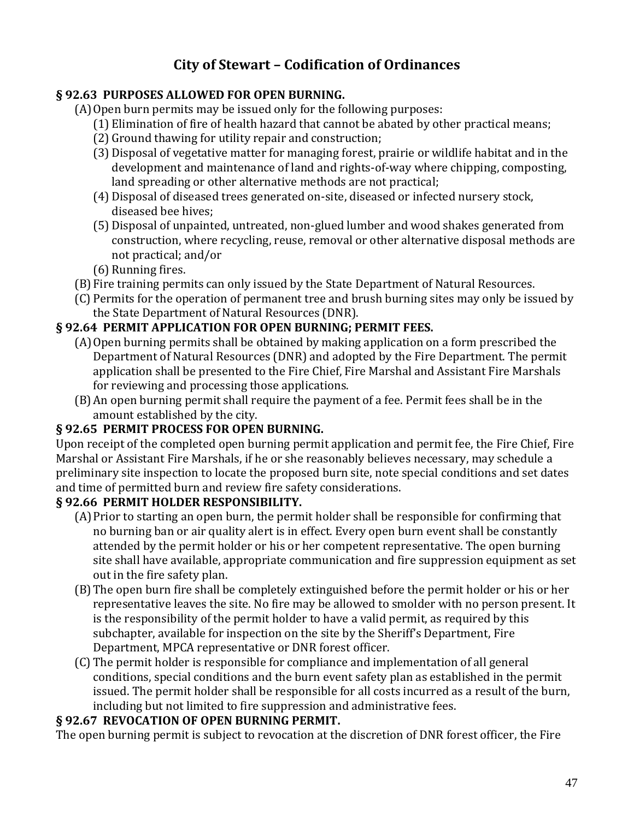#### **§ 92.63 PURPOSES ALLOWED FOR OPEN BURNING.**

(A)Open burn permits may be issued only for the following purposes:

- (1) Elimination of fire of health hazard that cannot be abated by other practical means;
- (2) Ground thawing for utility repair and construction;
- (3) Disposal of vegetative matter for managing forest, prairie or wildlife habitat and in the development and maintenance of land and rights-of-way where chipping, composting, land spreading or other alternative methods are not practical;
- (4) Disposal of diseased trees generated on-site, diseased or infected nursery stock, diseased bee hives;
- (5) Disposal of unpainted, untreated, non-glued lumber and wood shakes generated from construction, where recycling, reuse, removal or other alternative disposal methods are not practical; and/or
- (6) Running fires.
- (B)Fire training permits can only issued by the State Department of Natural Resources.
- (C) Permits for the operation of permanent tree and brush burning sites may only be issued by the State Department of Natural Resources (DNR).

#### **§ 92.64 PERMIT APPLICATION FOR OPEN BURNING; PERMIT FEES.**

- (A)Open burning permits shall be obtained by making application on a form prescribed the Department of Natural Resources (DNR) and adopted by the Fire Department. The permit application shall be presented to the Fire Chief, Fire Marshal and Assistant Fire Marshals for reviewing and processing those applications.
- (B)An open burning permit shall require the payment of a fee. Permit fees shall be in the amount established by the city.

#### **§ 92.65 PERMIT PROCESS FOR OPEN BURNING.**

Upon receipt of the completed open burning permit application and permit fee, the Fire Chief, Fire Marshal or Assistant Fire Marshals, if he or she reasonably believes necessary, may schedule a preliminary site inspection to locate the proposed burn site, note special conditions and set dates and time of permitted burn and review fire safety considerations.

#### **§ 92.66 PERMIT HOLDER RESPONSIBILITY.**

- (A)Prior to starting an open burn, the permit holder shall be responsible for confirming that no burning ban or air quality alert is in effect. Every open burn event shall be constantly attended by the permit holder or his or her competent representative. The open burning site shall have available, appropriate communication and fire suppression equipment as set out in the fire safety plan.
- (B)The open burn fire shall be completely extinguished before the permit holder or his or her representative leaves the site. No fire may be allowed to smolder with no person present. It is the responsibility of the permit holder to have a valid permit, as required by this subchapter, available for inspection on the site by the Sheriff's Department, Fire Department, MPCA representative or DNR forest officer.
- (C) The permit holder is responsible for compliance and implementation of all general conditions, special conditions and the burn event safety plan as established in the permit issued. The permit holder shall be responsible for all costs incurred as a result of the burn, including but not limited to fire suppression and administrative fees.

#### **§ 92.67 REVOCATION OF OPEN BURNING PERMIT.**

The open burning permit is subject to revocation at the discretion of DNR forest officer, the Fire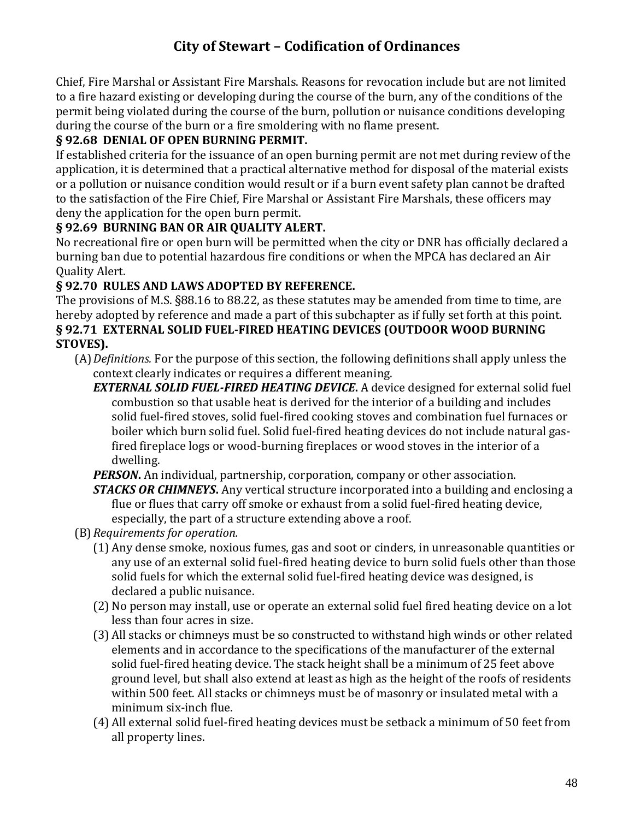Chief, Fire Marshal or Assistant Fire Marshals. Reasons for revocation include but are not limited to a fire hazard existing or developing during the course of the burn, any of the conditions of the permit being violated during the course of the burn, pollution or nuisance conditions developing during the course of the burn or a fire smoldering with no flame present.

### **§ 92.68 DENIAL OF OPEN BURNING PERMIT.**

If established criteria for the issuance of an open burning permit are not met during review of the application, it is determined that a practical alternative method for disposal of the material exists or a pollution or nuisance condition would result or if a burn event safety plan cannot be drafted to the satisfaction of the Fire Chief, Fire Marshal or Assistant Fire Marshals, these officers may deny the application for the open burn permit.

#### **§ 92.69 BURNING BAN OR AIR QUALITY ALERT.**

No recreational fire or open burn will be permitted when the city or DNR has officially declared a burning ban due to potential hazardous fire conditions or when the MPCA has declared an Air Quality Alert.

#### **§ 92.70 RULES AND LAWS ADOPTED BY REFERENCE.**

The provisions of M.S. §88.16 to 88.22, as these statutes may be amended from time to time, are hereby adopted by reference and made a part of this subchapter as if fully set forth at this point. **§ 92.71 EXTERNAL SOLID FUEL-FIRED HEATING DEVICES (OUTDOOR WOOD BURNING STOVES).**

- (A)*Definitions.* For the purpose of this section, the following definitions shall apply unless the context clearly indicates or requires a different meaning.
	- *EXTERNAL SOLID FUEL-FIRED HEATING DEVICE***.** A device designed for external solid fuel combustion so that usable heat is derived for the interior of a building and includes solid fuel-fired stoves, solid fuel-fired cooking stoves and combination fuel furnaces or boiler which burn solid fuel. Solid fuel-fired heating devices do not include natural gasfired fireplace logs or wood-burning fireplaces or wood stoves in the interior of a dwelling.
	- *PERSON***.** An individual, partnership, corporation, company or other association. *STACKS OR CHIMNEYS***.** Any vertical structure incorporated into a building and enclosing a flue or flues that carry off smoke or exhaust from a solid fuel-fired heating device, especially, the part of a structure extending above a roof.
- (B)*Requirements for operation.*
	- (1) Any dense smoke, noxious fumes, gas and soot or cinders, in unreasonable quantities or any use of an external solid fuel-fired heating device to burn solid fuels other than those solid fuels for which the external solid fuel-fired heating device was designed, is declared a public nuisance.
	- (2) No person may install, use or operate an external solid fuel fired heating device on a lot less than four acres in size.
	- (3) All stacks or chimneys must be so constructed to withstand high winds or other related elements and in accordance to the specifications of the manufacturer of the external solid fuel-fired heating device. The stack height shall be a minimum of 25 feet above ground level, but shall also extend at least as high as the height of the roofs of residents within 500 feet. All stacks or chimneys must be of masonry or insulated metal with a minimum six-inch flue.
	- (4) All external solid fuel-fired heating devices must be setback a minimum of 50 feet from all property lines.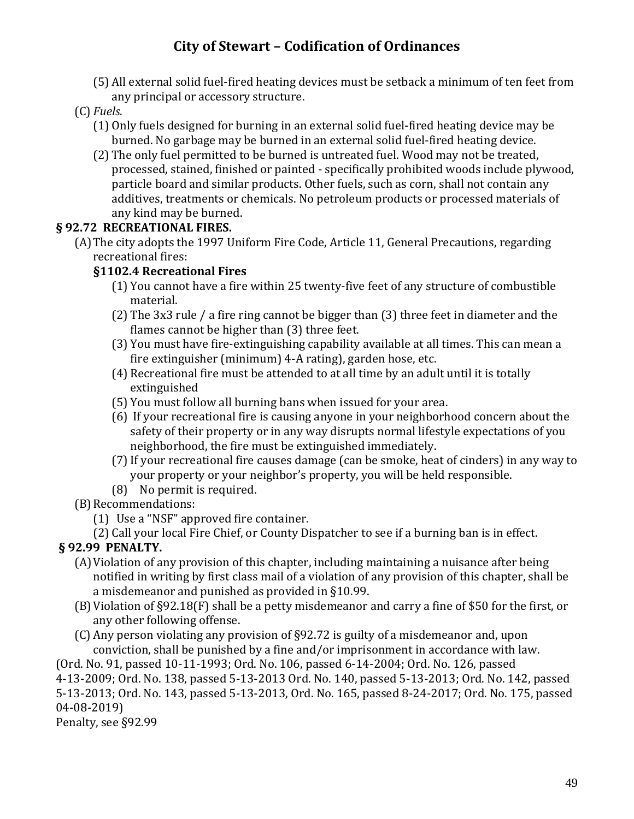(5) All external solid fuel-fired heating devices must be setback a minimum of ten feet from any principal or accessory structure.

### (C) *Fuels*.

- (1) Only fuels designed for burning in an external solid fuel-fired heating device may be burned. No garbage may be burned in an external solid fuel-fired heating device.
- (2) The only fuel permitted to be burned is untreated fuel. Wood may not be treated, processed, stained, finished or painted - specifically prohibited woods include plywood, particle board and similar products. Other fuels, such as corn, shall not contain any additives, treatments or chemicals. No petroleum products or processed materials of any kind may be burned.

### **§ 92.72 RECREATIONAL FIRES.**

(A)The city adopts the 1997 Uniform Fire Code, Article 11, General Precautions, regarding recreational fires:

#### **§1102.4 Recreational Fires**

- (1) You cannot have a fire within 25 twenty-five feet of any structure of combustible material.
- (2) The 3x3 rule / a fire ring cannot be bigger than (3) three feet in diameter and the flames cannot be higher than (3) three feet.
- (3) You must have fire-extinguishing capability available at all times. This can mean a fire extinguisher (minimum) 4-A rating), garden hose, etc.
- (4) Recreational fire must be attended to at all time by an adult until it is totally extinguished
- (5) You must follow all burning bans when issued for your area.
- (6) If your recreational fire is causing anyone in your neighborhood concern about the safety of their property or in any way disrupts normal lifestyle expectations of you neighborhood, the fire must be extinguished immediately.
- (7)If your recreational fire causes damage (can be smoke, heat of cinders) in any way to your property or your neighbor's property, you will be held responsible.
- (8) No permit is required.
- (B) Recommendations:
	- (1) Use a "NSF" approved fire container.

(2) Call your local Fire Chief, or County Dispatcher to see if a burning ban is in effect.

## **§ 92.99 PENALTY.**

- (A)Violation of any provision of this chapter, including maintaining a nuisance after being notified in writing by first class mail of a violation of any provision of this chapter, shall be a misdemeanor and punished as provided in §10.99.
- (B)Violation of §92.18(F) shall be a petty misdemeanor and carry a fine of \$50 for the first, or any other following offense.
- (C) Any person violating any provision of §92.72 is guilty of a misdemeanor and, upon conviction, shall be punished by a fine and/or imprisonment in accordance with law.

(Ord. No. 91, passed 10-11-1993; Ord. No. 106, passed 6-14-2004; Ord. No. 126, passed

4-13-2009; Ord. No. 138, passed 5-13-2013 Ord. No. 140, passed 5-13-2013; Ord. No. 142, passed 5-13-2013; Ord. No. 143, passed 5-13-2013, Ord. No. 165, passed 8-24-2017; Ord. No. 175, passed 04-08-2019)

Penalty, see §92.99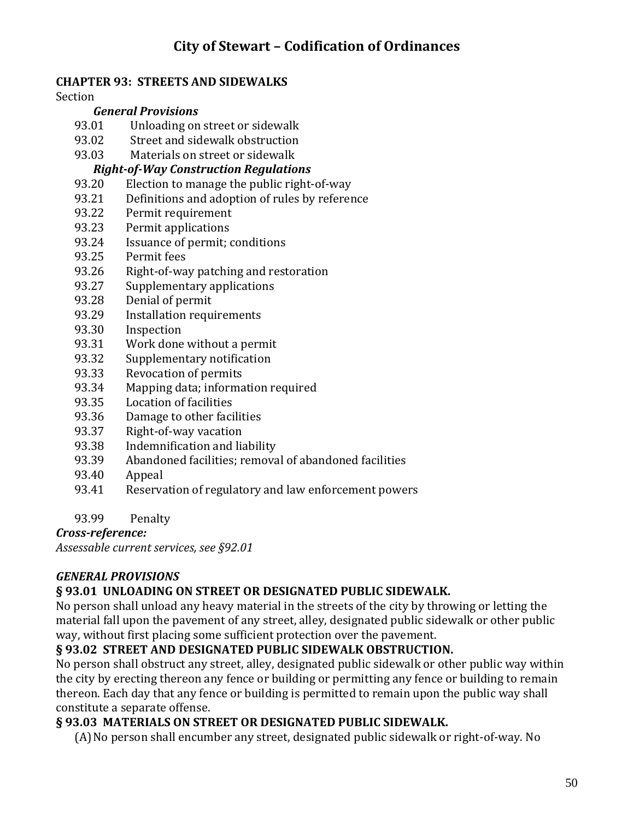#### **CHAPTER 93: STREETS AND SIDEWALKS**

Section

#### *General Provisions*

- 93.01 Unloading on street or sidewalk
- 93.02 Street and sidewalk obstruction
- 93.03 Materials on street or sidewalk

#### *Right-of-Way Construction Regulations*

- 93.20 Election to manage the public right-of-way
- 93.21 Definitions and adoption of rules by reference
- 93.22 Permit requirement
- 93.23 Permit applications
- 93.24 Issuance of permit; conditions
- 93.25 Permit fees
- 93.26 Right-of-way patching and restoration
- 93.27 Supplementary applications
- 93.28 Denial of permit
- 93.29 Installation requirements
- 93.30 Inspection
- 93.31 Work done without a permit
- 93.32 Supplementary notification
- 93.33 Revocation of permits
- 93.34 Mapping data; information required
- 93.35 Location of facilities
- 93.36 Damage to other facilities
- 93.37 Right-of-way vacation
- 93.38 Indemnification and liability
- 93.39 Abandoned facilities; removal of abandoned facilities
- 93.40 Appeal
- 93.41 Reservation of regulatory and law enforcement powers
- 93.99 Penalty

*Cross-reference:*

*Assessable current services, see §92.01*

### *GENERAL PROVISIONS*

#### **§ 93.01 UNLOADING ON STREET OR DESIGNATED PUBLIC SIDEWALK.**

No person shall unload any heavy material in the streets of the city by throwing or letting the material fall upon the pavement of any street, alley, designated public sidewalk or other public way, without first placing some sufficient protection over the pavement.

### **§ 93.02 STREET AND DESIGNATED PUBLIC SIDEWALK OBSTRUCTION.**

No person shall obstruct any street, alley, designated public sidewalk or other public way within the city by erecting thereon any fence or building or permitting any fence or building to remain thereon. Each day that any fence or building is permitted to remain upon the public way shall constitute a separate offense.

#### **§ 93.03 MATERIALS ON STREET OR DESIGNATED PUBLIC SIDEWALK.**

(A)No person shall encumber any street, designated public sidewalk or right-of-way. No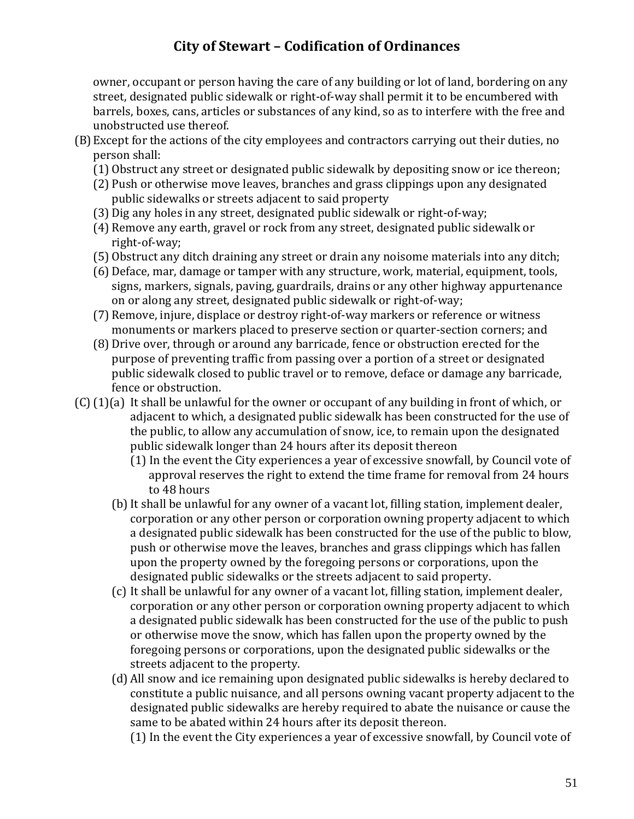owner, occupant or person having the care of any building or lot of land, bordering on any street, designated public sidewalk or right-of-way shall permit it to be encumbered with barrels, boxes, cans, articles or substances of any kind, so as to interfere with the free and unobstructed use thereof.

- (B)Except for the actions of the city employees and contractors carrying out their duties, no person shall:
	- (1) Obstruct any street or designated public sidewalk by depositing snow or ice thereon;
	- (2) Push or otherwise move leaves, branches and grass clippings upon any designated public sidewalks or streets adjacent to said property
	- (3) Dig any holes in any street, designated public sidewalk or right-of-way;
	- (4) Remove any earth, gravel or rock from any street, designated public sidewalk or right-of-way;
	- (5) Obstruct any ditch draining any street or drain any noisome materials into any ditch;
	- (6) Deface, mar, damage or tamper with any structure, work, material, equipment, tools, signs, markers, signals, paving, guardrails, drains or any other highway appurtenance on or along any street, designated public sidewalk or right-of-way;
	- (7) Remove, injure, displace or destroy right-of-way markers or reference or witness monuments or markers placed to preserve section or quarter-section corners; and
	- (8) Drive over, through or around any barricade, fence or obstruction erected for the purpose of preventing traffic from passing over a portion of a street or designated public sidewalk closed to public travel or to remove, deface or damage any barricade, fence or obstruction.
- (C)(1)(a) It shall be unlawful for the owner or occupant of any building in front of which, or adjacent to which, a designated public sidewalk has been constructed for the use of the public, to allow any accumulation of snow, ice, to remain upon the designated public sidewalk longer than 24 hours after its deposit thereon
	- (1) In the event the City experiences a year of excessive snowfall, by Council vote of approval reserves the right to extend the time frame for removal from 24 hours to 48 hours
	- (b)It shall be unlawful for any owner of a vacant lot, filling station, implement dealer, corporation or any other person or corporation owning property adjacent to which a designated public sidewalk has been constructed for the use of the public to blow, push or otherwise move the leaves, branches and grass clippings which has fallen upon the property owned by the foregoing persons or corporations, upon the designated public sidewalks or the streets adjacent to said property.
	- (c) It shall be unlawful for any owner of a vacant lot, filling station, implement dealer, corporation or any other person or corporation owning property adjacent to which a designated public sidewalk has been constructed for the use of the public to push or otherwise move the snow, which has fallen upon the property owned by the foregoing persons or corporations, upon the designated public sidewalks or the streets adjacent to the property.
	- (d) All snow and ice remaining upon designated public sidewalks is hereby declared to constitute a public nuisance, and all persons owning vacant property adjacent to the designated public sidewalks are hereby required to abate the nuisance or cause the same to be abated within 24 hours after its deposit thereon.

(1) In the event the City experiences a year of excessive snowfall, by Council vote of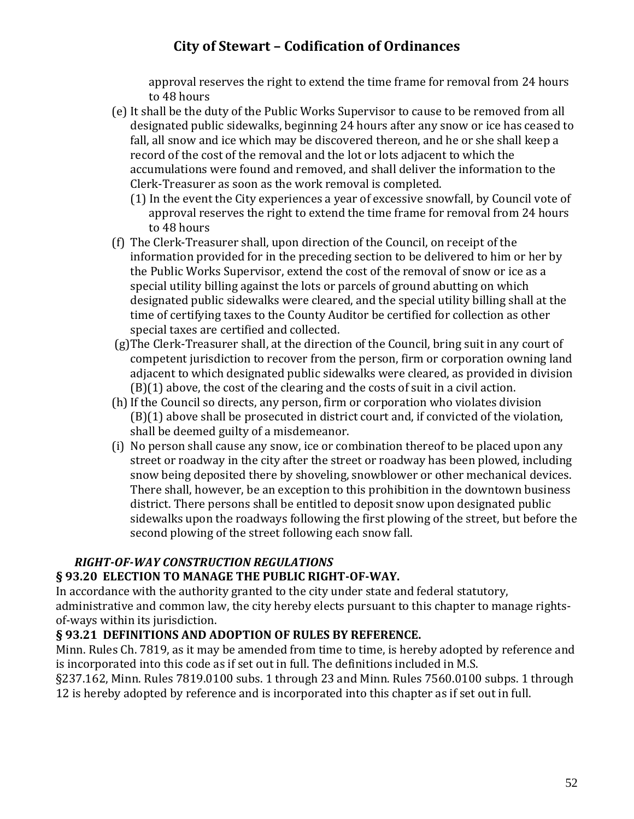approval reserves the right to extend the time frame for removal from 24 hours to 48 hours

- (e) It shall be the duty of the Public Works Supervisor to cause to be removed from all designated public sidewalks, beginning 24 hours after any snow or ice has ceased to fall, all snow and ice which may be discovered thereon, and he or she shall keep a record of the cost of the removal and the lot or lots adjacent to which the accumulations were found and removed, and shall deliver the information to the Clerk-Treasurer as soon as the work removal is completed.
	- (1) In the event the City experiences a year of excessive snowfall, by Council vote of approval reserves the right to extend the time frame for removal from 24 hours to 48 hours
- (f) The Clerk-Treasurer shall, upon direction of the Council, on receipt of the information provided for in the preceding section to be delivered to him or her by the Public Works Supervisor, extend the cost of the removal of snow or ice as a special utility billing against the lots or parcels of ground abutting on which designated public sidewalks were cleared, and the special utility billing shall at the time of certifying taxes to the County Auditor be certified for collection as other special taxes are certified and collected.
- (g)The Clerk-Treasurer shall, at the direction of the Council, bring suit in any court of competent jurisdiction to recover from the person, firm or corporation owning land adjacent to which designated public sidewalks were cleared, as provided in division (B)(1) above, the cost of the clearing and the costs of suit in a civil action.
- (h) If the Council so directs, any person, firm or corporation who violates division (B)(1) above shall be prosecuted in district court and, if convicted of the violation, shall be deemed guilty of a misdemeanor.
- (i) No person shall cause any snow, ice or combination thereof to be placed upon any street or roadway in the city after the street or roadway has been plowed, including snow being deposited there by shoveling, snowblower or other mechanical devices. There shall, however, be an exception to this prohibition in the downtown business district. There persons shall be entitled to deposit snow upon designated public sidewalks upon the roadways following the first plowing of the street, but before the second plowing of the street following each snow fall.

### *RIGHT-OF-WAY CONSTRUCTION REGULATIONS*

### **§ 93.20 ELECTION TO MANAGE THE PUBLIC RIGHT-OF-WAY.**

In accordance with the authority granted to the city under state and federal statutory, administrative and common law, the city hereby elects pursuant to this chapter to manage rightsof-ways within its jurisdiction.

### **§ 93.21 DEFINITIONS AND ADOPTION OF RULES BY REFERENCE.**

Minn. Rules Ch. 7819, as it may be amended from time to time, is hereby adopted by reference and is incorporated into this code as if set out in full. The definitions included in M.S.

§237.162, Minn. Rules 7819.0100 subs. 1 through 23 and Minn. Rules 7560.0100 subps. 1 through 12 is hereby adopted by reference and is incorporated into this chapter as if set out in full.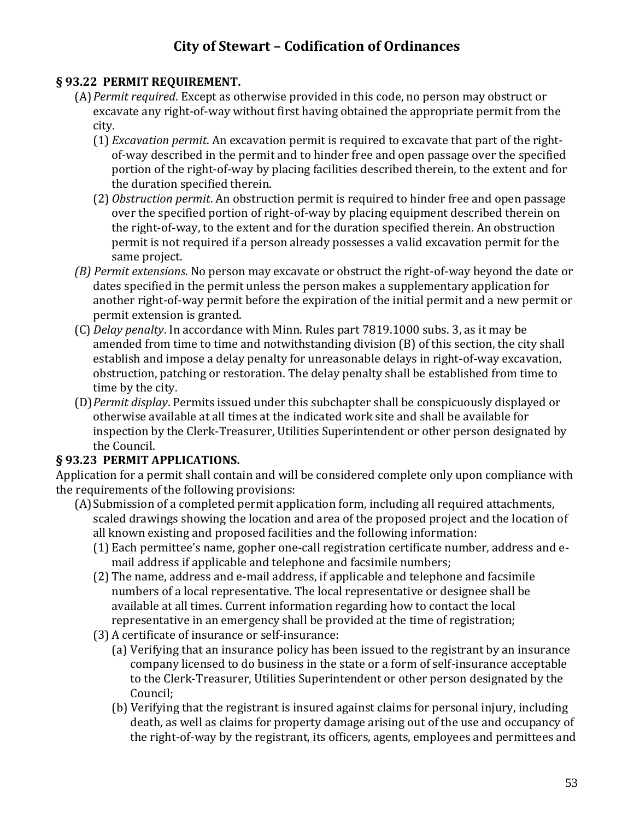#### **§ 93.22 PERMIT REQUIREMENT.**

- (A)*Permit required*. Except as otherwise provided in this code, no person may obstruct or excavate any right-of-way without first having obtained the appropriate permit from the city.
	- (1) *Excavation permit*. An excavation permit is required to excavate that part of the rightof-way described in the permit and to hinder free and open passage over the specified portion of the right-of-way by placing facilities described therein, to the extent and for the duration specified therein.
	- (2) *Obstruction permit*. An obstruction permit is required to hinder free and open passage over the specified portion of right-of-way by placing equipment described therein on the right-of-way, to the extent and for the duration specified therein. An obstruction permit is not required if a person already possesses a valid excavation permit for the same project.
- *(B) Permit extensions*. No person may excavate or obstruct the right-of-way beyond the date or dates specified in the permit unless the person makes a supplementary application for another right-of-way permit before the expiration of the initial permit and a new permit or permit extension is granted.
- (C) *Delay penalty*. In accordance with Minn. Rules part 7819.1000 subs. 3, as it may be amended from time to time and notwithstanding division (B) of this section, the city shall establish and impose a delay penalty for unreasonable delays in right-of-way excavation, obstruction, patching or restoration. The delay penalty shall be established from time to time by the city.
- (D)*Permit display*. Permits issued under this subchapter shall be conspicuously displayed or otherwise available at all times at the indicated work site and shall be available for inspection by the Clerk-Treasurer, Utilities Superintendent or other person designated by the Council.

### **§ 93.23 PERMIT APPLICATIONS.**

Application for a permit shall contain and will be considered complete only upon compliance with the requirements of the following provisions:

- (A)Submission of a completed permit application form, including all required attachments, scaled drawings showing the location and area of the proposed project and the location of all known existing and proposed facilities and the following information:
	- (1) Each permittee's name, gopher one-call registration certificate number, address and email address if applicable and telephone and facsimile numbers;
	- (2) The name, address and e-mail address, if applicable and telephone and facsimile numbers of a local representative. The local representative or designee shall be available at all times. Current information regarding how to contact the local representative in an emergency shall be provided at the time of registration;
	- (3) A certificate of insurance or self-insurance:
		- (a) Verifying that an insurance policy has been issued to the registrant by an insurance company licensed to do business in the state or a form of self-insurance acceptable to the Clerk-Treasurer, Utilities Superintendent or other person designated by the Council;
		- (b) Verifying that the registrant is insured against claims for personal injury, including death, as well as claims for property damage arising out of the use and occupancy of the right-of-way by the registrant, its officers, agents, employees and permittees and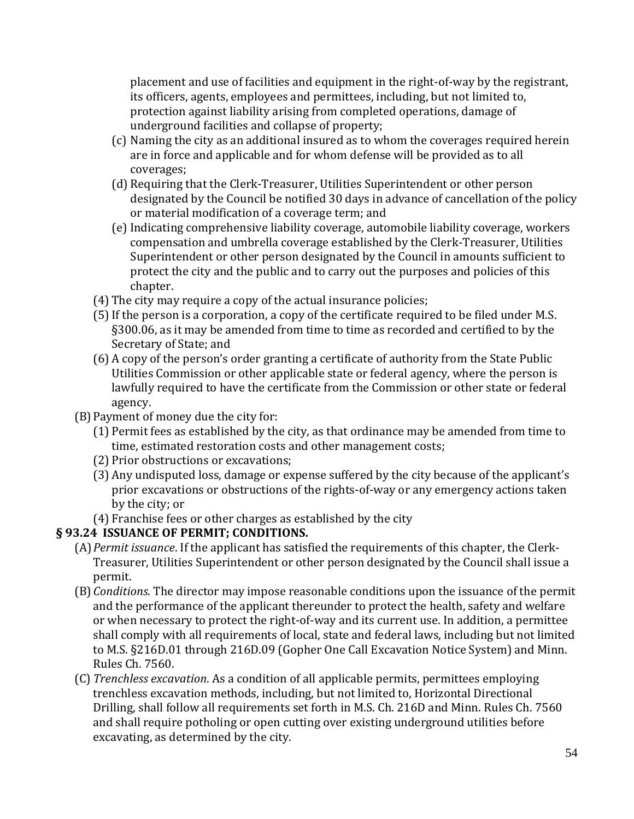placement and use of facilities and equipment in the right-of-way by the registrant, its officers, agents, employees and permittees, including, but not limited to, protection against liability arising from completed operations, damage of underground facilities and collapse of property;

- (c) Naming the city as an additional insured as to whom the coverages required herein are in force and applicable and for whom defense will be provided as to all coverages;
- (d) Requiring that the Clerk-Treasurer, Utilities Superintendent or other person designated by the Council be notified 30 days in advance of cancellation of the policy or material modification of a coverage term; and
- (e) Indicating comprehensive liability coverage, automobile liability coverage, workers compensation and umbrella coverage established by the Clerk-Treasurer, Utilities Superintendent or other person designated by the Council in amounts sufficient to protect the city and the public and to carry out the purposes and policies of this chapter.
- (4) The city may require a copy of the actual insurance policies;
- (5)If the person is a corporation, a copy of the certificate required to be filed under M.S. §300.06, as it may be amended from time to time as recorded and certified to by the Secretary of State; and
- (6) A copy of the person's order granting a certificate of authority from the State Public Utilities Commission or other applicable state or federal agency, where the person is lawfully required to have the certificate from the Commission or other state or federal agency.
- (B)Payment of money due the city for:
	- (1) Permit fees as established by the city, as that ordinance may be amended from time to time, estimated restoration costs and other management costs;
	- (2) Prior obstructions or excavations;
	- (3) Any undisputed loss, damage or expense suffered by the city because of the applicant's prior excavations or obstructions of the rights-of-way or any emergency actions taken by the city; or
	- (4) Franchise fees or other charges as established by the city

### **§ 93.24 ISSUANCE OF PERMIT; CONDITIONS.**

- (A)*Permit issuance*. If the applicant has satisfied the requirements of this chapter, the Clerk-Treasurer, Utilities Superintendent or other person designated by the Council shall issue a permit.
- (B)*Conditions*. The director may impose reasonable conditions upon the issuance of the permit and the performance of the applicant thereunder to protect the health, safety and welfare or when necessary to protect the right-of-way and its current use. In addition, a permittee shall comply with all requirements of local, state and federal laws, including but not limited to M.S. §216D.01 through 216D.09 (Gopher One Call Excavation Notice System) and Minn. Rules Ch. 7560.
- (C) *Trenchless excavation*. As a condition of all applicable permits, permittees employing trenchless excavation methods, including, but not limited to, Horizontal Directional Drilling, shall follow all requirements set forth in M.S. Ch. 216D and Minn. Rules Ch. 7560 and shall require potholing or open cutting over existing underground utilities before excavating, as determined by the city.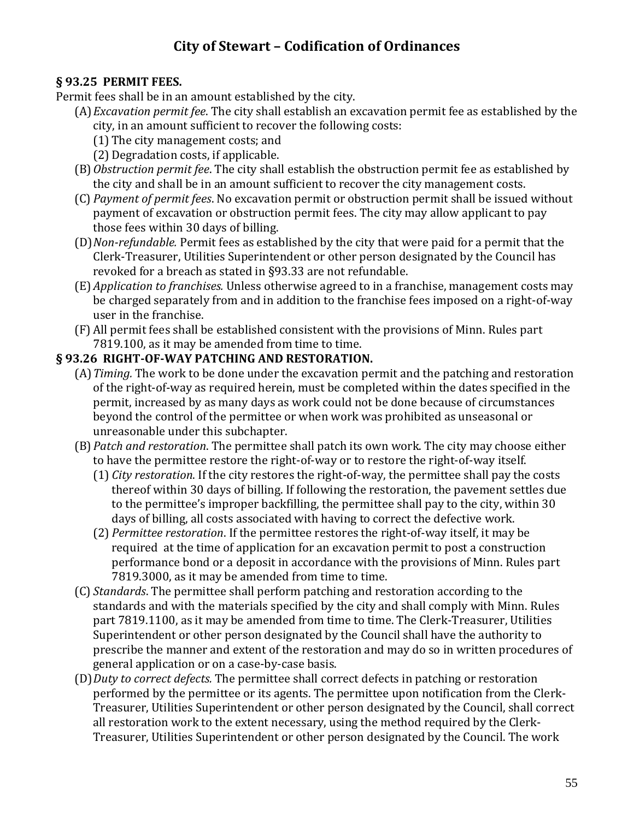#### **§ 93.25 PERMIT FEES.**

Permit fees shall be in an amount established by the city.

- (A)*Excavation permit fee*. The city shall establish an excavation permit fee as established by the city, in an amount sufficient to recover the following costs:
	- (1) The city management costs; and
	- (2) Degradation costs, if applicable.
	- (B)*Obstruction permit fee*. The city shall establish the obstruction permit fee as established by the city and shall be in an amount sufficient to recover the city management costs.
	- (C) *Payment of permit fees*. No excavation permit or obstruction permit shall be issued without payment of excavation or obstruction permit fees. The city may allow applicant to pay those fees within 30 days of billing.
	- (D)*Non-refundable.* Permit fees as established by the city that were paid for a permit that the Clerk-Treasurer, Utilities Superintendent or other person designated by the Council has revoked for a breach as stated in §93.33 are not refundable.
	- (E) *Application to franchises.* Unless otherwise agreed to in a franchise, management costs may be charged separately from and in addition to the franchise fees imposed on a right-of-way user in the franchise.
	- (F) All permit fees shall be established consistent with the provisions of Minn. Rules part 7819.100, as it may be amended from time to time.

#### **§ 93.26 RIGHT-OF-WAY PATCHING AND RESTORATION.**

- (A)*Timing.* The work to be done under the excavation permit and the patching and restoration of the right-of-way as required herein, must be completed within the dates specified in the permit, increased by as many days as work could not be done because of circumstances beyond the control of the permittee or when work was prohibited as unseasonal or unreasonable under this subchapter.
- (B)*Patch and restoration*. The permittee shall patch its own work. The city may choose either to have the permittee restore the right-of-way or to restore the right-of-way itself.
	- (1) *City restoration*. If the city restores the right-of-way, the permittee shall pay the costs thereof within 30 days of billing. If following the restoration, the pavement settles due to the permittee's improper backfilling, the permittee shall pay to the city, within 30 days of billing, all costs associated with having to correct the defective work.
	- (2) *Permittee restoration*. If the permittee restores the right-of-way itself, it may be required at the time of application for an excavation permit to post a construction performance bond or a deposit in accordance with the provisions of Minn. Rules part 7819.3000, as it may be amended from time to time.
- (C) *Standards*. The permittee shall perform patching and restoration according to the standards and with the materials specified by the city and shall comply with Minn. Rules part 7819.1100, as it may be amended from time to time. The Clerk-Treasurer, Utilities Superintendent or other person designated by the Council shall have the authority to prescribe the manner and extent of the restoration and may do so in written procedures of general application or on a case-by-case basis.
- (D)*Duty to correct defects.* The permittee shall correct defects in patching or restoration performed by the permittee or its agents. The permittee upon notification from the Clerk-Treasurer, Utilities Superintendent or other person designated by the Council, shall correct all restoration work to the extent necessary, using the method required by the Clerk-Treasurer, Utilities Superintendent or other person designated by the Council. The work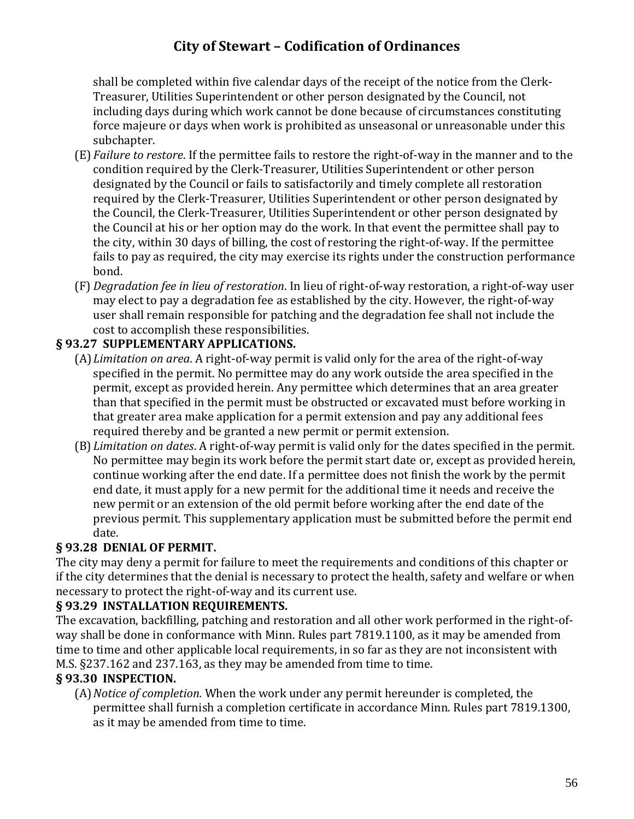shall be completed within five calendar days of the receipt of the notice from the Clerk-Treasurer, Utilities Superintendent or other person designated by the Council, not including days during which work cannot be done because of circumstances constituting force majeure or days when work is prohibited as unseasonal or unreasonable under this subchapter.

- (E) *Failure to restore*. If the permittee fails to restore the right-of-way in the manner and to the condition required by the Clerk-Treasurer, Utilities Superintendent or other person designated by the Council or fails to satisfactorily and timely complete all restoration required by the Clerk-Treasurer, Utilities Superintendent or other person designated by the Council, the Clerk-Treasurer, Utilities Superintendent or other person designated by the Council at his or her option may do the work. In that event the permittee shall pay to the city, within 30 days of billing, the cost of restoring the right-of-way. If the permittee fails to pay as required, the city may exercise its rights under the construction performance bond.
- (F) *Degradation fee in lieu of restoration*. In lieu of right-of-way restoration, a right-of-way user may elect to pay a degradation fee as established by the city. However, the right-of-way user shall remain responsible for patching and the degradation fee shall not include the cost to accomplish these responsibilities.

### **§ 93.27 SUPPLEMENTARY APPLICATIONS.**

- (A)*Limitation on area*. A right-of-way permit is valid only for the area of the right-of-way specified in the permit. No permittee may do any work outside the area specified in the permit, except as provided herein. Any permittee which determines that an area greater than that specified in the permit must be obstructed or excavated must before working in that greater area make application for a permit extension and pay any additional fees required thereby and be granted a new permit or permit extension.
- (B)*Limitation on dates*. A right-of-way permit is valid only for the dates specified in the permit. No permittee may begin its work before the permit start date or, except as provided herein, continue working after the end date. If a permittee does not finish the work by the permit end date, it must apply for a new permit for the additional time it needs and receive the new permit or an extension of the old permit before working after the end date of the previous permit. This supplementary application must be submitted before the permit end date.

### **§ 93.28 DENIAL OF PERMIT.**

The city may deny a permit for failure to meet the requirements and conditions of this chapter or if the city determines that the denial is necessary to protect the health, safety and welfare or when necessary to protect the right-of-way and its current use.

### **§ 93.29 INSTALLATION REQUIREMENTS.**

The excavation, backfilling, patching and restoration and all other work performed in the right-ofway shall be done in conformance with Minn. Rules part 7819.1100, as it may be amended from time to time and other applicable local requirements, in so far as they are not inconsistent with M.S. §237.162 and 237.163, as they may be amended from time to time.

### **§ 93.30 INSPECTION.**

(A)*Notice of completion.* When the work under any permit hereunder is completed, the permittee shall furnish a completion certificate in accordance Minn. Rules part 7819.1300, as it may be amended from time to time.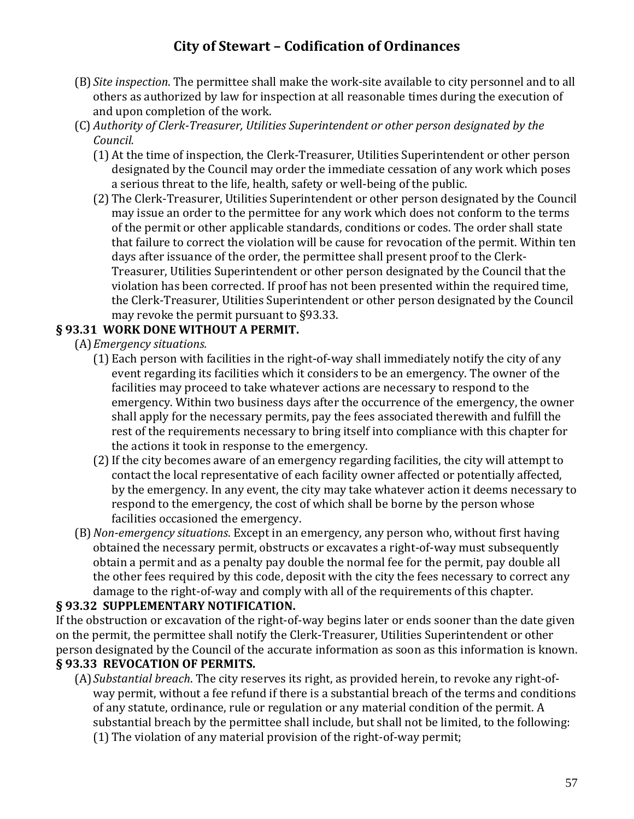- (B) *Site inspection*. The permittee shall make the work-site available to city personnel and to all others as authorized by law for inspection at all reasonable times during the execution of and upon completion of the work.
- (C) *Authority of Clerk-Treasurer, Utilities Superintendent or other person designated by the Council.*
	- (1) At the time of inspection, the Clerk-Treasurer, Utilities Superintendent or other person designated by the Council may order the immediate cessation of any work which poses a serious threat to the life, health, safety or well-being of the public.
	- (2) The Clerk-Treasurer, Utilities Superintendent or other person designated by the Council may issue an order to the permittee for any work which does not conform to the terms of the permit or other applicable standards, conditions or codes. The order shall state that failure to correct the violation will be cause for revocation of the permit. Within ten days after issuance of the order, the permittee shall present proof to the Clerk-Treasurer, Utilities Superintendent or other person designated by the Council that the violation has been corrected. If proof has not been presented within the required time, the Clerk-Treasurer, Utilities Superintendent or other person designated by the Council may revoke the permit pursuant to §93.33.

#### **§ 93.31 WORK DONE WITHOUT A PERMIT.**

(A)*Emergency situations.*

- (1) Each person with facilities in the right-of-way shall immediately notify the city of any event regarding its facilities which it considers to be an emergency. The owner of the facilities may proceed to take whatever actions are necessary to respond to the emergency. Within two business days after the occurrence of the emergency, the owner shall apply for the necessary permits, pay the fees associated therewith and fulfill the rest of the requirements necessary to bring itself into compliance with this chapter for the actions it took in response to the emergency.
- (2)If the city becomes aware of an emergency regarding facilities, the city will attempt to contact the local representative of each facility owner affected or potentially affected, by the emergency. In any event, the city may take whatever action it deems necessary to respond to the emergency, the cost of which shall be borne by the person whose facilities occasioned the emergency.
- (B)*Non-emergency situations*. Except in an emergency, any person who, without first having obtained the necessary permit, obstructs or excavates a right-of-way must subsequently obtain a permit and as a penalty pay double the normal fee for the permit, pay double all the other fees required by this code, deposit with the city the fees necessary to correct any damage to the right-of-way and comply with all of the requirements of this chapter.

#### **§ 93.32 SUPPLEMENTARY NOTIFICATION.**

If the obstruction or excavation of the right-of-way begins later or ends sooner than the date given on the permit, the permittee shall notify the Clerk-Treasurer, Utilities Superintendent or other person designated by the Council of the accurate information as soon as this information is known. **§ 93.33 REVOCATION OF PERMITS.**

(A)*Substantial breach*. The city reserves its right, as provided herein, to revoke any right-ofway permit, without a fee refund if there is a substantial breach of the terms and conditions of any statute, ordinance, rule or regulation or any material condition of the permit. A substantial breach by the permittee shall include, but shall not be limited, to the following: (1) The violation of any material provision of the right-of-way permit;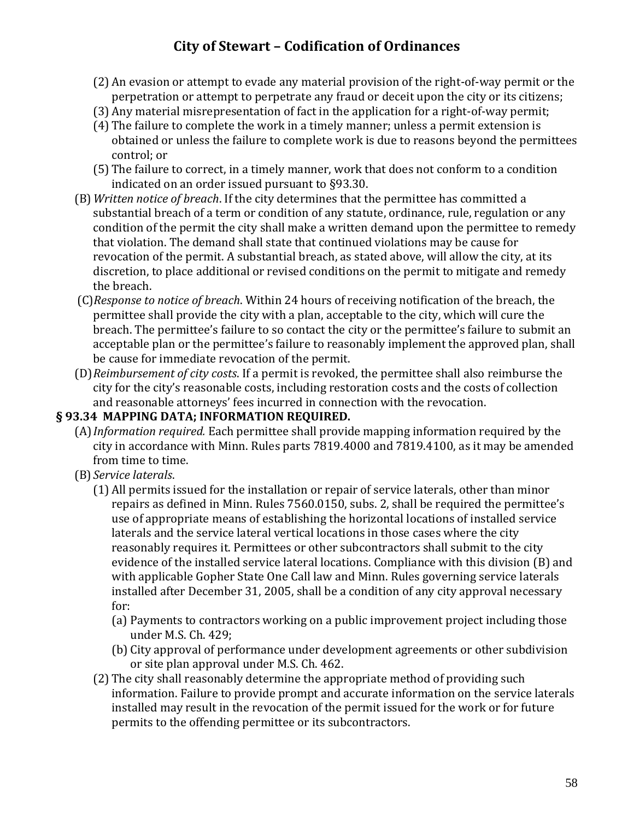- (2) An evasion or attempt to evade any material provision of the right-of-way permit or the perpetration or attempt to perpetrate any fraud or deceit upon the city or its citizens;
- (3) Any material misrepresentation of fact in the application for a right-of-way permit;
- (4) The failure to complete the work in a timely manner; unless a permit extension is obtained or unless the failure to complete work is due to reasons beyond the permittees control; or
- (5) The failure to correct, in a timely manner, work that does not conform to a condition indicated on an order issued pursuant to §93.30.
- (B)*Written notice of breach*. If the city determines that the permittee has committed a substantial breach of a term or condition of any statute, ordinance, rule, regulation or any condition of the permit the city shall make a written demand upon the permittee to remedy that violation. The demand shall state that continued violations may be cause for revocation of the permit. A substantial breach, as stated above, will allow the city, at its discretion, to place additional or revised conditions on the permit to mitigate and remedy the breach.
- (C)*Response to notice of breach*. Within 24 hours of receiving notification of the breach, the permittee shall provide the city with a plan, acceptable to the city, which will cure the breach. The permittee's failure to so contact the city or the permittee's failure to submit an acceptable plan or the permittee's failure to reasonably implement the approved plan, shall be cause for immediate revocation of the permit.
- (D)*Reimbursement of city costs*. If a permit is revoked, the permittee shall also reimburse the city for the city's reasonable costs, including restoration costs and the costs of collection and reasonable attorneys' fees incurred in connection with the revocation.

#### **§ 93.34 MAPPING DATA; INFORMATION REQUIRED.**

- (A)*Information required.* Each permittee shall provide mapping information required by the city in accordance with Minn. Rules parts 7819.4000 and 7819.4100, as it may be amended from time to time.
- (B) *Service laterals*.
	- (1) All permits issued for the installation or repair of service laterals, other than minor repairs as defined in Minn. Rules 7560.0150, subs. 2, shall be required the permittee's use of appropriate means of establishing the horizontal locations of installed service laterals and the service lateral vertical locations in those cases where the city reasonably requires it. Permittees or other subcontractors shall submit to the city evidence of the installed service lateral locations. Compliance with this division (B) and with applicable Gopher State One Call law and Minn. Rules governing service laterals installed after December 31, 2005, shall be a condition of any city approval necessary for:
		- (a) Payments to contractors working on a public improvement project including those under M.S. Ch. 429;
		- (b) City approval of performance under development agreements or other subdivision or site plan approval under M.S. Ch. 462.
	- (2) The city shall reasonably determine the appropriate method of providing such information. Failure to provide prompt and accurate information on the service laterals installed may result in the revocation of the permit issued for the work or for future permits to the offending permittee or its subcontractors.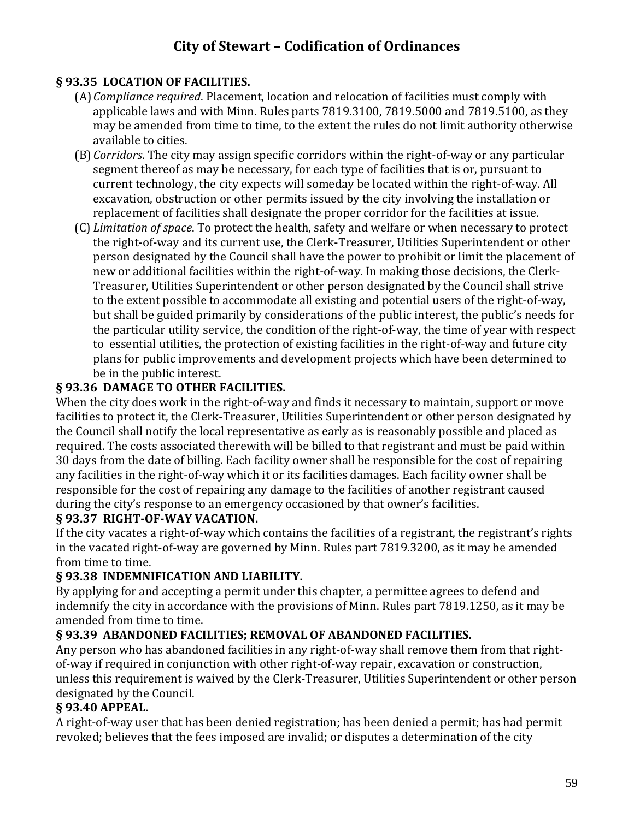#### **§ 93.35 LOCATION OF FACILITIES.**

- (A)*Compliance required*. Placement, location and relocation of facilities must comply with applicable laws and with Minn. Rules parts 7819.3100, 7819.5000 and 7819.5100, as they may be amended from time to time, to the extent the rules do not limit authority otherwise available to cities.
- (B)*Corridors*. The city may assign specific corridors within the right-of-way or any particular segment thereof as may be necessary, for each type of facilities that is or, pursuant to current technology, the city expects will someday be located within the right-of-way. All excavation, obstruction or other permits issued by the city involving the installation or replacement of facilities shall designate the proper corridor for the facilities at issue.
- (C) *Limitation of space*. To protect the health, safety and welfare or when necessary to protect the right-of-way and its current use, the Clerk-Treasurer, Utilities Superintendent or other person designated by the Council shall have the power to prohibit or limit the placement of new or additional facilities within the right-of-way. In making those decisions, the Clerk-Treasurer, Utilities Superintendent or other person designated by the Council shall strive to the extent possible to accommodate all existing and potential users of the right-of-way, but shall be guided primarily by considerations of the public interest, the public's needs for the particular utility service, the condition of the right-of-way, the time of year with respect to essential utilities, the protection of existing facilities in the right-of-way and future city plans for public improvements and development projects which have been determined to be in the public interest.

#### **§ 93.36 DAMAGE TO OTHER FACILITIES.**

When the city does work in the right-of-way and finds it necessary to maintain, support or move facilities to protect it, the Clerk-Treasurer, Utilities Superintendent or other person designated by the Council shall notify the local representative as early as is reasonably possible and placed as required. The costs associated therewith will be billed to that registrant and must be paid within 30 days from the date of billing. Each facility owner shall be responsible for the cost of repairing any facilities in the right-of-way which it or its facilities damages. Each facility owner shall be responsible for the cost of repairing any damage to the facilities of another registrant caused during the city's response to an emergency occasioned by that owner's facilities.

#### **§ 93.37 RIGHT-OF-WAY VACATION.**

If the city vacates a right-of-way which contains the facilities of a registrant, the registrant's rights in the vacated right-of-way are governed by Minn. Rules part 7819.3200, as it may be amended from time to time.

### **§ 93.38 INDEMNIFICATION AND LIABILITY.**

By applying for and accepting a permit under this chapter, a permittee agrees to defend and indemnify the city in accordance with the provisions of Minn. Rules part 7819.1250, as it may be amended from time to time.

### **§ 93.39 ABANDONED FACILITIES; REMOVAL OF ABANDONED FACILITIES.**

Any person who has abandoned facilities in any right-of-way shall remove them from that rightof-way if required in conjunction with other right-of-way repair, excavation or construction, unless this requirement is waived by the Clerk-Treasurer, Utilities Superintendent or other person designated by the Council.

### **§ 93.40 APPEAL.**

A right-of-way user that has been denied registration; has been denied a permit; has had permit revoked; believes that the fees imposed are invalid; or disputes a determination of the city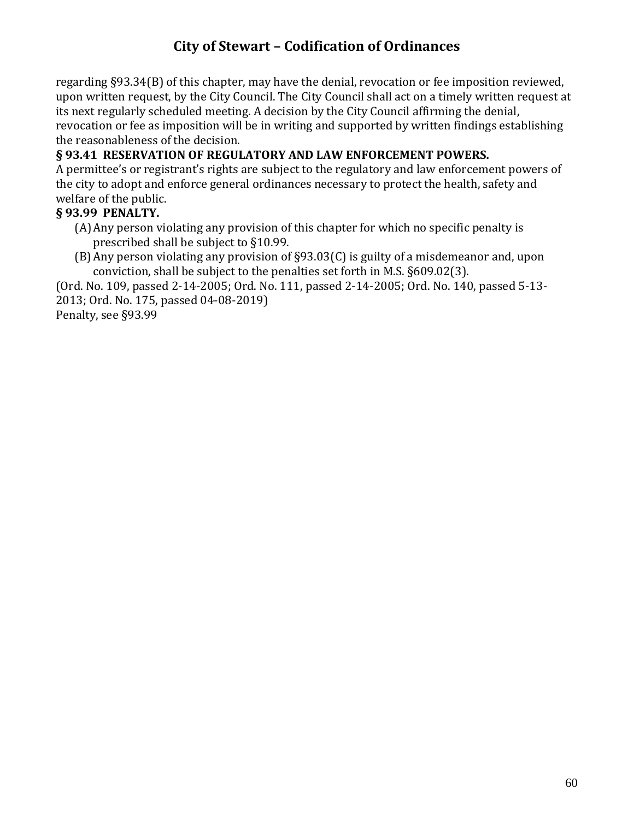regarding §93.34(B) of this chapter, may have the denial, revocation or fee imposition reviewed, upon written request, by the City Council. The City Council shall act on a timely written request at its next regularly scheduled meeting. A decision by the City Council affirming the denial, revocation or fee as imposition will be in writing and supported by written findings establishing the reasonableness of the decision.

### **§ 93.41 RESERVATION OF REGULATORY AND LAW ENFORCEMENT POWERS.**

A permittee's or registrant's rights are subject to the regulatory and law enforcement powers of the city to adopt and enforce general ordinances necessary to protect the health, safety and welfare of the public.

#### **§ 93.99 PENALTY.**

- (A)Any person violating any provision of this chapter for which no specific penalty is prescribed shall be subject to §10.99.
- (B)Any person violating any provision of §93.03(C) is guilty of a misdemeanor and, upon conviction, shall be subject to the penalties set forth in M.S. §609.02(3).

(Ord. No. 109, passed 2-14-2005; Ord. No. 111, passed 2-14-2005; Ord. No. 140, passed 5-13- 2013; Ord. No. 175, passed 04-08-2019)

Penalty, see §93.99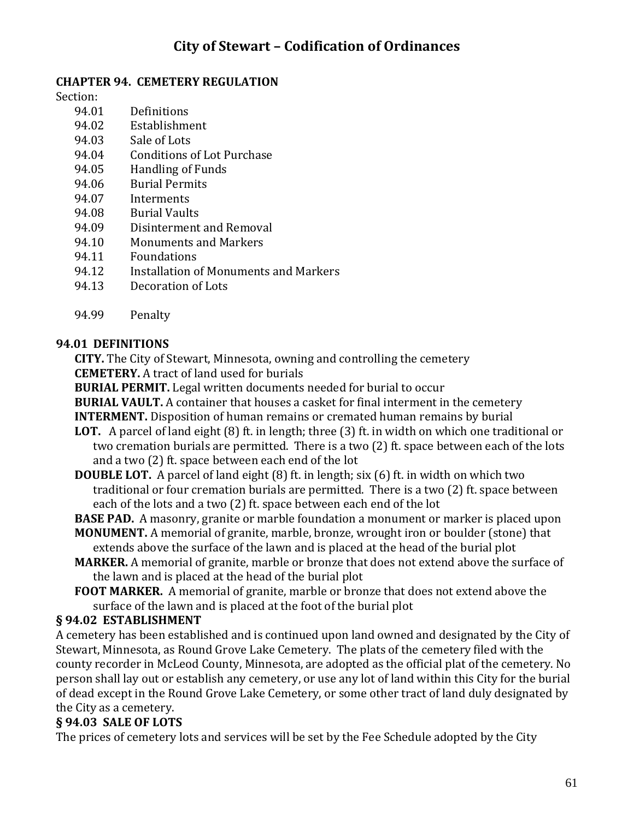#### **CHAPTER 94. CEMETERY REGULATION**

Section:

- 94.01 Definitions
- 94.02 Establishment
- 94.03 Sale of Lots
- 94.04 Conditions of Lot Purchase
- 94.05 Handling of Funds
- 94.06 Burial Permits
- 94.07 Interments
- 94.08 Burial Vaults
- 94.09 Disinterment and Removal
- 94.10 Monuments and Markers
- 94.11 Foundations
- 94.12 Installation of Monuments and Markers
- 94.13 Decoration of Lots
- 94.99 Penalty

#### **94.01 DEFINITIONS**

**CITY.** The City of Stewart, Minnesota, owning and controlling the cemetery **CEMETERY.** A tract of land used for burials

**BURIAL PERMIT.** Legal written documents needed for burial to occur

**BURIAL VAULT.** A container that houses a casket for final interment in the cemetery

**INTERMENT.** Disposition of human remains or cremated human remains by burial

- **LOT.** A parcel of land eight (8) ft. in length; three (3) ft. in width on which one traditional or two cremation burials are permitted. There is a two (2) ft. space between each of the lots and a two (2) ft. space between each end of the lot
- **DOUBLE LOT.** A parcel of land eight (8) ft. in length; six (6) ft. in width on which two traditional or four cremation burials are permitted. There is a two (2) ft. space between each of the lots and a two (2) ft. space between each end of the lot

**BASE PAD.** A masonry, granite or marble foundation a monument or marker is placed upon

- **MONUMENT.** A memorial of granite, marble, bronze, wrought iron or boulder (stone) that extends above the surface of the lawn and is placed at the head of the burial plot
- **MARKER.** A memorial of granite, marble or bronze that does not extend above the surface of the lawn and is placed at the head of the burial plot
- **FOOT MARKER.** A memorial of granite, marble or bronze that does not extend above the surface of the lawn and is placed at the foot of the burial plot

#### **§ 94.02 ESTABLISHMENT**

A cemetery has been established and is continued upon land owned and designated by the City of Stewart, Minnesota, as Round Grove Lake Cemetery. The plats of the cemetery filed with the county recorder in McLeod County, Minnesota, are adopted as the official plat of the cemetery. No person shall lay out or establish any cemetery, or use any lot of land within this City for the burial of dead except in the Round Grove Lake Cemetery, or some other tract of land duly designated by the City as a cemetery.

### **§ 94.03 SALE OF LOTS**

The prices of cemetery lots and services will be set by the Fee Schedule adopted by the City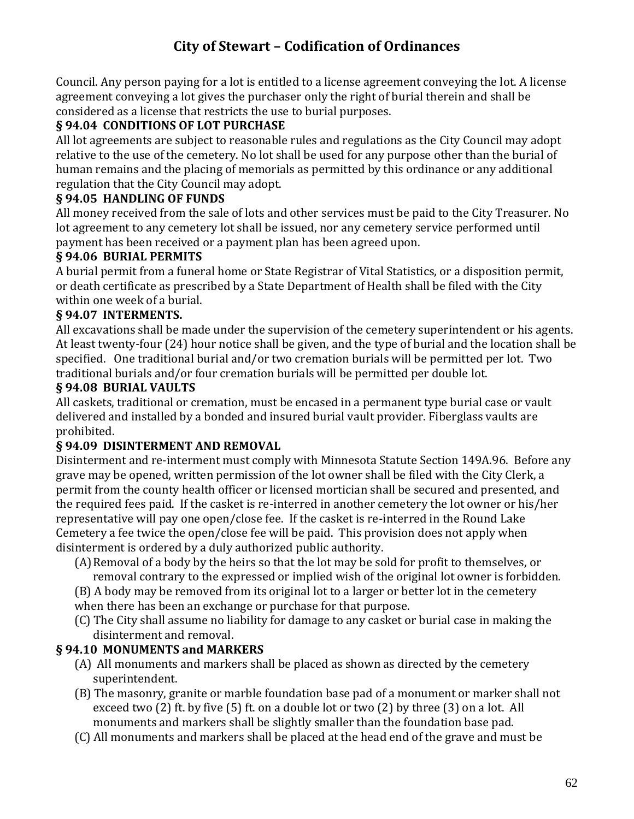Council. Any person paying for a lot is entitled to a license agreement conveying the lot. A license agreement conveying a lot gives the purchaser only the right of burial therein and shall be considered as a license that restricts the use to burial purposes.

### **§ 94.04 CONDITIONS OF LOT PURCHASE**

All lot agreements are subject to reasonable rules and regulations as the City Council may adopt relative to the use of the cemetery. No lot shall be used for any purpose other than the burial of human remains and the placing of memorials as permitted by this ordinance or any additional regulation that the City Council may adopt.

### **§ 94.05 HANDLING OF FUNDS**

All money received from the sale of lots and other services must be paid to the City Treasurer. No lot agreement to any cemetery lot shall be issued, nor any cemetery service performed until payment has been received or a payment plan has been agreed upon.

#### **§ 94.06 BURIAL PERMITS**

A burial permit from a funeral home or State Registrar of Vital Statistics, or a disposition permit, or death certificate as prescribed by a State Department of Health shall be filed with the City within one week of a burial.

#### **§ 94.07 INTERMENTS.**

All excavations shall be made under the supervision of the cemetery superintendent or his agents. At least twenty-four (24) hour notice shall be given, and the type of burial and the location shall be specified. One traditional burial and/or two cremation burials will be permitted per lot. Two traditional burials and/or four cremation burials will be permitted per double lot.

#### **§ 94.08 BURIAL VAULTS**

All caskets, traditional or cremation, must be encased in a permanent type burial case or vault delivered and installed by a bonded and insured burial vault provider. Fiberglass vaults are prohibited.

### **§ 94.09 DISINTERMENT AND REMOVAL**

Disinterment and re-interment must comply with Minnesota Statute Section 149A.96. Before any grave may be opened, written permission of the lot owner shall be filed with the City Clerk, a permit from the county health officer or licensed mortician shall be secured and presented, and the required fees paid. If the casket is re-interred in another cemetery the lot owner or his/her representative will pay one open/close fee. If the casket is re-interred in the Round Lake Cemetery a fee twice the open/close fee will be paid. This provision does not apply when disinterment is ordered by a duly authorized public authority.

(A)Removal of a body by the heirs so that the lot may be sold for profit to themselves, or removal contrary to the expressed or implied wish of the original lot owner is forbidden.

(B) A body may be removed from its original lot to a larger or better lot in the cemetery when there has been an exchange or purchase for that purpose.

(C) The City shall assume no liability for damage to any casket or burial case in making the disinterment and removal.

### **§ 94.10 MONUMENTS and MARKERS**

- (A) All monuments and markers shall be placed as shown as directed by the cemetery superintendent.
- (B) The masonry, granite or marble foundation base pad of a monument or marker shall not exceed two (2) ft. by five (5) ft. on a double lot or two (2) by three (3) on a lot. All monuments and markers shall be slightly smaller than the foundation base pad.
- (C) All monuments and markers shall be placed at the head end of the grave and must be